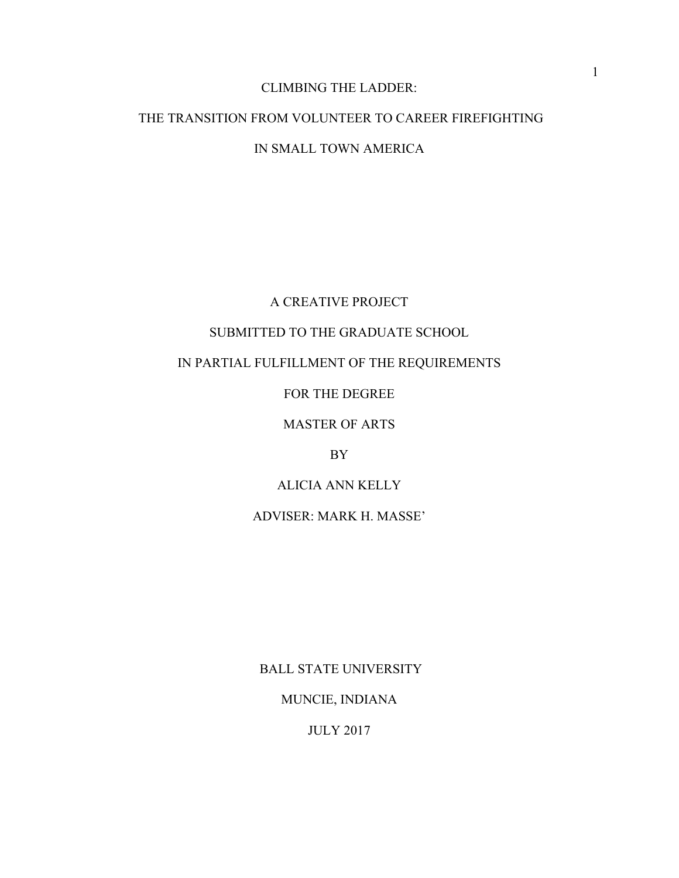# CLIMBING THE LADDER:

# THE TRANSITION FROM VOLUNTEER TO CAREER FIREFIGHTING IN SMALL TOWN AMERICA

# A CREATIVE PROJECT

# SUBMITTED TO THE GRADUATE SCHOOL

# IN PARTIAL FULFILLMENT OF THE REQUIREMENTS

# FOR THE DEGREE

# MASTER OF ARTS

# BY

# ALICIA ANN KELLY

# ADVISER: MARK H. MASSE'

BALL STATE UNIVERSITY

# MUNCIE, INDIANA

JULY 2017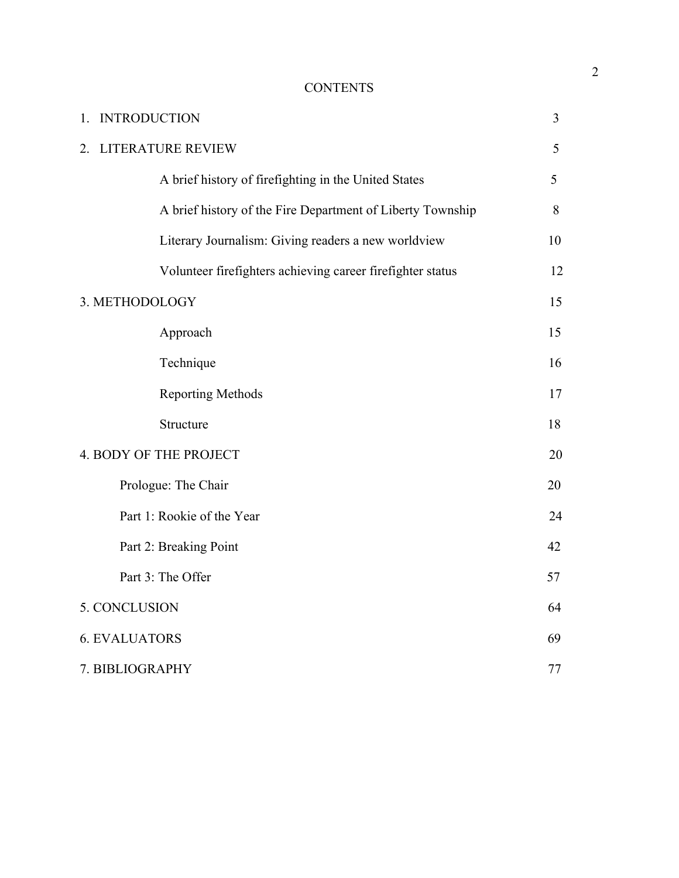# **CONTENTS**

| <b>INTRODUCTION</b><br>1.                                  | 3  |
|------------------------------------------------------------|----|
| LITERATURE REVIEW<br>2                                     | 5  |
| A brief history of firefighting in the United States       | 5  |
| A brief history of the Fire Department of Liberty Township | 8  |
| Literary Journalism: Giving readers a new worldview        | 10 |
| Volunteer firefighters achieving career firefighter status | 12 |
| 3. METHODOLOGY                                             | 15 |
| Approach                                                   | 15 |
| Technique                                                  | 16 |
| <b>Reporting Methods</b>                                   | 17 |
| Structure                                                  | 18 |
| 4. BODY OF THE PROJECT                                     | 20 |
| Prologue: The Chair                                        | 20 |
| Part 1: Rookie of the Year                                 | 24 |
| Part 2: Breaking Point                                     | 42 |
| Part 3: The Offer                                          | 57 |
| 5. CONCLUSION                                              | 64 |
| <b>6. EVALUATORS</b>                                       | 69 |
| 7. BIBLIOGRAPHY                                            | 77 |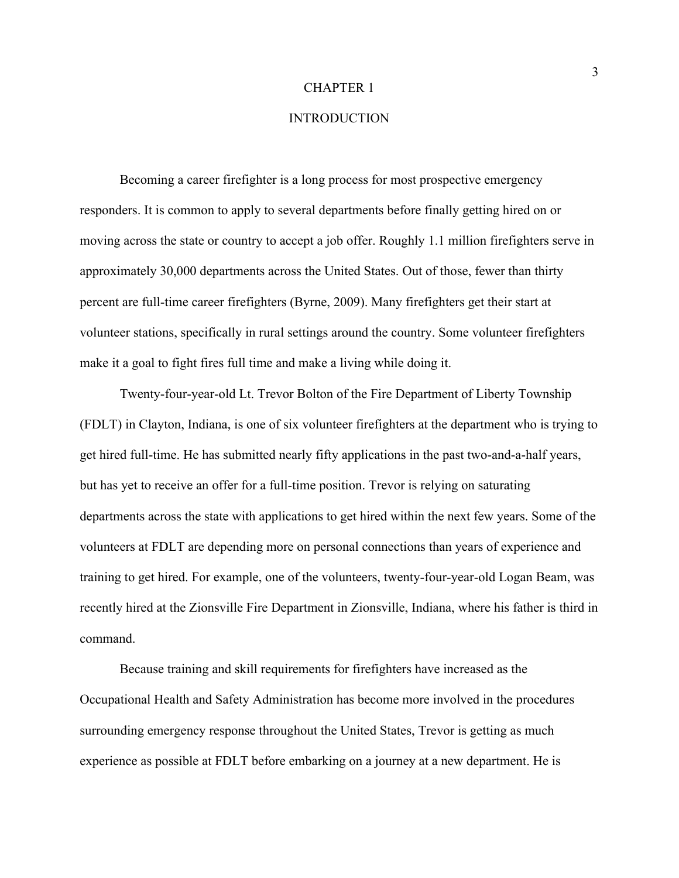#### CHAPTER 1

# **INTRODUCTION**

Becoming a career firefighter is a long process for most prospective emergency responders. It is common to apply to several departments before finally getting hired on or moving across the state or country to accept a job offer. Roughly 1.1 million firefighters serve in approximately 30,000 departments across the United States. Out of those, fewer than thirty percent are full-time career firefighters (Byrne, 2009). Many firefighters get their start at volunteer stations, specifically in rural settings around the country. Some volunteer firefighters make it a goal to fight fires full time and make a living while doing it.

Twenty-four-year-old Lt. Trevor Bolton of the Fire Department of Liberty Township (FDLT) in Clayton, Indiana, is one of six volunteer firefighters at the department who is trying to get hired full-time. He has submitted nearly fifty applications in the past two-and-a-half years, but has yet to receive an offer for a full-time position. Trevor is relying on saturating departments across the state with applications to get hired within the next few years. Some of the volunteers at FDLT are depending more on personal connections than years of experience and training to get hired. For example, one of the volunteers, twenty-four-year-old Logan Beam, was recently hired at the Zionsville Fire Department in Zionsville, Indiana, where his father is third in command.

Because training and skill requirements for firefighters have increased as the Occupational Health and Safety Administration has become more involved in the procedures surrounding emergency response throughout the United States, Trevor is getting as much experience as possible at FDLT before embarking on a journey at a new department. He is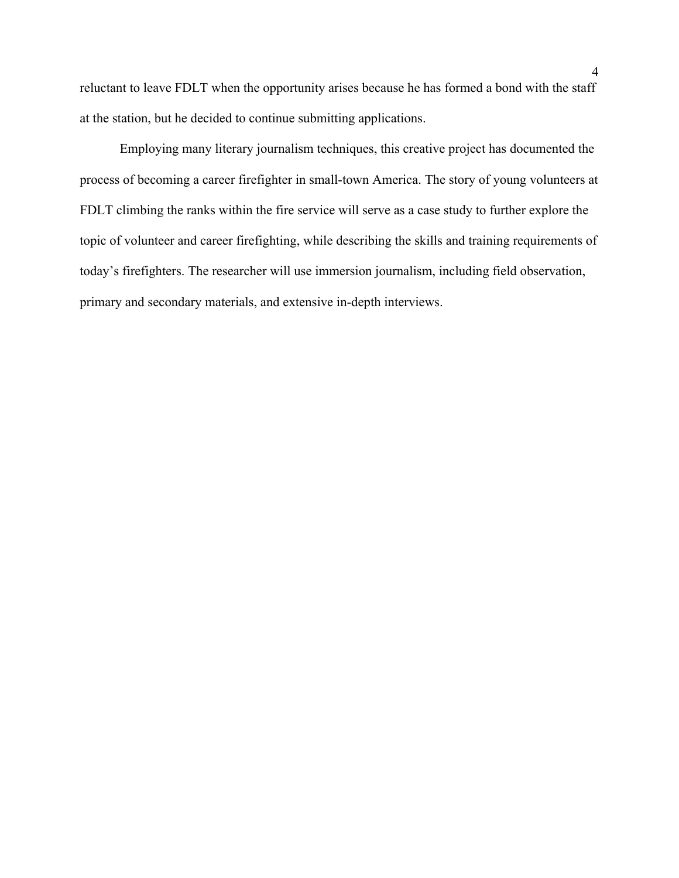reluctant to leave FDLT when the opportunity arises because he has formed a bond with the staff at the station, but he decided to continue submitting applications.

 Employing many literary journalism techniques, this creative project has documented the process of becoming a career firefighter in small-town America. The story of young volunteers at FDLT climbing the ranks within the fire service will serve as a case study to further explore the topic of volunteer and career firefighting, while describing the skills and training requirements of today's firefighters. The researcher will use immersion journalism, including field observation, primary and secondary materials, and extensive in-depth interviews.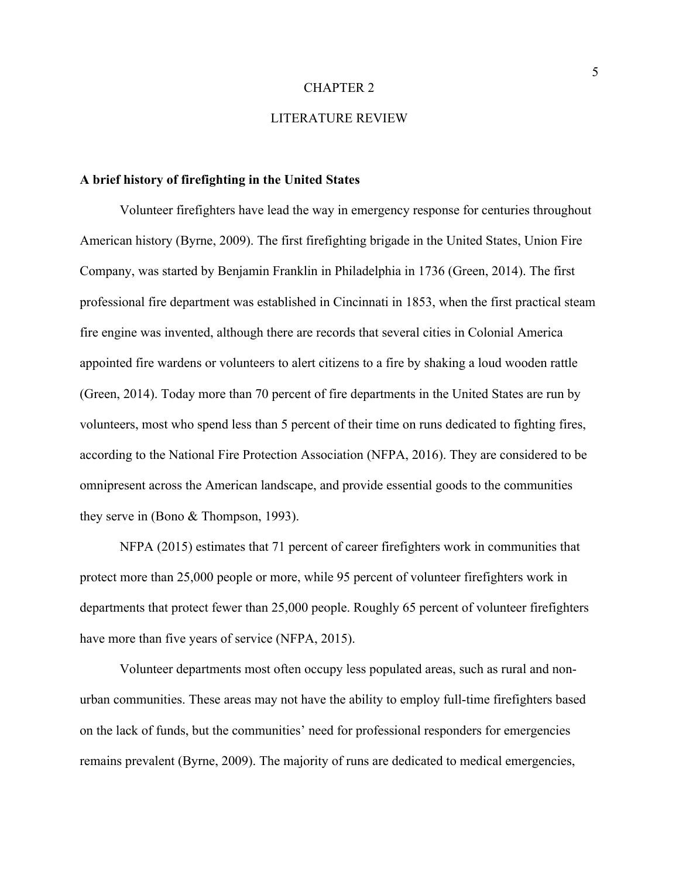#### CHAPTER 2

# LITERATURE REVIEW

### **A brief history of firefighting in the United States**

Volunteer firefighters have lead the way in emergency response for centuries throughout American history (Byrne, 2009). The first firefighting brigade in the United States, Union Fire Company, was started by Benjamin Franklin in Philadelphia in 1736 (Green, 2014). The first professional fire department was established in Cincinnati in 1853, when the first practical steam fire engine was invented, although there are records that several cities in Colonial America appointed fire wardens or volunteers to alert citizens to a fire by shaking a loud wooden rattle (Green, 2014). Today more than 70 percent of fire departments in the United States are run by volunteers, most who spend less than 5 percent of their time on runs dedicated to fighting fires, according to the National Fire Protection Association (NFPA, 2016). They are considered to be omnipresent across the American landscape, and provide essential goods to the communities they serve in (Bono & Thompson, 1993).

NFPA (2015) estimates that 71 percent of career firefighters work in communities that protect more than 25,000 people or more, while 95 percent of volunteer firefighters work in departments that protect fewer than 25,000 people. Roughly 65 percent of volunteer firefighters have more than five years of service (NFPA, 2015).

Volunteer departments most often occupy less populated areas, such as rural and nonurban communities. These areas may not have the ability to employ full-time firefighters based on the lack of funds, but the communities' need for professional responders for emergencies remains prevalent (Byrne, 2009). The majority of runs are dedicated to medical emergencies,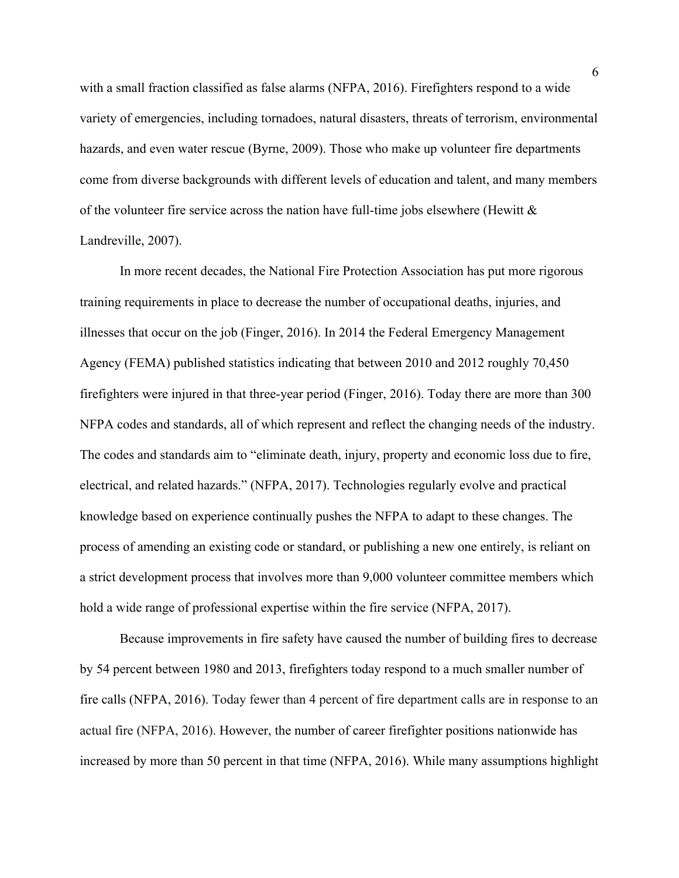with a small fraction classified as false alarms (NFPA, 2016). Firefighters respond to a wide variety of emergencies, including tornadoes, natural disasters, threats of terrorism, environmental hazards, and even water rescue (Byrne, 2009). Those who make up volunteer fire departments come from diverse backgrounds with different levels of education and talent, and many members of the volunteer fire service across the nation have full-time jobs elsewhere (Hewitt  $\&$ Landreville, 2007).

In more recent decades, the National Fire Protection Association has put more rigorous training requirements in place to decrease the number of occupational deaths, injuries, and illnesses that occur on the job (Finger, 2016). In 2014 the Federal Emergency Management Agency (FEMA) published statistics indicating that between 2010 and 2012 roughly 70,450 firefighters were injured in that three-year period (Finger, 2016). Today there are more than 300 NFPA codes and standards, all of which represent and reflect the changing needs of the industry. The codes and standards aim to "eliminate death, injury, property and economic loss due to fire, electrical, and related hazards." (NFPA, 2017). Technologies regularly evolve and practical knowledge based on experience continually pushes the NFPA to adapt to these changes. The process of amending an existing code or standard, or publishing a new one entirely, is reliant on a strict development process that involves more than 9,000 volunteer committee members which hold a wide range of professional expertise within the fire service (NFPA, 2017).

Because improvements in fire safety have caused the number of building fires to decrease by 54 percent between 1980 and 2013, firefighters today respond to a much smaller number of fire calls (NFPA, 2016). Today fewer than 4 percent of fire department calls are in response to an actual fire (NFPA, 2016). However, the number of career firefighter positions nationwide has increased by more than 50 percent in that time (NFPA, 2016). While many assumptions highlight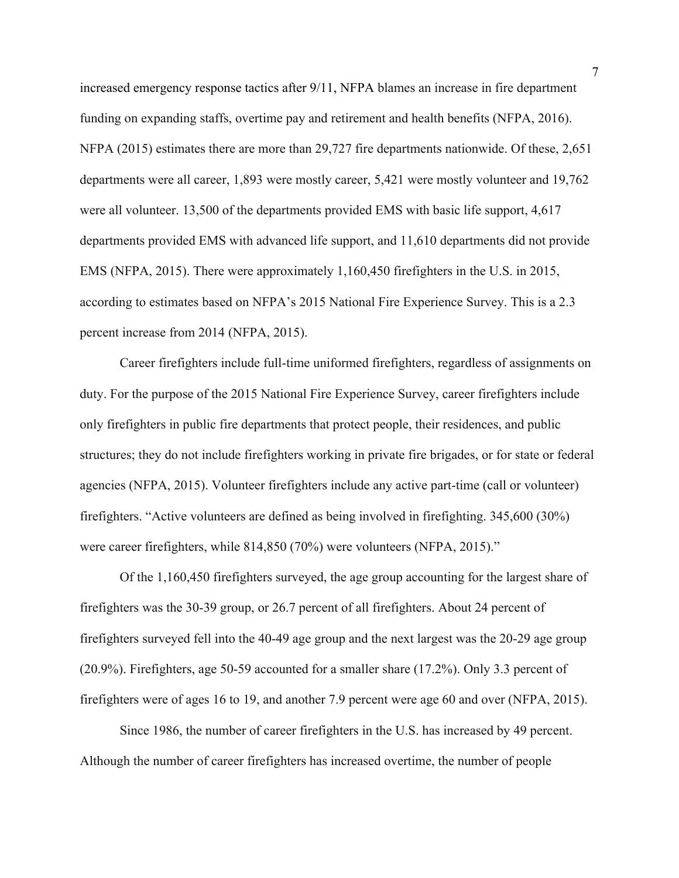increased emergency response tactics after 9/11, NFPA blames an increase in fire department funding on expanding staffs, overtime pay and retirement and health benefits (NFPA, 2016). NFPA (2015) estimates there are more than 29,727 fire departments nationwide. Of these, 2,651 departments were all career, 1,893 were mostly career, 5,421 were mostly volunteer and 19,762 were all volunteer. 13,500 of the departments provided EMS with basic life support, 4,617 departments provided EMS with advanced life support, and 11,610 departments did not provide EMS (NFPA, 2015). There were approximately 1,160,450 firefighters in the U.S. in 2015, according to estimates based on NFPA's 2015 National Fire Experience Survey. This is a 2.3 percent increase from 2014 (NFPA, 2015).

Career firefighters include full-time uniformed firefighters, regardless of assignments on duty. For the purpose of the 2015 National Fire Experience Survey, career firefighters include only firefighters in public fire departments that protect people, their residences, and public structures; they do not include firefighters working in private fire brigades, or for state or federal agencies (NFPA, 2015). Volunteer firefighters include any active part-time (call or volunteer) firefighters. "Active volunteers are defined as being involved in firefighting. 345,600 (30%) were career firefighters, while 814,850 (70%) were volunteers (NFPA, 2015)."

Of the 1,160,450 firefighters surveyed, the age group accounting for the largest share of firefighters was the 30-39 group, or 26.7 percent of all firefighters. About 24 percent of firefighters surveyed fell into the 40-49 age group and the next largest was the 20-29 age group (20.9%). Firefighters, age 50-59 accounted for a smaller share (17.2%). Only 3.3 percent of firefighters were of ages 16 to 19, and another 7.9 percent were age 60 and over (NFPA, 2015).

Since 1986, the number of career firefighters in the U.S. has increased by 49 percent. Although the number of career firefighters has increased overtime, the number of people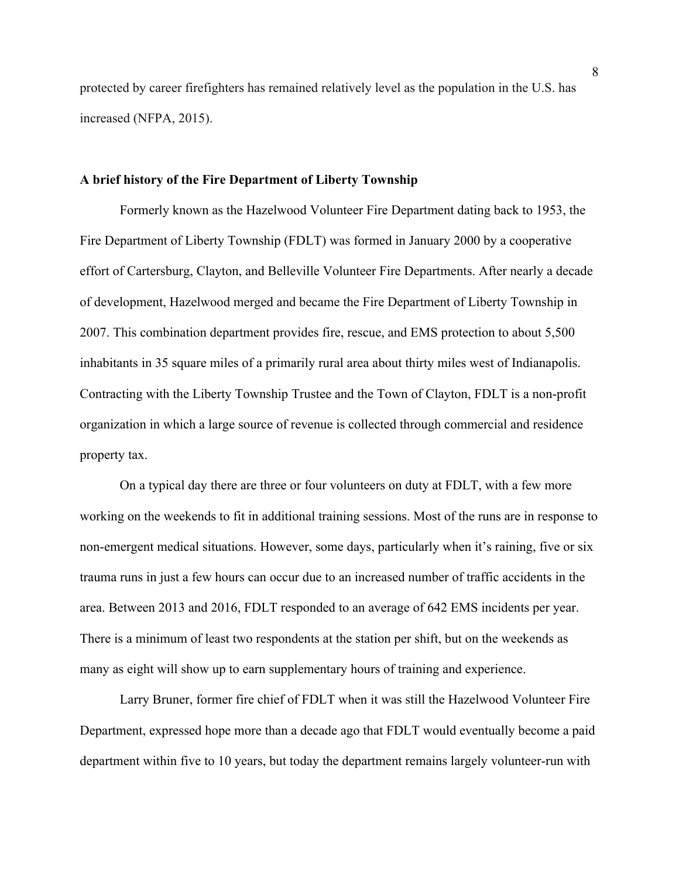protected by career firefighters has remained relatively level as the population in the U.S. has increased (NFPA, 2015).

#### **A brief history of the Fire Department of Liberty Township**

 Formerly known as the Hazelwood Volunteer Fire Department dating back to 1953, the Fire Department of Liberty Township (FDLT) was formed in January 2000 by a cooperative effort of Cartersburg, Clayton, and Belleville Volunteer Fire Departments. After nearly a decade of development, Hazelwood merged and became the Fire Department of Liberty Township in 2007. This combination department provides fire, rescue, and EMS protection to about 5,500 inhabitants in 35 square miles of a primarily rural area about thirty miles west of Indianapolis. Contracting with the Liberty Township Trustee and the Town of Clayton, FDLT is a non-profit organization in which a large source of revenue is collected through commercial and residence property tax.

 On a typical day there are three or four volunteers on duty at FDLT, with a few more working on the weekends to fit in additional training sessions. Most of the runs are in response to non-emergent medical situations. However, some days, particularly when it's raining, five or six trauma runs in just a few hours can occur due to an increased number of traffic accidents in the area. Between 2013 and 2016, FDLT responded to an average of 642 EMS incidents per year. There is a minimum of least two respondents at the station per shift, but on the weekends as many as eight will show up to earn supplementary hours of training and experience.

 Larry Bruner, former fire chief of FDLT when it was still the Hazelwood Volunteer Fire Department, expressed hope more than a decade ago that FDLT would eventually become a paid department within five to 10 years, but today the department remains largely volunteer-run with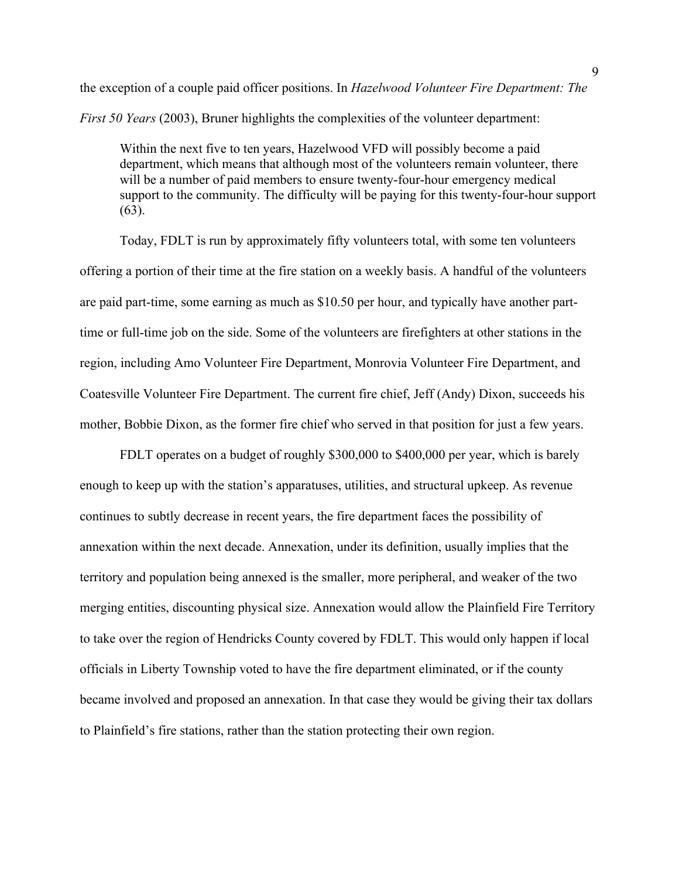the exception of a couple paid officer positions. In *Hazelwood Volunteer Fire Department: The First 50 Years (2003)*, Bruner highlights the complexities of the volunteer department:

Within the next five to ten years, Hazelwood VFD will possibly become a paid department, which means that although most of the volunteers remain volunteer, there will be a number of paid members to ensure twenty-four-hour emergency medical support to the community. The difficulty will be paying for this twenty-four-hour support (63).

Today, FDLT is run by approximately fifty volunteers total, with some ten volunteers offering a portion of their time at the fire station on a weekly basis. A handful of the volunteers are paid part-time, some earning as much as \$10.50 per hour, and typically have another parttime or full-time job on the side. Some of the volunteers are firefighters at other stations in the region, including Amo Volunteer Fire Department, Monrovia Volunteer Fire Department, and Coatesville Volunteer Fire Department. The current fire chief, Jeff (Andy) Dixon, succeeds his mother, Bobbie Dixon, as the former fire chief who served in that position for just a few years.

FDLT operates on a budget of roughly \$300,000 to \$400,000 per year, which is barely enough to keep up with the station's apparatuses, utilities, and structural upkeep. As revenue continues to subtly decrease in recent years, the fire department faces the possibility of annexation within the next decade. Annexation, under its definition, usually implies that the territory and population being annexed is the smaller, more peripheral, and weaker of the two merging entities, discounting physical size. Annexation would allow the Plainfield Fire Territory to take over the region of Hendricks County covered by FDLT. This would only happen if local officials in Liberty Township voted to have the fire department eliminated, or if the county became involved and proposed an annexation. In that case they would be giving their tax dollars to Plainfield's fire stations, rather than the station protecting their own region.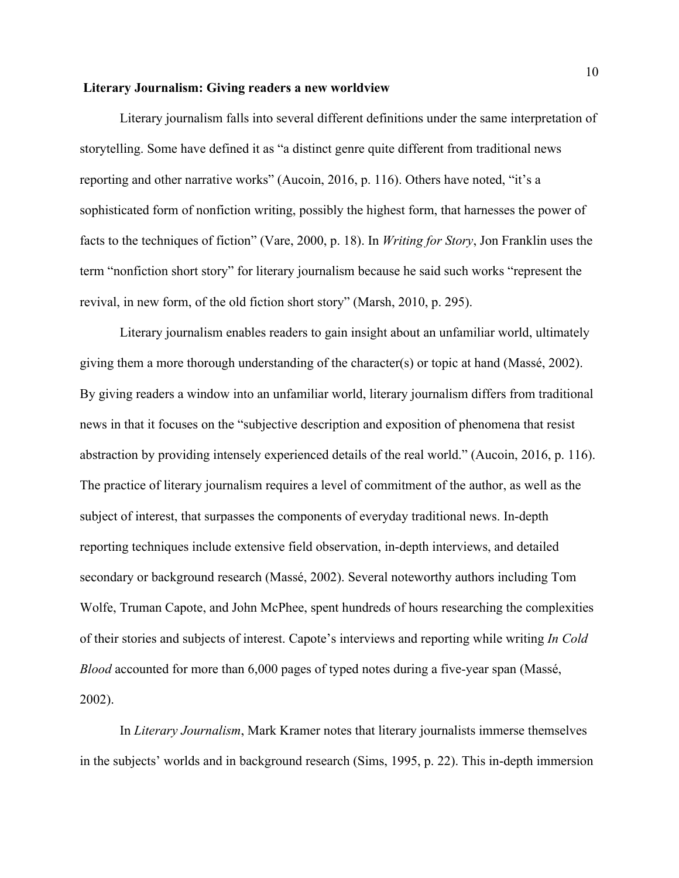#### **Literary Journalism: Giving readers a new worldview**

Literary journalism falls into several different definitions under the same interpretation of storytelling. Some have defined it as "a distinct genre quite different from traditional news reporting and other narrative works" (Aucoin, 2016, p. 116). Others have noted, "it's a sophisticated form of nonfiction writing, possibly the highest form, that harnesses the power of facts to the techniques of fiction" (Vare, 2000, p. 18). In *Writing for Story*, Jon Franklin uses the term "nonfiction short story" for literary journalism because he said such works "represent the revival, in new form, of the old fiction short story" (Marsh, 2010, p. 295).

Literary journalism enables readers to gain insight about an unfamiliar world, ultimately giving them a more thorough understanding of the character(s) or topic at hand (Massé, 2002). By giving readers a window into an unfamiliar world, literary journalism differs from traditional news in that it focuses on the "subjective description and exposition of phenomena that resist abstraction by providing intensely experienced details of the real world." (Aucoin, 2016, p. 116). The practice of literary journalism requires a level of commitment of the author, as well as the subject of interest, that surpasses the components of everyday traditional news. In-depth reporting techniques include extensive field observation, in-depth interviews, and detailed secondary or background research (Massé, 2002). Several noteworthy authors including Tom Wolfe, Truman Capote, and John McPhee, spent hundreds of hours researching the complexities of their stories and subjects of interest. Capote's interviews and reporting while writing *In Cold Blood* accounted for more than 6,000 pages of typed notes during a five-year span (Massé, 2002).

In *Literary Journalism*, Mark Kramer notes that literary journalists immerse themselves in the subjects' worlds and in background research (Sims, 1995, p. 22). This in-depth immersion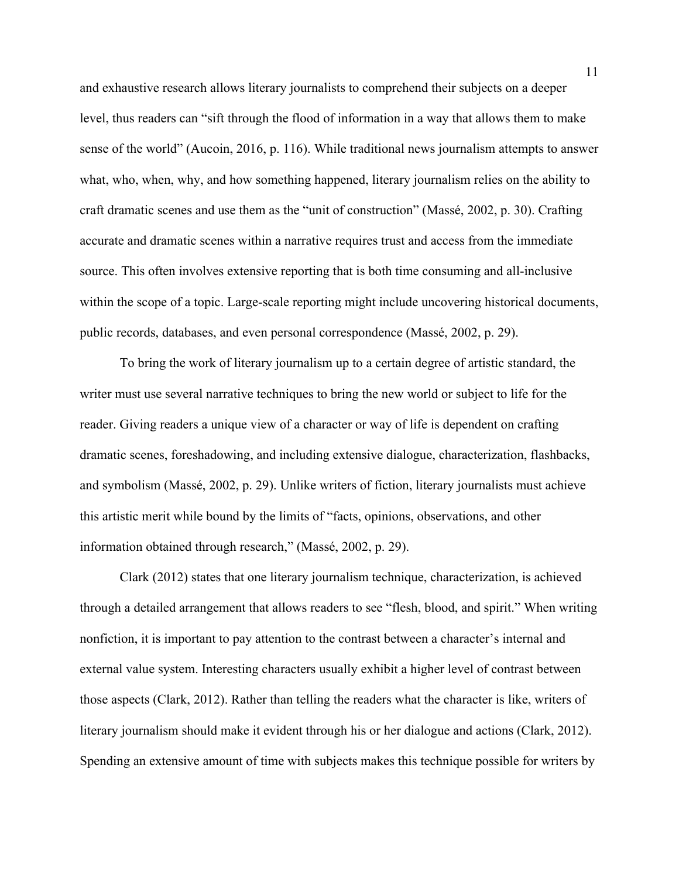and exhaustive research allows literary journalists to comprehend their subjects on a deeper level, thus readers can "sift through the flood of information in a way that allows them to make sense of the world" (Aucoin, 2016, p. 116). While traditional news journalism attempts to answer what, who, when, why, and how something happened, literary journalism relies on the ability to craft dramatic scenes and use them as the "unit of construction" (Massé, 2002, p. 30). Crafting accurate and dramatic scenes within a narrative requires trust and access from the immediate source. This often involves extensive reporting that is both time consuming and all-inclusive within the scope of a topic. Large-scale reporting might include uncovering historical documents, public records, databases, and even personal correspondence (Massé, 2002, p. 29).

To bring the work of literary journalism up to a certain degree of artistic standard, the writer must use several narrative techniques to bring the new world or subject to life for the reader. Giving readers a unique view of a character or way of life is dependent on crafting dramatic scenes, foreshadowing, and including extensive dialogue, characterization, flashbacks, and symbolism (Massé, 2002, p. 29). Unlike writers of fiction, literary journalists must achieve this artistic merit while bound by the limits of "facts, opinions, observations, and other information obtained through research," (Massé, 2002, p. 29).

Clark (2012) states that one literary journalism technique, characterization, is achieved through a detailed arrangement that allows readers to see "flesh, blood, and spirit." When writing nonfiction, it is important to pay attention to the contrast between a character's internal and external value system. Interesting characters usually exhibit a higher level of contrast between those aspects (Clark, 2012). Rather than telling the readers what the character is like, writers of literary journalism should make it evident through his or her dialogue and actions (Clark, 2012). Spending an extensive amount of time with subjects makes this technique possible for writers by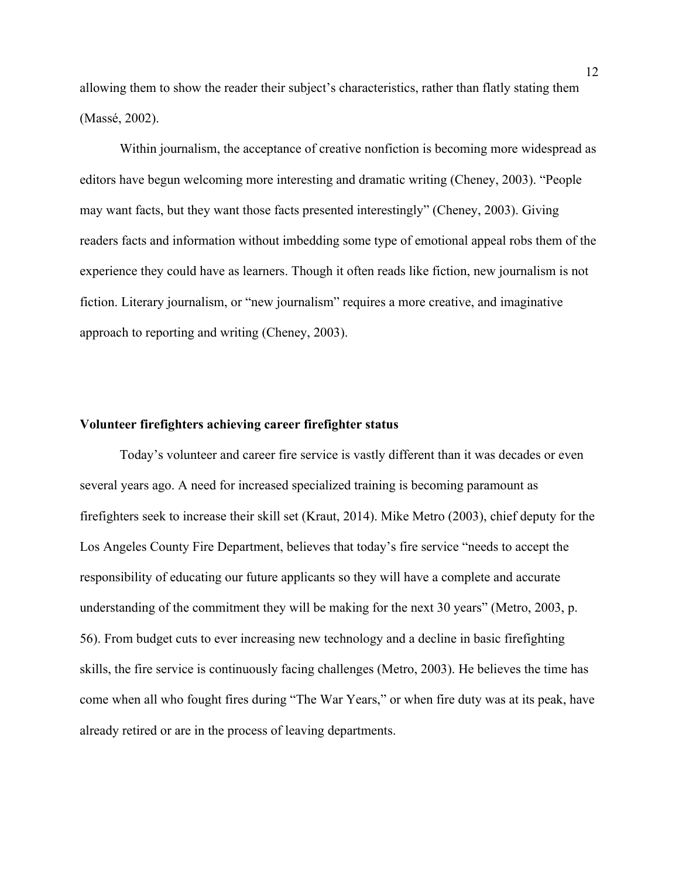allowing them to show the reader their subject's characteristics, rather than flatly stating them (Massé, 2002).

Within journalism, the acceptance of creative nonfiction is becoming more widespread as editors have begun welcoming more interesting and dramatic writing (Cheney, 2003). "People may want facts, but they want those facts presented interestingly" (Cheney, 2003). Giving readers facts and information without imbedding some type of emotional appeal robs them of the experience they could have as learners. Though it often reads like fiction, new journalism is not fiction. Literary journalism, or "new journalism" requires a more creative, and imaginative approach to reporting and writing (Cheney, 2003).

### **Volunteer firefighters achieving career firefighter status**

Today's volunteer and career fire service is vastly different than it was decades or even several years ago. A need for increased specialized training is becoming paramount as firefighters seek to increase their skill set (Kraut, 2014). Mike Metro (2003), chief deputy for the Los Angeles County Fire Department, believes that today's fire service "needs to accept the responsibility of educating our future applicants so they will have a complete and accurate understanding of the commitment they will be making for the next 30 years" (Metro, 2003, p. 56). From budget cuts to ever increasing new technology and a decline in basic firefighting skills, the fire service is continuously facing challenges (Metro, 2003). He believes the time has come when all who fought fires during "The War Years," or when fire duty was at its peak, have already retired or are in the process of leaving departments.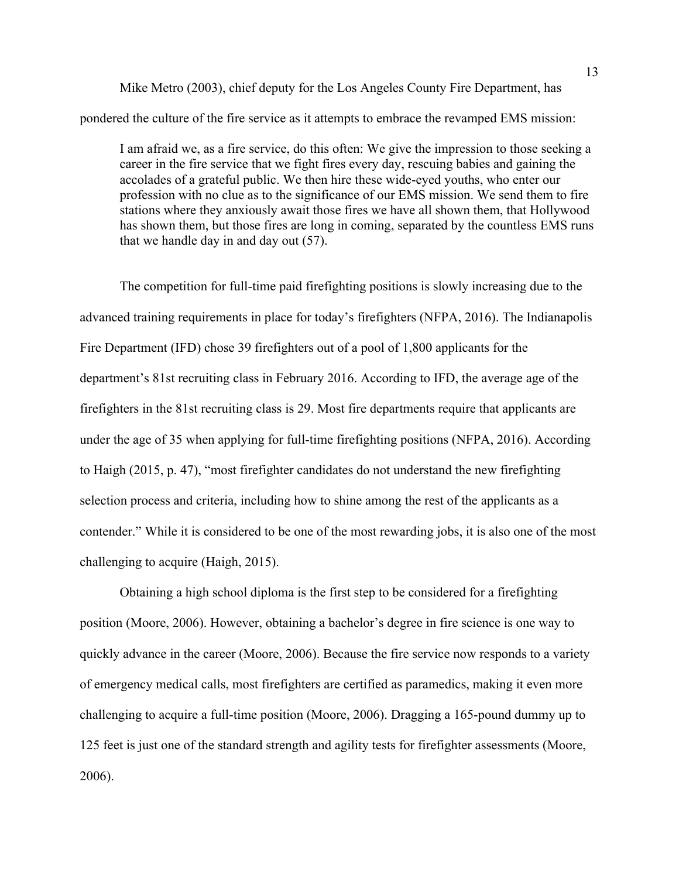Mike Metro (2003), chief deputy for the Los Angeles County Fire Department, has pondered the culture of the fire service as it attempts to embrace the revamped EMS mission:

I am afraid we, as a fire service, do this often: We give the impression to those seeking a career in the fire service that we fight fires every day, rescuing babies and gaining the accolades of a grateful public. We then hire these wide-eyed youths, who enter our profession with no clue as to the significance of our EMS mission. We send them to fire stations where they anxiously await those fires we have all shown them, that Hollywood has shown them, but those fires are long in coming, separated by the countless EMS runs that we handle day in and day out (57).

The competition for full-time paid firefighting positions is slowly increasing due to the advanced training requirements in place for today's firefighters (NFPA, 2016). The Indianapolis Fire Department (IFD) chose 39 firefighters out of a pool of 1,800 applicants for the department's 81st recruiting class in February 2016. According to IFD, the average age of the firefighters in the 81st recruiting class is 29. Most fire departments require that applicants are under the age of 35 when applying for full-time firefighting positions (NFPA, 2016). According to Haigh (2015, p. 47), "most firefighter candidates do not understand the new firefighting selection process and criteria, including how to shine among the rest of the applicants as a contender." While it is considered to be one of the most rewarding jobs, it is also one of the most challenging to acquire (Haigh, 2015).

 Obtaining a high school diploma is the first step to be considered for a firefighting position (Moore, 2006). However, obtaining a bachelor's degree in fire science is one way to quickly advance in the career (Moore, 2006). Because the fire service now responds to a variety of emergency medical calls, most firefighters are certified as paramedics, making it even more challenging to acquire a full-time position (Moore, 2006). Dragging a 165-pound dummy up to 125 feet is just one of the standard strength and agility tests for firefighter assessments (Moore, 2006).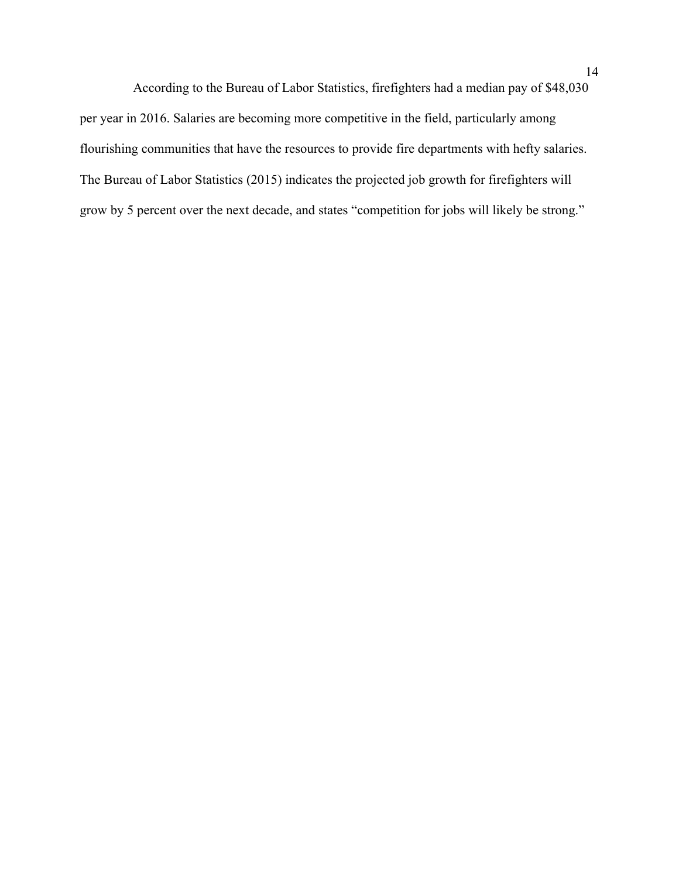According to the Bureau of Labor Statistics, firefighters had a median pay of \$48,030 per year in 2016. Salaries are becoming more competitive in the field, particularly among flourishing communities that have the resources to provide fire departments with hefty salaries. The Bureau of Labor Statistics (2015) indicates the projected job growth for firefighters will grow by 5 percent over the next decade, and states "competition for jobs will likely be strong."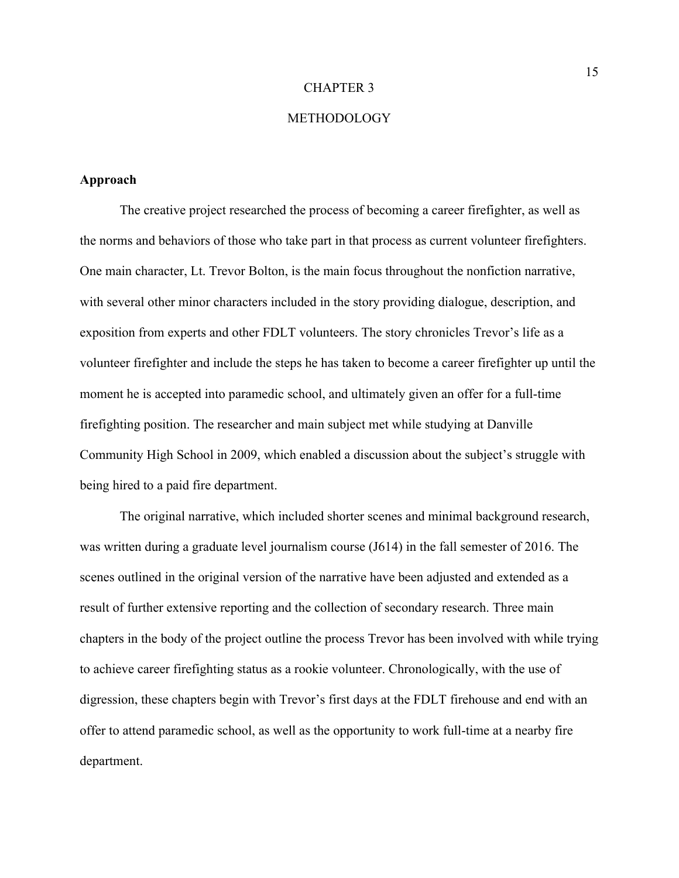#### CHAPTER 3

# METHODOLOGY

### **Approach**

 The creative project researched the process of becoming a career firefighter, as well as the norms and behaviors of those who take part in that process as current volunteer firefighters. One main character, Lt. Trevor Bolton, is the main focus throughout the nonfiction narrative, with several other minor characters included in the story providing dialogue, description, and exposition from experts and other FDLT volunteers. The story chronicles Trevor's life as a volunteer firefighter and include the steps he has taken to become a career firefighter up until the moment he is accepted into paramedic school, and ultimately given an offer for a full-time firefighting position. The researcher and main subject met while studying at Danville Community High School in 2009, which enabled a discussion about the subject's struggle with being hired to a paid fire department.

The original narrative, which included shorter scenes and minimal background research, was written during a graduate level journalism course (J614) in the fall semester of 2016. The scenes outlined in the original version of the narrative have been adjusted and extended as a result of further extensive reporting and the collection of secondary research. Three main chapters in the body of the project outline the process Trevor has been involved with while trying to achieve career firefighting status as a rookie volunteer. Chronologically, with the use of digression, these chapters begin with Trevor's first days at the FDLT firehouse and end with an offer to attend paramedic school, as well as the opportunity to work full-time at a nearby fire department.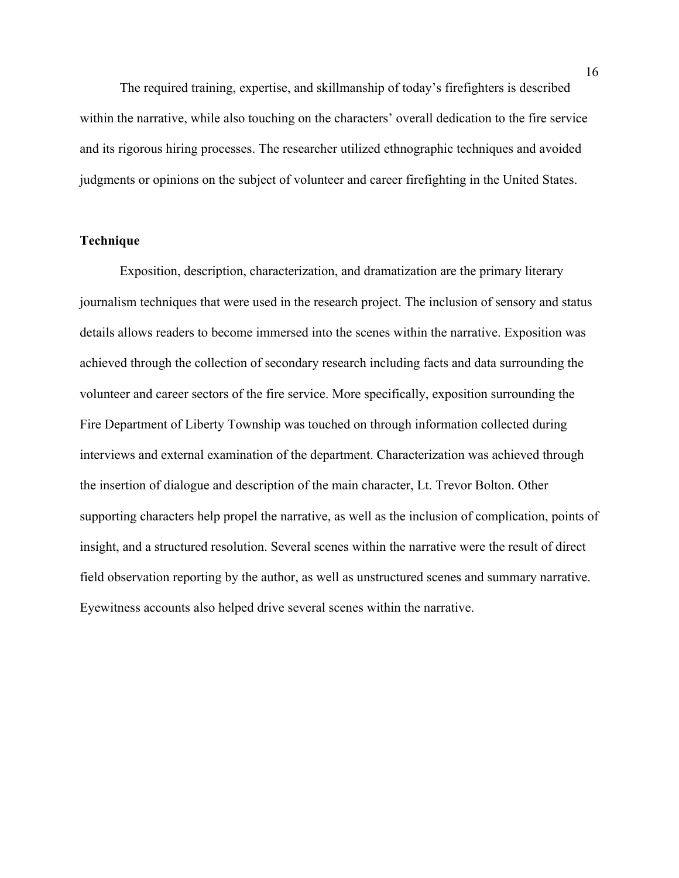The required training, expertise, and skillmanship of today's firefighters is described within the narrative, while also touching on the characters' overall dedication to the fire service and its rigorous hiring processes. The researcher utilized ethnographic techniques and avoided judgments or opinions on the subject of volunteer and career firefighting in the United States.

### **Technique**

 Exposition, description, characterization, and dramatization are the primary literary journalism techniques that were used in the research project. The inclusion of sensory and status details allows readers to become immersed into the scenes within the narrative. Exposition was achieved through the collection of secondary research including facts and data surrounding the volunteer and career sectors of the fire service. More specifically, exposition surrounding the Fire Department of Liberty Township was touched on through information collected during interviews and external examination of the department. Characterization was achieved through the insertion of dialogue and description of the main character, Lt. Trevor Bolton. Other supporting characters help propel the narrative, as well as the inclusion of complication, points of insight, and a structured resolution. Several scenes within the narrative were the result of direct field observation reporting by the author, as well as unstructured scenes and summary narrative. Eyewitness accounts also helped drive several scenes within the narrative.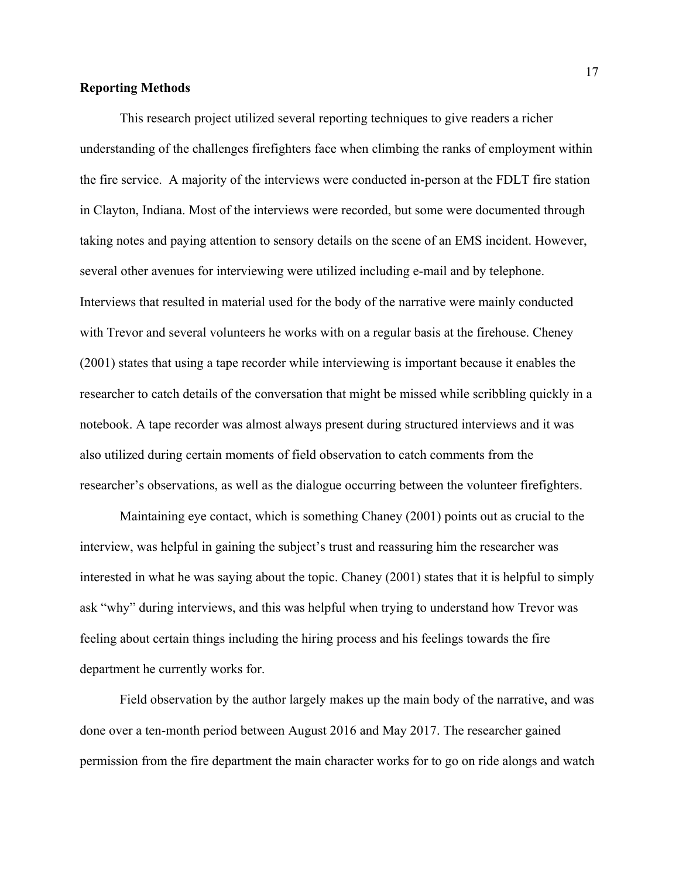# **Reporting Methods**

This research project utilized several reporting techniques to give readers a richer understanding of the challenges firefighters face when climbing the ranks of employment within the fire service. A majority of the interviews were conducted in-person at the FDLT fire station in Clayton, Indiana. Most of the interviews were recorded, but some were documented through taking notes and paying attention to sensory details on the scene of an EMS incident. However, several other avenues for interviewing were utilized including e-mail and by telephone. Interviews that resulted in material used for the body of the narrative were mainly conducted with Trevor and several volunteers he works with on a regular basis at the firehouse. Cheney (2001) states that using a tape recorder while interviewing is important because it enables the researcher to catch details of the conversation that might be missed while scribbling quickly in a notebook. A tape recorder was almost always present during structured interviews and it was also utilized during certain moments of field observation to catch comments from the researcher's observations, as well as the dialogue occurring between the volunteer firefighters.

Maintaining eye contact, which is something Chaney (2001) points out as crucial to the interview, was helpful in gaining the subject's trust and reassuring him the researcher was interested in what he was saying about the topic. Chaney (2001) states that it is helpful to simply ask "why" during interviews, and this was helpful when trying to understand how Trevor was feeling about certain things including the hiring process and his feelings towards the fire department he currently works for.

Field observation by the author largely makes up the main body of the narrative, and was done over a ten-month period between August 2016 and May 2017. The researcher gained permission from the fire department the main character works for to go on ride alongs and watch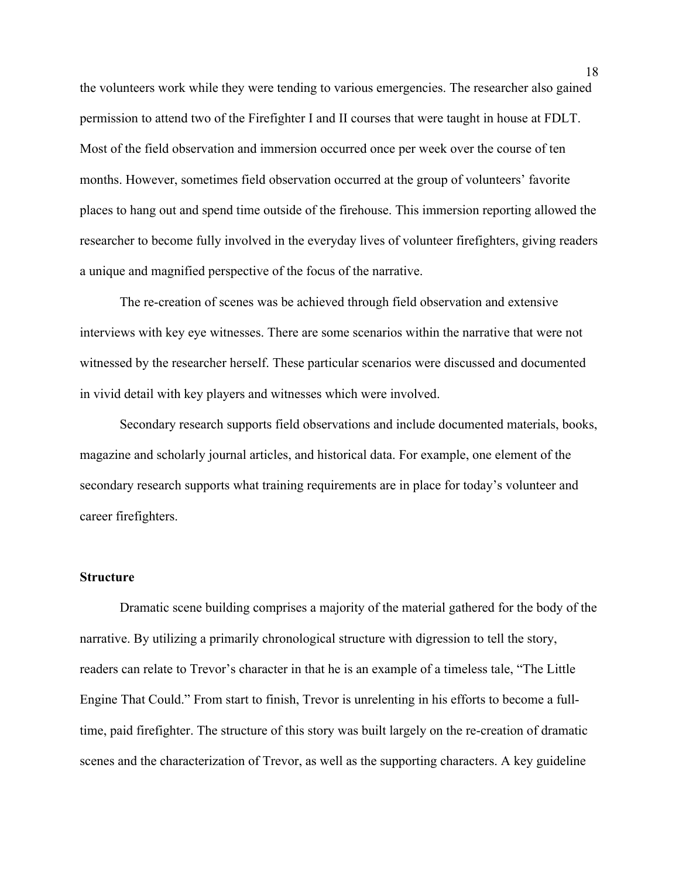the volunteers work while they were tending to various emergencies. The researcher also gained permission to attend two of the Firefighter I and II courses that were taught in house at FDLT. Most of the field observation and immersion occurred once per week over the course of ten months. However, sometimes field observation occurred at the group of volunteers' favorite places to hang out and spend time outside of the firehouse. This immersion reporting allowed the researcher to become fully involved in the everyday lives of volunteer firefighters, giving readers a unique and magnified perspective of the focus of the narrative.

The re-creation of scenes was be achieved through field observation and extensive interviews with key eye witnesses. There are some scenarios within the narrative that were not witnessed by the researcher herself. These particular scenarios were discussed and documented in vivid detail with key players and witnesses which were involved.

Secondary research supports field observations and include documented materials, books, magazine and scholarly journal articles, and historical data. For example, one element of the secondary research supports what training requirements are in place for today's volunteer and career firefighters.

# **Structure**

 Dramatic scene building comprises a majority of the material gathered for the body of the narrative. By utilizing a primarily chronological structure with digression to tell the story, readers can relate to Trevor's character in that he is an example of a timeless tale, "The Little Engine That Could." From start to finish, Trevor is unrelenting in his efforts to become a fulltime, paid firefighter. The structure of this story was built largely on the re-creation of dramatic scenes and the characterization of Trevor, as well as the supporting characters. A key guideline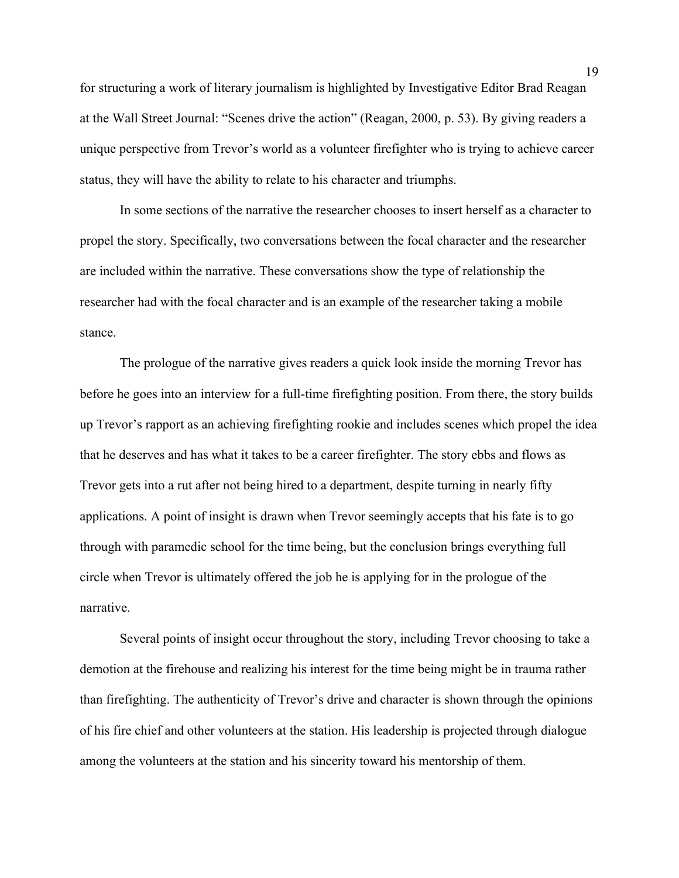for structuring a work of literary journalism is highlighted by Investigative Editor Brad Reagan at the Wall Street Journal: "Scenes drive the action" (Reagan, 2000, p. 53). By giving readers a unique perspective from Trevor's world as a volunteer firefighter who is trying to achieve career status, they will have the ability to relate to his character and triumphs.

In some sections of the narrative the researcher chooses to insert herself as a character to propel the story. Specifically, two conversations between the focal character and the researcher are included within the narrative. These conversations show the type of relationship the researcher had with the focal character and is an example of the researcher taking a mobile stance.

The prologue of the narrative gives readers a quick look inside the morning Trevor has before he goes into an interview for a full-time firefighting position. From there, the story builds up Trevor's rapport as an achieving firefighting rookie and includes scenes which propel the idea that he deserves and has what it takes to be a career firefighter. The story ebbs and flows as Trevor gets into a rut after not being hired to a department, despite turning in nearly fifty applications. A point of insight is drawn when Trevor seemingly accepts that his fate is to go through with paramedic school for the time being, but the conclusion brings everything full circle when Trevor is ultimately offered the job he is applying for in the prologue of the narrative.

Several points of insight occur throughout the story, including Trevor choosing to take a demotion at the firehouse and realizing his interest for the time being might be in trauma rather than firefighting. The authenticity of Trevor's drive and character is shown through the opinions of his fire chief and other volunteers at the station. His leadership is projected through dialogue among the volunteers at the station and his sincerity toward his mentorship of them.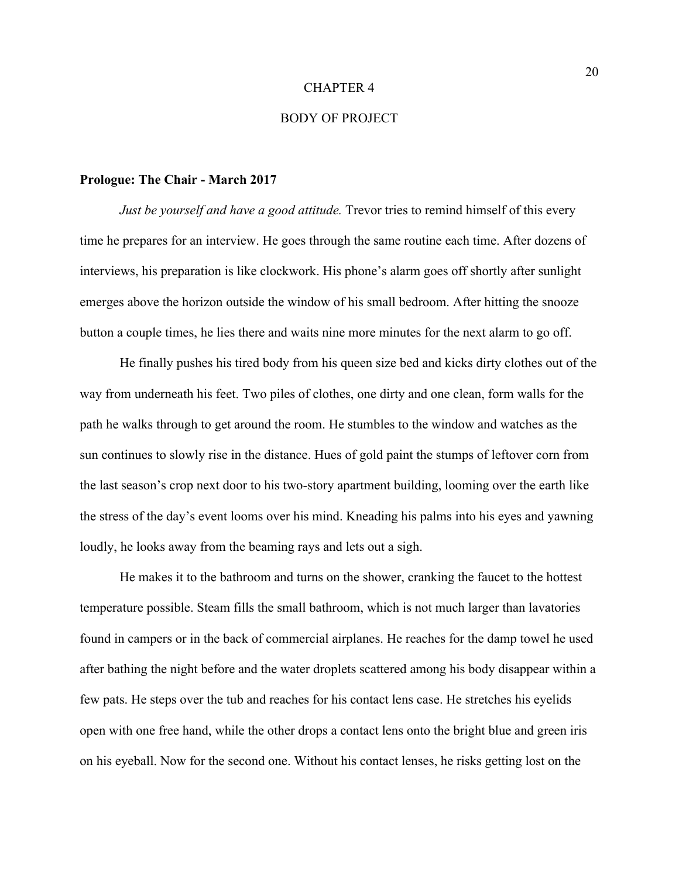#### CHAPTER 4

# BODY OF PROJECT

#### **Prologue: The Chair - March 2017**

*Just be yourself and have a good attitude.* Trevor tries to remind himself of this every time he prepares for an interview. He goes through the same routine each time. After dozens of interviews, his preparation is like clockwork. His phone's alarm goes off shortly after sunlight emerges above the horizon outside the window of his small bedroom. After hitting the snooze button a couple times, he lies there and waits nine more minutes for the next alarm to go off.

He finally pushes his tired body from his queen size bed and kicks dirty clothes out of the way from underneath his feet. Two piles of clothes, one dirty and one clean, form walls for the path he walks through to get around the room. He stumbles to the window and watches as the sun continues to slowly rise in the distance. Hues of gold paint the stumps of leftover corn from the last season's crop next door to his two-story apartment building, looming over the earth like the stress of the day's event looms over his mind. Kneading his palms into his eyes and yawning loudly, he looks away from the beaming rays and lets out a sigh.

He makes it to the bathroom and turns on the shower, cranking the faucet to the hottest temperature possible. Steam fills the small bathroom, which is not much larger than lavatories found in campers or in the back of commercial airplanes. He reaches for the damp towel he used after bathing the night before and the water droplets scattered among his body disappear within a few pats. He steps over the tub and reaches for his contact lens case. He stretches his eyelids open with one free hand, while the other drops a contact lens onto the bright blue and green iris on his eyeball. Now for the second one. Without his contact lenses, he risks getting lost on the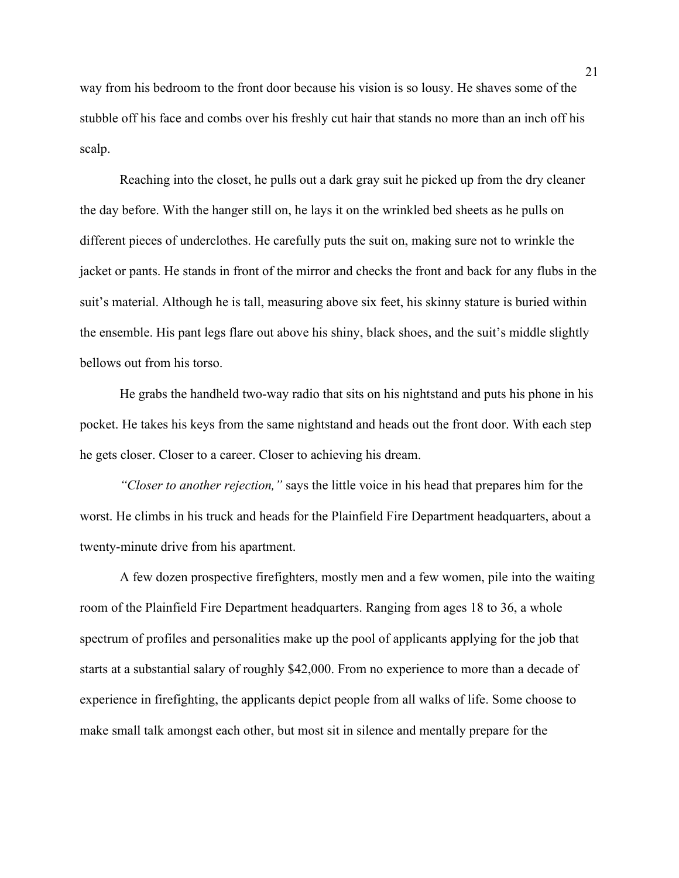way from his bedroom to the front door because his vision is so lousy. He shaves some of the stubble off his face and combs over his freshly cut hair that stands no more than an inch off his scalp.

Reaching into the closet, he pulls out a dark gray suit he picked up from the dry cleaner the day before. With the hanger still on, he lays it on the wrinkled bed sheets as he pulls on different pieces of underclothes. He carefully puts the suit on, making sure not to wrinkle the jacket or pants. He stands in front of the mirror and checks the front and back for any flubs in the suit's material. Although he is tall, measuring above six feet, his skinny stature is buried within the ensemble. His pant legs flare out above his shiny, black shoes, and the suit's middle slightly bellows out from his torso.

He grabs the handheld two-way radio that sits on his nightstand and puts his phone in his pocket. He takes his keys from the same nightstand and heads out the front door. With each step he gets closer. Closer to a career. Closer to achieving his dream.

*"Closer to another rejection,"* says the little voice in his head that prepares him for the worst. He climbs in his truck and heads for the Plainfield Fire Department headquarters, about a twenty-minute drive from his apartment.

A few dozen prospective firefighters, mostly men and a few women, pile into the waiting room of the Plainfield Fire Department headquarters. Ranging from ages 18 to 36, a whole spectrum of profiles and personalities make up the pool of applicants applying for the job that starts at a substantial salary of roughly \$42,000. From no experience to more than a decade of experience in firefighting, the applicants depict people from all walks of life. Some choose to make small talk amongst each other, but most sit in silence and mentally prepare for the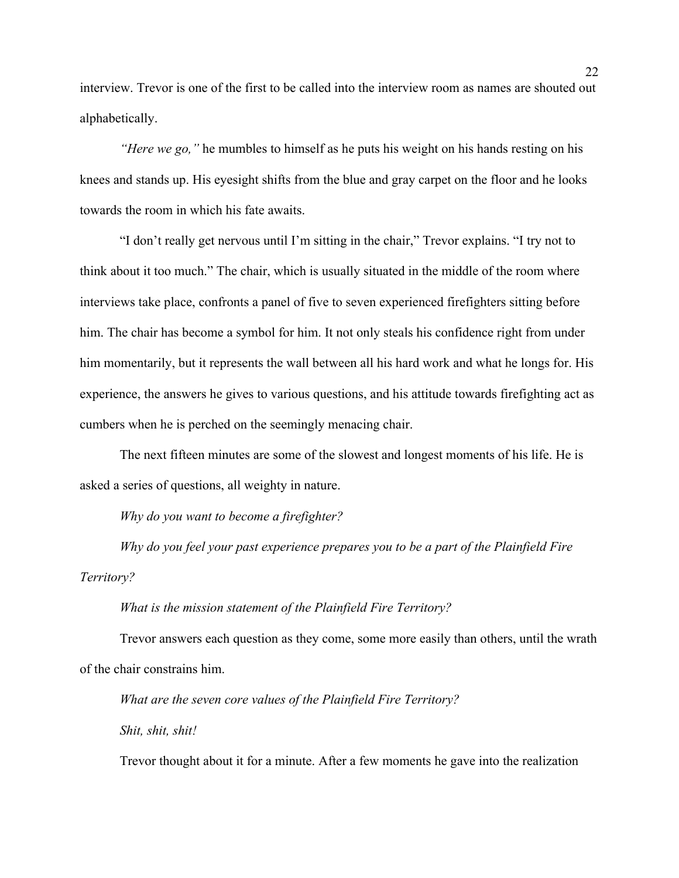interview. Trevor is one of the first to be called into the interview room as names are shouted out alphabetically.

*"Here we go,"* he mumbles to himself as he puts his weight on his hands resting on his knees and stands up. His eyesight shifts from the blue and gray carpet on the floor and he looks towards the room in which his fate awaits.

"I don't really get nervous until I'm sitting in the chair," Trevor explains. "I try not to think about it too much." The chair, which is usually situated in the middle of the room where interviews take place, confronts a panel of five to seven experienced firefighters sitting before him. The chair has become a symbol for him. It not only steals his confidence right from under him momentarily, but it represents the wall between all his hard work and what he longs for. His experience, the answers he gives to various questions, and his attitude towards firefighting act as cumbers when he is perched on the seemingly menacing chair.

The next fifteen minutes are some of the slowest and longest moments of his life. He is asked a series of questions, all weighty in nature.

*Why do you want to become a firefighter?* 

*Why do you feel your past experience prepares you to be a part of the Plainfield Fire Territory?* 

*What is the mission statement of the Plainfield Fire Territory?* 

Trevor answers each question as they come, some more easily than others, until the wrath of the chair constrains him.

*What are the seven core values of the Plainfield Fire Territory? Shit, shit, shit!* 

Trevor thought about it for a minute. After a few moments he gave into the realization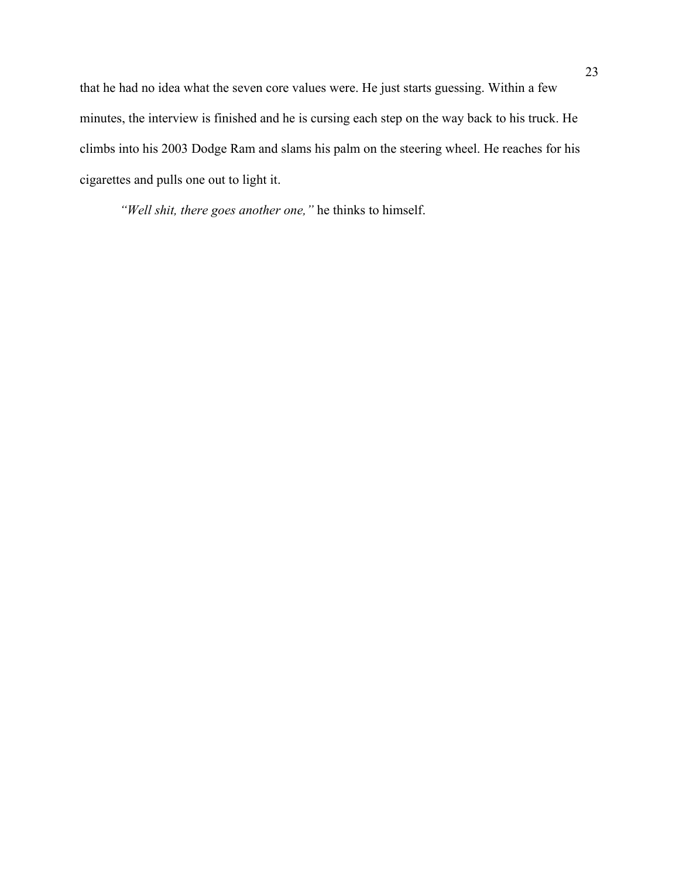that he had no idea what the seven core values were. He just starts guessing. Within a few minutes, the interview is finished and he is cursing each step on the way back to his truck. He climbs into his 2003 Dodge Ram and slams his palm on the steering wheel. He reaches for his cigarettes and pulls one out to light it.

*"Well shit, there goes another one,"* he thinks to himself.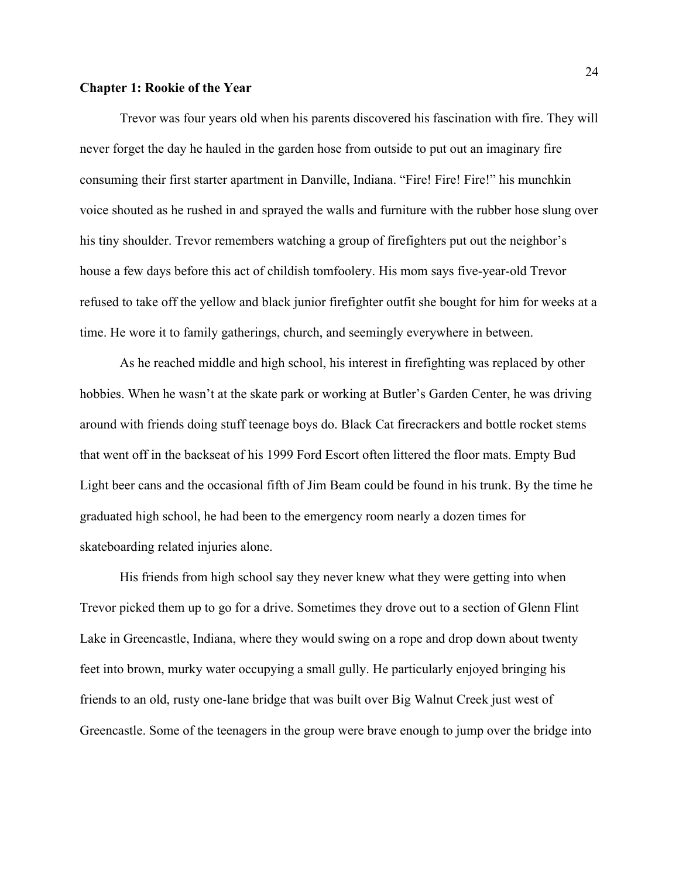### **Chapter 1: Rookie of the Year**

Trevor was four years old when his parents discovered his fascination with fire. They will never forget the day he hauled in the garden hose from outside to put out an imaginary fire consuming their first starter apartment in Danville, Indiana. "Fire! Fire! Fire!" his munchkin voice shouted as he rushed in and sprayed the walls and furniture with the rubber hose slung over his tiny shoulder. Trevor remembers watching a group of firefighters put out the neighbor's house a few days before this act of childish tomfoolery. His mom says five-year-old Trevor refused to take off the yellow and black junior firefighter outfit she bought for him for weeks at a time. He wore it to family gatherings, church, and seemingly everywhere in between.

As he reached middle and high school, his interest in firefighting was replaced by other hobbies. When he wasn't at the skate park or working at Butler's Garden Center, he was driving around with friends doing stuff teenage boys do. Black Cat firecrackers and bottle rocket stems that went off in the backseat of his 1999 Ford Escort often littered the floor mats. Empty Bud Light beer cans and the occasional fifth of Jim Beam could be found in his trunk. By the time he graduated high school, he had been to the emergency room nearly a dozen times for skateboarding related injuries alone.

His friends from high school say they never knew what they were getting into when Trevor picked them up to go for a drive. Sometimes they drove out to a section of Glenn Flint Lake in Greencastle, Indiana, where they would swing on a rope and drop down about twenty feet into brown, murky water occupying a small gully. He particularly enjoyed bringing his friends to an old, rusty one-lane bridge that was built over Big Walnut Creek just west of Greencastle. Some of the teenagers in the group were brave enough to jump over the bridge into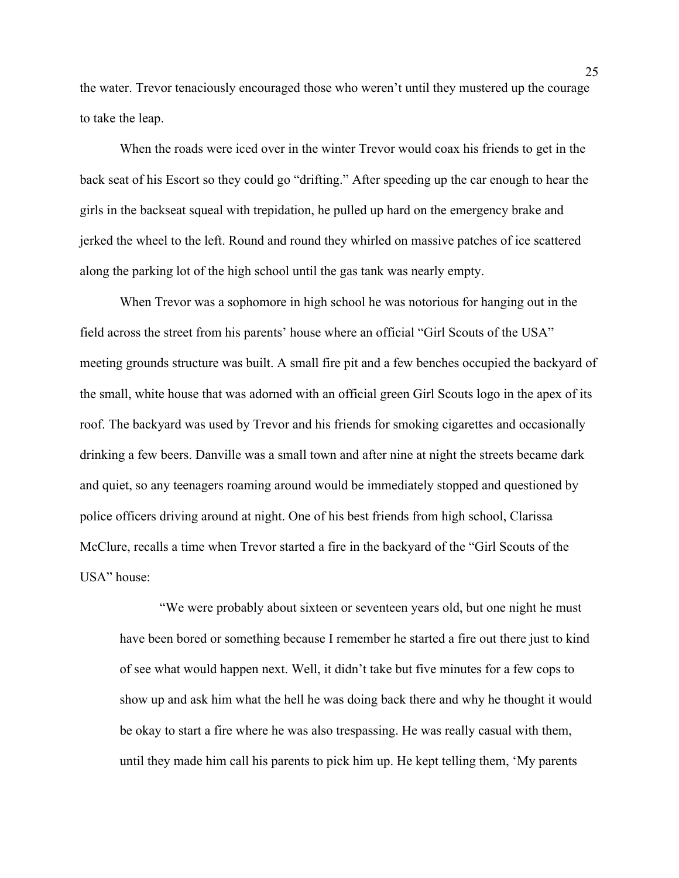the water. Trevor tenaciously encouraged those who weren't until they mustered up the courage to take the leap.

When the roads were iced over in the winter Trevor would coax his friends to get in the back seat of his Escort so they could go "drifting." After speeding up the car enough to hear the girls in the backseat squeal with trepidation, he pulled up hard on the emergency brake and jerked the wheel to the left. Round and round they whirled on massive patches of ice scattered along the parking lot of the high school until the gas tank was nearly empty.

When Trevor was a sophomore in high school he was notorious for hanging out in the field across the street from his parents' house where an official "Girl Scouts of the USA" meeting grounds structure was built. A small fire pit and a few benches occupied the backyard of the small, white house that was adorned with an official green Girl Scouts logo in the apex of its roof. The backyard was used by Trevor and his friends for smoking cigarettes and occasionally drinking a few beers. Danville was a small town and after nine at night the streets became dark and quiet, so any teenagers roaming around would be immediately stopped and questioned by police officers driving around at night. One of his best friends from high school, Clarissa McClure, recalls a time when Trevor started a fire in the backyard of the "Girl Scouts of the USA" house:

"We were probably about sixteen or seventeen years old, but one night he must have been bored or something because I remember he started a fire out there just to kind of see what would happen next. Well, it didn't take but five minutes for a few cops to show up and ask him what the hell he was doing back there and why he thought it would be okay to start a fire where he was also trespassing. He was really casual with them, until they made him call his parents to pick him up. He kept telling them, 'My parents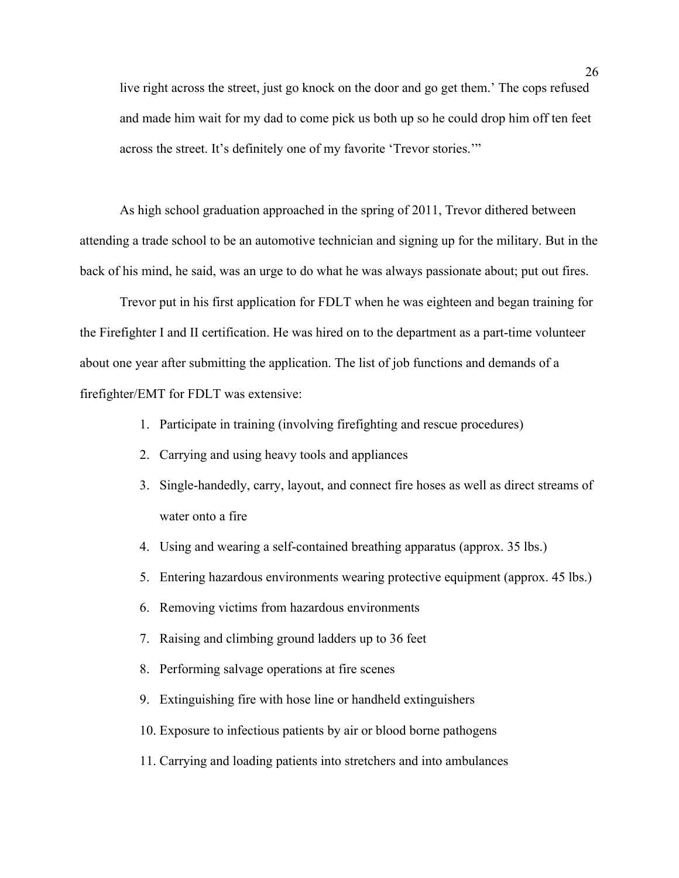live right across the street, just go knock on the door and go get them.' The cops refused and made him wait for my dad to come pick us both up so he could drop him off ten feet across the street. It's definitely one of my favorite 'Trevor stories.'"

As high school graduation approached in the spring of 2011, Trevor dithered between attending a trade school to be an automotive technician and signing up for the military. But in the back of his mind, he said, was an urge to do what he was always passionate about; put out fires.

Trevor put in his first application for FDLT when he was eighteen and began training for the Firefighter I and II certification. He was hired on to the department as a part-time volunteer about one year after submitting the application. The list of job functions and demands of a firefighter/EMT for FDLT was extensive:

- 1. Participate in training (involving firefighting and rescue procedures)
- 2. Carrying and using heavy tools and appliances
- 3. Single-handedly, carry, layout, and connect fire hoses as well as direct streams of water onto a fire
- 4. Using and wearing a self-contained breathing apparatus (approx. 35 lbs.)
- 5. Entering hazardous environments wearing protective equipment (approx. 45 lbs.)
- 6. Removing victims from hazardous environments
- 7. Raising and climbing ground ladders up to 36 feet
- 8. Performing salvage operations at fire scenes
- 9. Extinguishing fire with hose line or handheld extinguishers
- 10. Exposure to infectious patients by air or blood borne pathogens
- 11. Carrying and loading patients into stretchers and into ambulances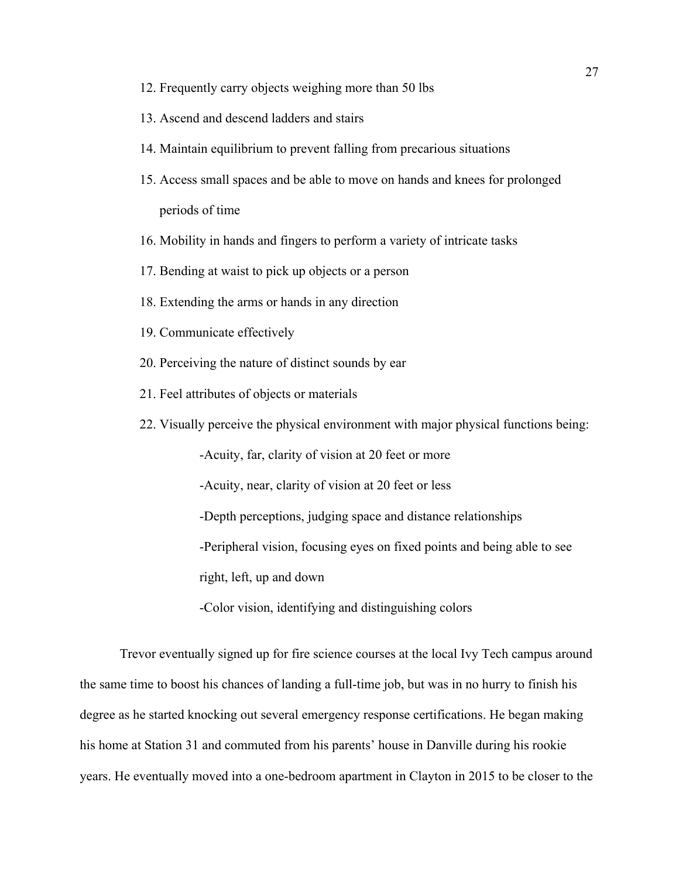- 12. Frequently carry objects weighing more than 50 lbs
- 13. Ascend and descend ladders and stairs
- 14. Maintain equilibrium to prevent falling from precarious situations
- 15. Access small spaces and be able to move on hands and knees for prolonged periods of time
- 16. Mobility in hands and fingers to perform a variety of intricate tasks
- 17. Bending at waist to pick up objects or a person
- 18. Extending the arms or hands in any direction
- 19. Communicate effectively
- 20. Perceiving the nature of distinct sounds by ear
- 21. Feel attributes of objects or materials
- 22. Visually perceive the physical environment with major physical functions being:

-Acuity, far, clarity of vision at 20 feet or more

-Acuity, near, clarity of vision at 20 feet or less

-Depth perceptions, judging space and distance relationships

-Peripheral vision, focusing eyes on fixed points and being able to see

right, left, up and down

-Color vision, identifying and distinguishing colors

Trevor eventually signed up for fire science courses at the local Ivy Tech campus around the same time to boost his chances of landing a full-time job, but was in no hurry to finish his degree as he started knocking out several emergency response certifications. He began making his home at Station 31 and commuted from his parents' house in Danville during his rookie years. He eventually moved into a one-bedroom apartment in Clayton in 2015 to be closer to the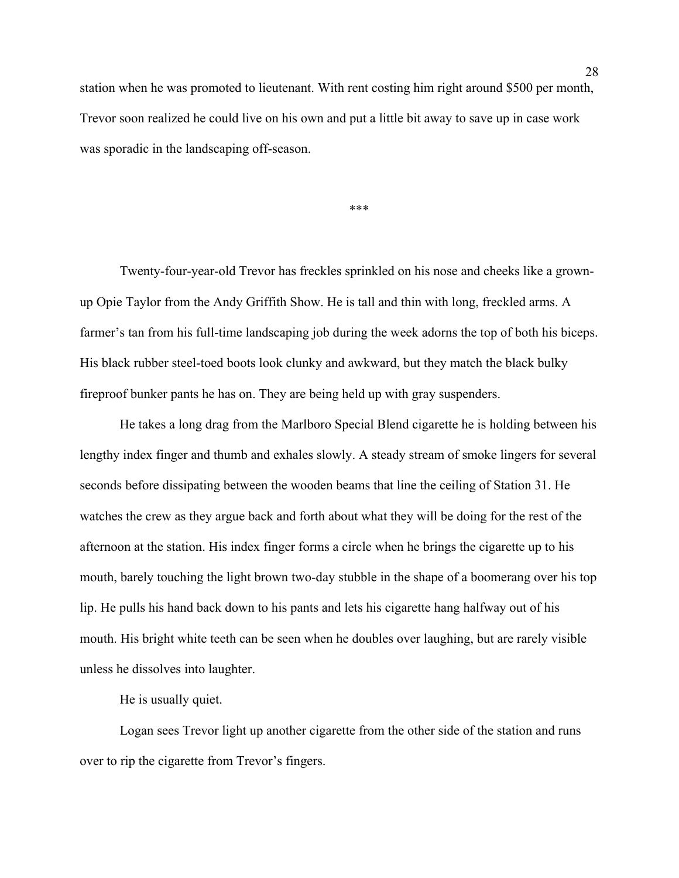station when he was promoted to lieutenant. With rent costing him right around \$500 per month, Trevor soon realized he could live on his own and put a little bit away to save up in case work was sporadic in the landscaping off-season.

\*\*\*

Twenty-four-year-old Trevor has freckles sprinkled on his nose and cheeks like a grownup Opie Taylor from the Andy Griffith Show. He is tall and thin with long, freckled arms. A farmer's tan from his full-time landscaping job during the week adorns the top of both his biceps. His black rubber steel-toed boots look clunky and awkward, but they match the black bulky fireproof bunker pants he has on. They are being held up with gray suspenders.

He takes a long drag from the Marlboro Special Blend cigarette he is holding between his lengthy index finger and thumb and exhales slowly. A steady stream of smoke lingers for several seconds before dissipating between the wooden beams that line the ceiling of Station 31. He watches the crew as they argue back and forth about what they will be doing for the rest of the afternoon at the station. His index finger forms a circle when he brings the cigarette up to his mouth, barely touching the light brown two-day stubble in the shape of a boomerang over his top lip. He pulls his hand back down to his pants and lets his cigarette hang halfway out of his mouth. His bright white teeth can be seen when he doubles over laughing, but are rarely visible unless he dissolves into laughter.

He is usually quiet.

Logan sees Trevor light up another cigarette from the other side of the station and runs over to rip the cigarette from Trevor's fingers.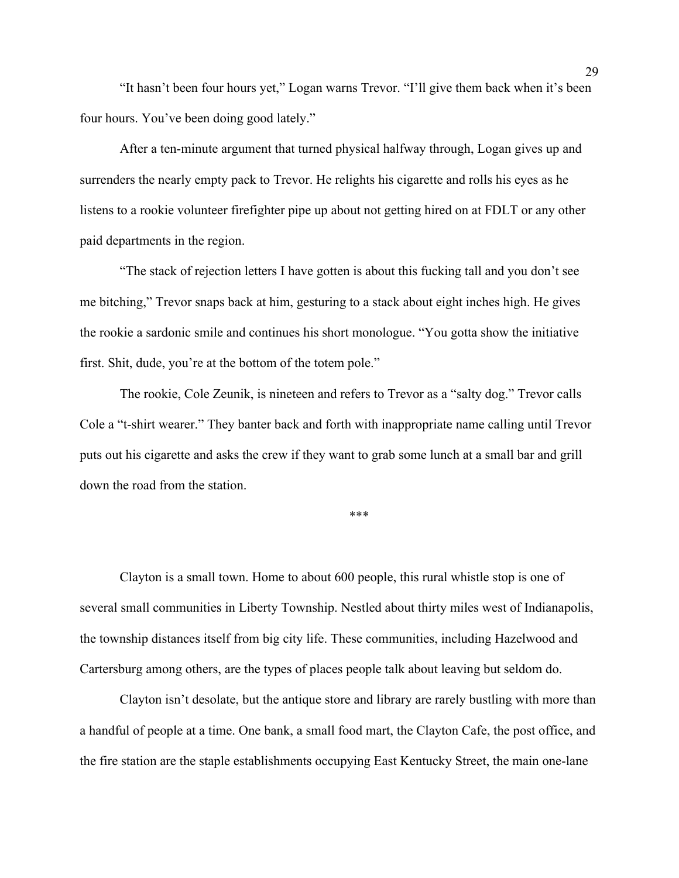"It hasn't been four hours yet," Logan warns Trevor. "I'll give them back when it's been four hours. You've been doing good lately."

After a ten-minute argument that turned physical halfway through, Logan gives up and surrenders the nearly empty pack to Trevor. He relights his cigarette and rolls his eyes as he listens to a rookie volunteer firefighter pipe up about not getting hired on at FDLT or any other paid departments in the region.

"The stack of rejection letters I have gotten is about this fucking tall and you don't see me bitching," Trevor snaps back at him, gesturing to a stack about eight inches high. He gives the rookie a sardonic smile and continues his short monologue. "You gotta show the initiative first. Shit, dude, you're at the bottom of the totem pole."

The rookie, Cole Zeunik, is nineteen and refers to Trevor as a "salty dog." Trevor calls Cole a "t-shirt wearer." They banter back and forth with inappropriate name calling until Trevor puts out his cigarette and asks the crew if they want to grab some lunch at a small bar and grill down the road from the station.

\*\*\*

Clayton is a small town. Home to about 600 people, this rural whistle stop is one of several small communities in Liberty Township. Nestled about thirty miles west of Indianapolis, the township distances itself from big city life. These communities, including Hazelwood and Cartersburg among others, are the types of places people talk about leaving but seldom do.

Clayton isn't desolate, but the antique store and library are rarely bustling with more than a handful of people at a time. One bank, a small food mart, the Clayton Cafe, the post office, and the fire station are the staple establishments occupying East Kentucky Street, the main one-lane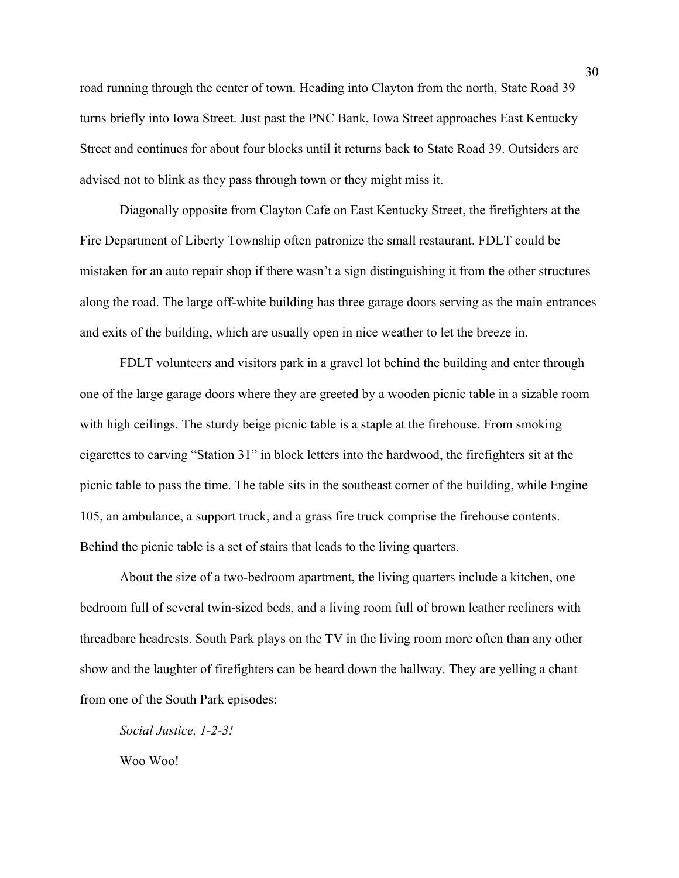road running through the center of town. Heading into Clayton from the north, State Road 39 turns briefly into Iowa Street. Just past the PNC Bank, Iowa Street approaches East Kentucky Street and continues for about four blocks until it returns back to State Road 39. Outsiders are advised not to blink as they pass through town or they might miss it.

Diagonally opposite from Clayton Cafe on East Kentucky Street, the firefighters at the Fire Department of Liberty Township often patronize the small restaurant. FDLT could be mistaken for an auto repair shop if there wasn't a sign distinguishing it from the other structures along the road. The large off-white building has three garage doors serving as the main entrances and exits of the building, which are usually open in nice weather to let the breeze in.

FDLT volunteers and visitors park in a gravel lot behind the building and enter through one of the large garage doors where they are greeted by a wooden picnic table in a sizable room with high ceilings. The sturdy beige picnic table is a staple at the firehouse. From smoking cigarettes to carving "Station 31" in block letters into the hardwood, the firefighters sit at the picnic table to pass the time. The table sits in the southeast corner of the building, while Engine 105, an ambulance, a support truck, and a grass fire truck comprise the firehouse contents. Behind the picnic table is a set of stairs that leads to the living quarters.

About the size of a two-bedroom apartment, the living quarters include a kitchen, one bedroom full of several twin-sized beds, and a living room full of brown leather recliners with threadbare headrests. South Park plays on the TV in the living room more often than any other show and the laughter of firefighters can be heard down the hallway. They are yelling a chant from one of the South Park episodes:

*Social Justice, 1-2-3!* Woo Woo!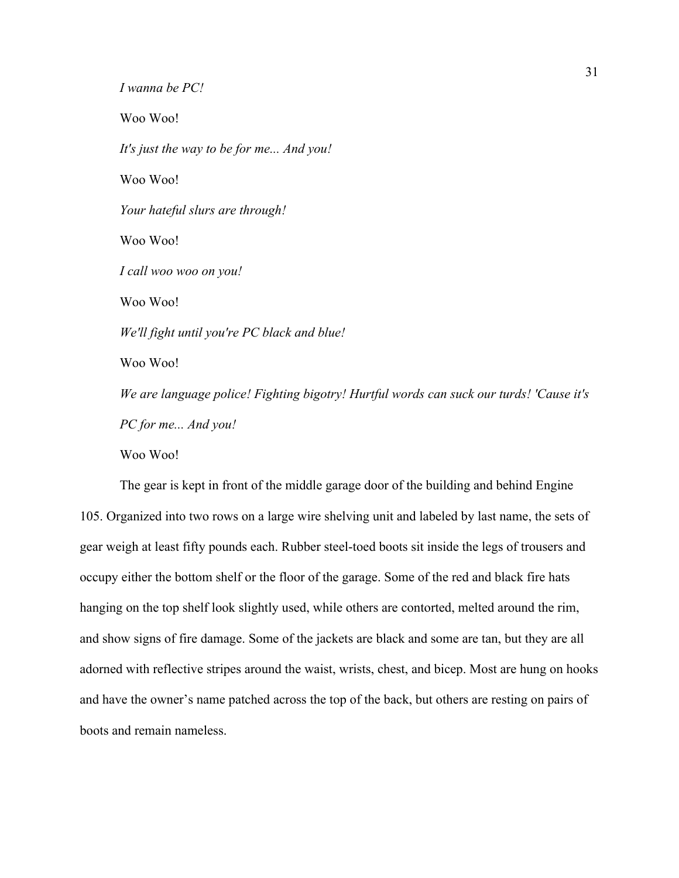*I wanna be PC!* Woo Woo! *It's just the way to be for me... And you!* Woo Woo! *Your hateful slurs are through!* Woo Woo! *I call woo woo on you!*  Woo Woo! *We'll fight until you're PC black and blue!* Woo Woo! *We are language police! Fighting bigotry! Hurtful words can suck our turds! 'Cause it's PC for me... And you!* Woo Woo!

The gear is kept in front of the middle garage door of the building and behind Engine 105. Organized into two rows on a large wire shelving unit and labeled by last name, the sets of gear weigh at least fifty pounds each. Rubber steel-toed boots sit inside the legs of trousers and occupy either the bottom shelf or the floor of the garage. Some of the red and black fire hats hanging on the top shelf look slightly used, while others are contorted, melted around the rim, and show signs of fire damage. Some of the jackets are black and some are tan, but they are all adorned with reflective stripes around the waist, wrists, chest, and bicep. Most are hung on hooks and have the owner's name patched across the top of the back, but others are resting on pairs of boots and remain nameless.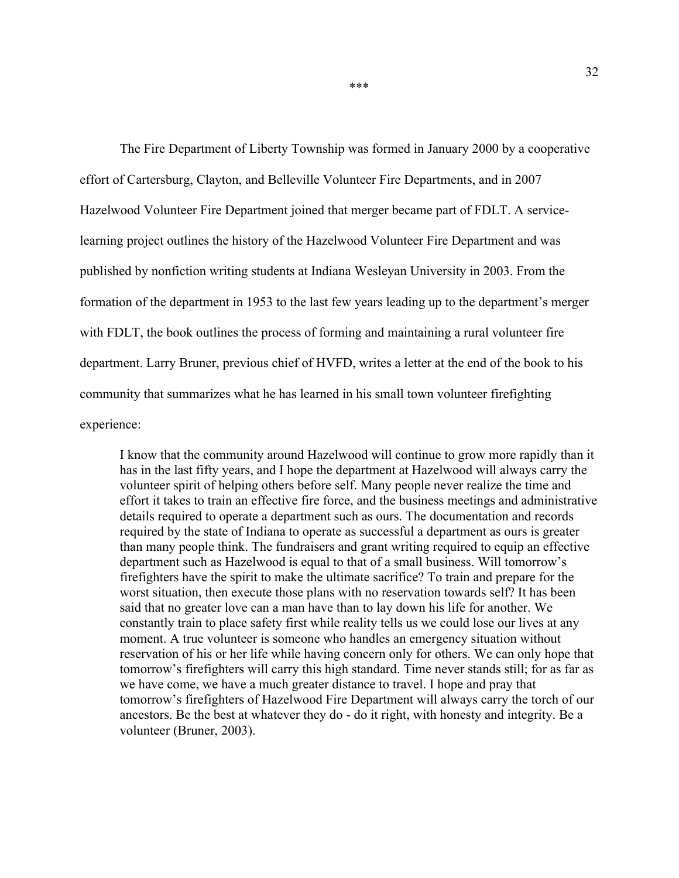The Fire Department of Liberty Township was formed in January 2000 by a cooperative effort of Cartersburg, Clayton, and Belleville Volunteer Fire Departments, and in 2007 Hazelwood Volunteer Fire Department joined that merger became part of FDLT. A servicelearning project outlines the history of the Hazelwood Volunteer Fire Department and was published by nonfiction writing students at Indiana Wesleyan University in 2003. From the formation of the department in 1953 to the last few years leading up to the department's merger with FDLT, the book outlines the process of forming and maintaining a rural volunteer fire department. Larry Bruner, previous chief of HVFD, writes a letter at the end of the book to his community that summarizes what he has learned in his small town volunteer firefighting experience:

I know that the community around Hazelwood will continue to grow more rapidly than it has in the last fifty years, and I hope the department at Hazelwood will always carry the volunteer spirit of helping others before self. Many people never realize the time and effort it takes to train an effective fire force, and the business meetings and administrative details required to operate a department such as ours. The documentation and records required by the state of Indiana to operate as successful a department as ours is greater than many people think. The fundraisers and grant writing required to equip an effective department such as Hazelwood is equal to that of a small business. Will tomorrow's firefighters have the spirit to make the ultimate sacrifice? To train and prepare for the worst situation, then execute those plans with no reservation towards self? It has been said that no greater love can a man have than to lay down his life for another. We constantly train to place safety first while reality tells us we could lose our lives at any moment. A true volunteer is someone who handles an emergency situation without reservation of his or her life while having concern only for others. We can only hope that tomorrow's firefighters will carry this high standard. Time never stands still; for as far as we have come, we have a much greater distance to travel. I hope and pray that tomorrow's firefighters of Hazelwood Fire Department will always carry the torch of our ancestors. Be the best at whatever they do - do it right, with honesty and integrity. Be a volunteer (Bruner, 2003).

\*\*\*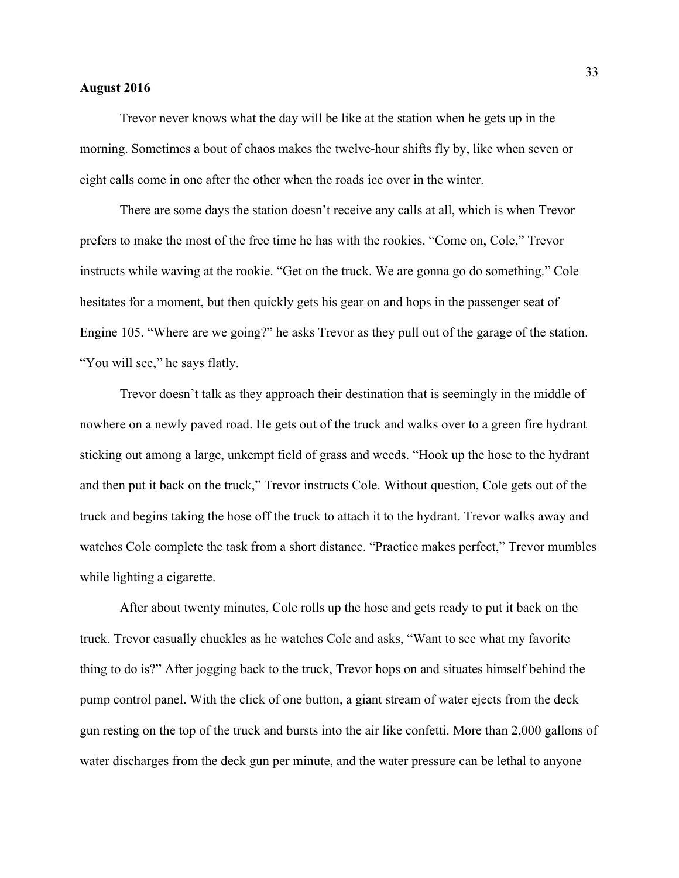### **August 2016**

Trevor never knows what the day will be like at the station when he gets up in the morning. Sometimes a bout of chaos makes the twelve-hour shifts fly by, like when seven or eight calls come in one after the other when the roads ice over in the winter.

There are some days the station doesn't receive any calls at all, which is when Trevor prefers to make the most of the free time he has with the rookies. "Come on, Cole," Trevor instructs while waving at the rookie. "Get on the truck. We are gonna go do something." Cole hesitates for a moment, but then quickly gets his gear on and hops in the passenger seat of Engine 105. "Where are we going?" he asks Trevor as they pull out of the garage of the station. "You will see," he says flatly.

 Trevor doesn't talk as they approach their destination that is seemingly in the middle of nowhere on a newly paved road. He gets out of the truck and walks over to a green fire hydrant sticking out among a large, unkempt field of grass and weeds. "Hook up the hose to the hydrant and then put it back on the truck," Trevor instructs Cole. Without question, Cole gets out of the truck and begins taking the hose off the truck to attach it to the hydrant. Trevor walks away and watches Cole complete the task from a short distance. "Practice makes perfect," Trevor mumbles while lighting a cigarette.

After about twenty minutes, Cole rolls up the hose and gets ready to put it back on the truck. Trevor casually chuckles as he watches Cole and asks, "Want to see what my favorite thing to do is?" After jogging back to the truck, Trevor hops on and situates himself behind the pump control panel. With the click of one button, a giant stream of water ejects from the deck gun resting on the top of the truck and bursts into the air like confetti. More than 2,000 gallons of water discharges from the deck gun per minute, and the water pressure can be lethal to anyone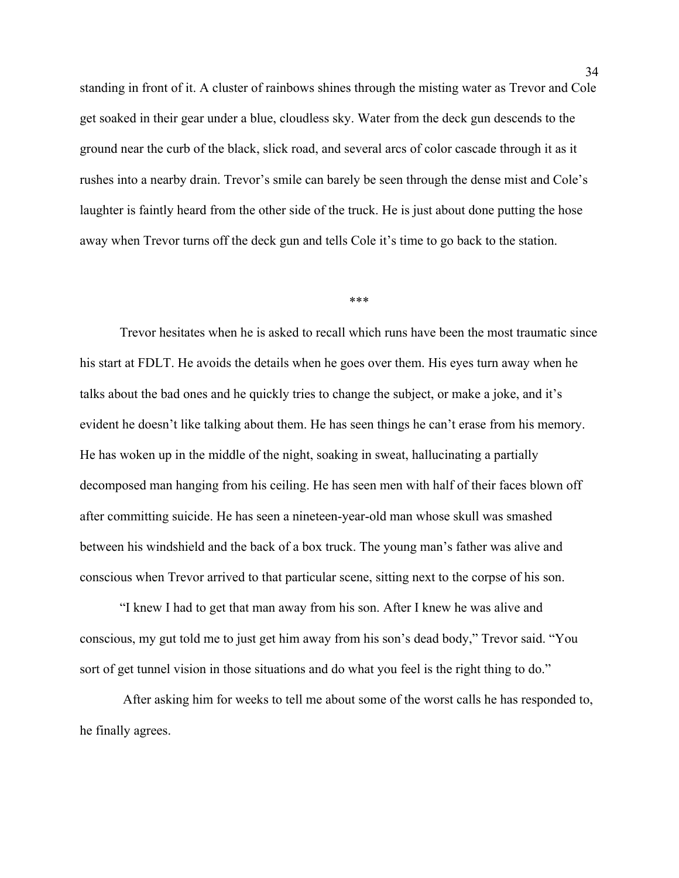standing in front of it. A cluster of rainbows shines through the misting water as Trevor and Cole get soaked in their gear under a blue, cloudless sky. Water from the deck gun descends to the ground near the curb of the black, slick road, and several arcs of color cascade through it as it rushes into a nearby drain. Trevor's smile can barely be seen through the dense mist and Cole's laughter is faintly heard from the other side of the truck. He is just about done putting the hose away when Trevor turns off the deck gun and tells Cole it's time to go back to the station.

#### \*\*\*

Trevor hesitates when he is asked to recall which runs have been the most traumatic since his start at FDLT. He avoids the details when he goes over them. His eyes turn away when he talks about the bad ones and he quickly tries to change the subject, or make a joke, and it's evident he doesn't like talking about them. He has seen things he can't erase from his memory. He has woken up in the middle of the night, soaking in sweat, hallucinating a partially decomposed man hanging from his ceiling. He has seen men with half of their faces blown off after committing suicide. He has seen a nineteen-year-old man whose skull was smashed between his windshield and the back of a box truck. The young man's father was alive and conscious when Trevor arrived to that particular scene, sitting next to the corpse of his son.

"I knew I had to get that man away from his son. After I knew he was alive and conscious, my gut told me to just get him away from his son's dead body," Trevor said. "You sort of get tunnel vision in those situations and do what you feel is the right thing to do."

After asking him for weeks to tell me about some of the worst calls he has responded to, he finally agrees.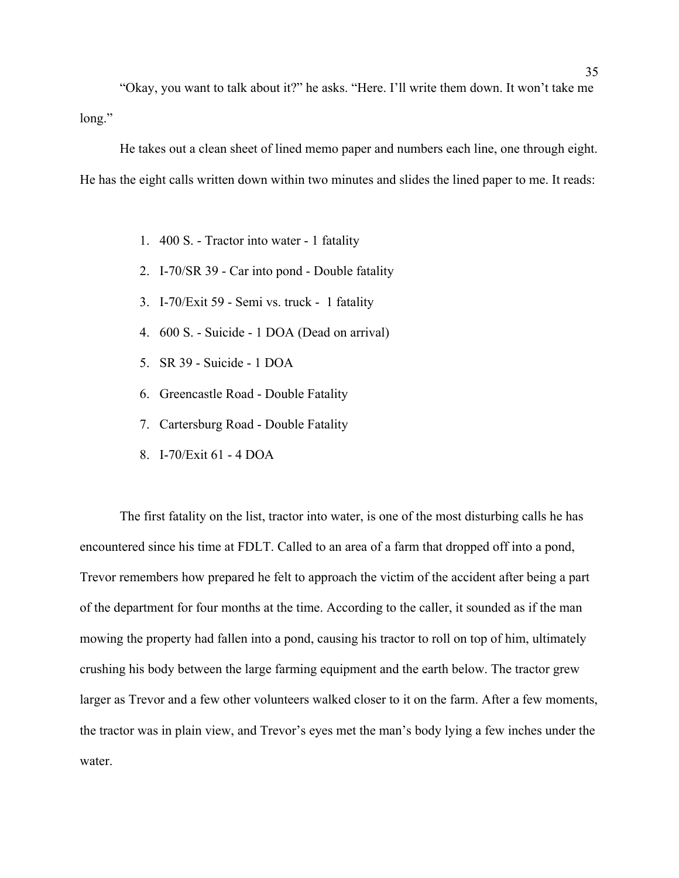"Okay, you want to talk about it?" he asks. "Here. I'll write them down. It won't take me long."

He takes out a clean sheet of lined memo paper and numbers each line, one through eight. He has the eight calls written down within two minutes and slides the lined paper to me. It reads:

- 1. 400 S. Tractor into water 1 fatality
- 2. I-70/SR 39 Car into pond Double fatality
- 3. I-70/Exit 59 Semi vs. truck 1 fatality
- 4. 600 S. Suicide 1 DOA (Dead on arrival)
- 5. SR 39 Suicide 1 DOA
- 6. Greencastle Road Double Fatality
- 7. Cartersburg Road Double Fatality
- 8. I-70/Exit 61 4 DOA

The first fatality on the list, tractor into water, is one of the most disturbing calls he has encountered since his time at FDLT. Called to an area of a farm that dropped off into a pond, Trevor remembers how prepared he felt to approach the victim of the accident after being a part of the department for four months at the time. According to the caller, it sounded as if the man mowing the property had fallen into a pond, causing his tractor to roll on top of him, ultimately crushing his body between the large farming equipment and the earth below. The tractor grew larger as Trevor and a few other volunteers walked closer to it on the farm. After a few moments, the tractor was in plain view, and Trevor's eyes met the man's body lying a few inches under the water.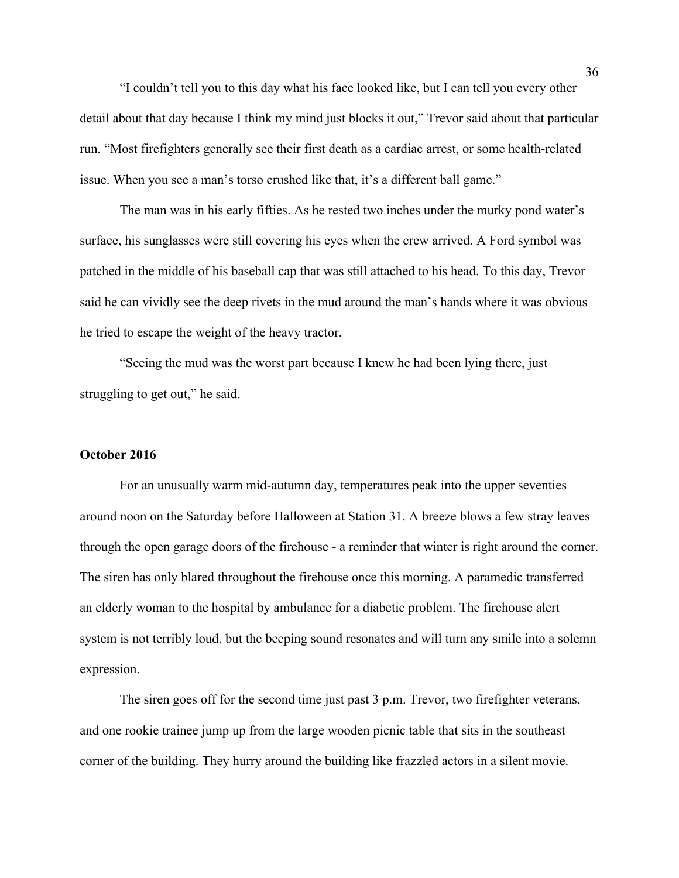"I couldn't tell you to this day what his face looked like, but I can tell you every other detail about that day because I think my mind just blocks it out," Trevor said about that particular run. "Most firefighters generally see their first death as a cardiac arrest, or some health-related issue. When you see a man's torso crushed like that, it's a different ball game."

The man was in his early fifties. As he rested two inches under the murky pond water's surface, his sunglasses were still covering his eyes when the crew arrived. A Ford symbol was patched in the middle of his baseball cap that was still attached to his head. To this day, Trevor said he can vividly see the deep rivets in the mud around the man's hands where it was obvious he tried to escape the weight of the heavy tractor.

"Seeing the mud was the worst part because I knew he had been lying there, just struggling to get out," he said.

#### **October 2016**

For an unusually warm mid-autumn day, temperatures peak into the upper seventies around noon on the Saturday before Halloween at Station 31. A breeze blows a few stray leaves through the open garage doors of the firehouse - a reminder that winter is right around the corner. The siren has only blared throughout the firehouse once this morning. A paramedic transferred an elderly woman to the hospital by ambulance for a diabetic problem. The firehouse alert system is not terribly loud, but the beeping sound resonates and will turn any smile into a solemn expression.

The siren goes off for the second time just past 3 p.m. Trevor, two firefighter veterans, and one rookie trainee jump up from the large wooden picnic table that sits in the southeast corner of the building. They hurry around the building like frazzled actors in a silent movie.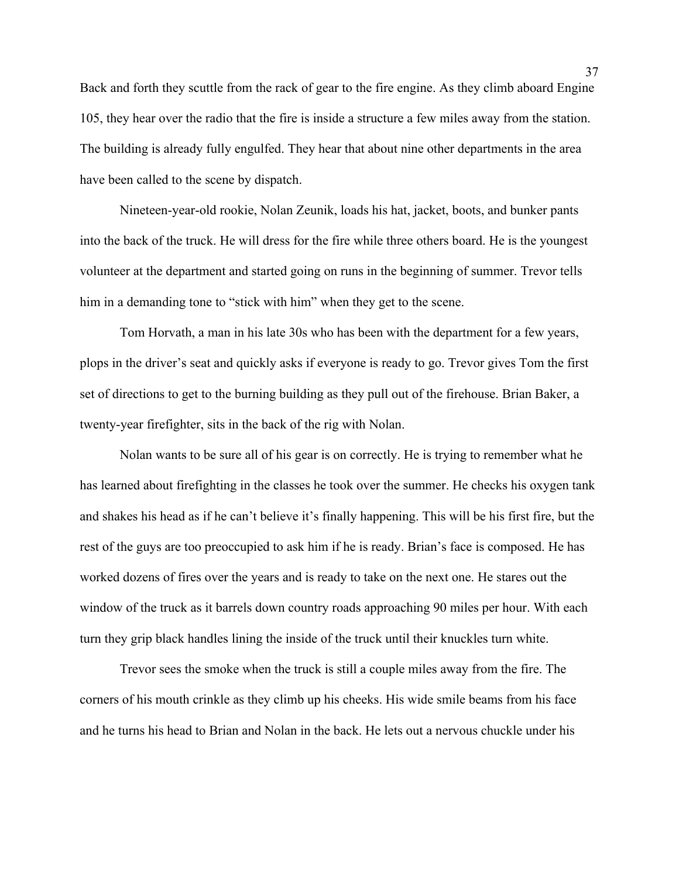Back and forth they scuttle from the rack of gear to the fire engine. As they climb aboard Engine 105, they hear over the radio that the fire is inside a structure a few miles away from the station. The building is already fully engulfed. They hear that about nine other departments in the area have been called to the scene by dispatch.

Nineteen-year-old rookie, Nolan Zeunik, loads his hat, jacket, boots, and bunker pants into the back of the truck. He will dress for the fire while three others board. He is the youngest volunteer at the department and started going on runs in the beginning of summer. Trevor tells him in a demanding tone to "stick with him" when they get to the scene.

Tom Horvath, a man in his late 30s who has been with the department for a few years, plops in the driver's seat and quickly asks if everyone is ready to go. Trevor gives Tom the first set of directions to get to the burning building as they pull out of the firehouse. Brian Baker, a twenty-year firefighter, sits in the back of the rig with Nolan.

Nolan wants to be sure all of his gear is on correctly. He is trying to remember what he has learned about firefighting in the classes he took over the summer. He checks his oxygen tank and shakes his head as if he can't believe it's finally happening. This will be his first fire, but the rest of the guys are too preoccupied to ask him if he is ready. Brian's face is composed. He has worked dozens of fires over the years and is ready to take on the next one. He stares out the window of the truck as it barrels down country roads approaching 90 miles per hour. With each turn they grip black handles lining the inside of the truck until their knuckles turn white.

Trevor sees the smoke when the truck is still a couple miles away from the fire. The corners of his mouth crinkle as they climb up his cheeks. His wide smile beams from his face and he turns his head to Brian and Nolan in the back. He lets out a nervous chuckle under his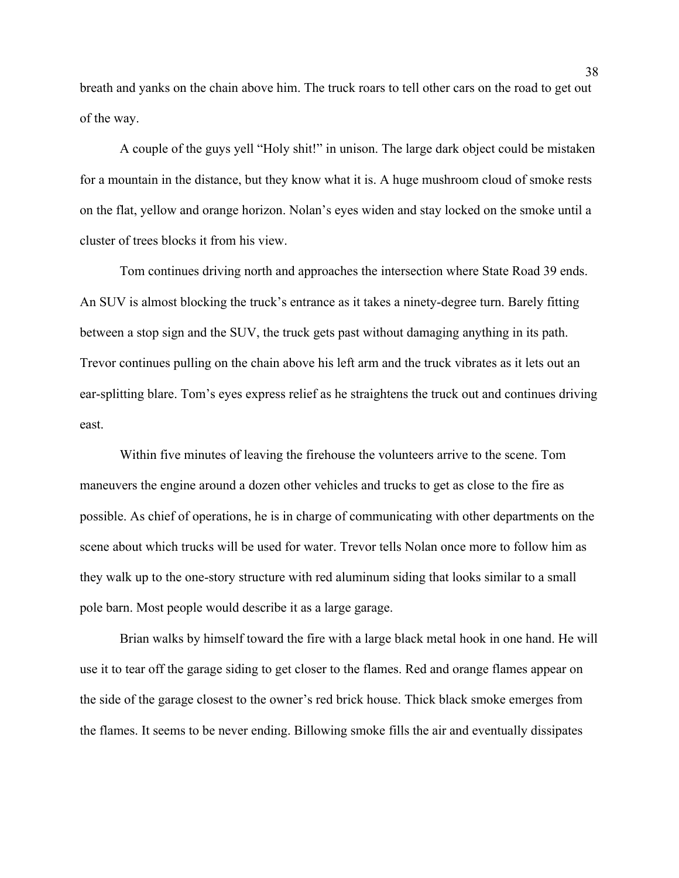breath and yanks on the chain above him. The truck roars to tell other cars on the road to get out of the way.

A couple of the guys yell "Holy shit!" in unison. The large dark object could be mistaken for a mountain in the distance, but they know what it is. A huge mushroom cloud of smoke rests on the flat, yellow and orange horizon. Nolan's eyes widen and stay locked on the smoke until a cluster of trees blocks it from his view.

Tom continues driving north and approaches the intersection where State Road 39 ends. An SUV is almost blocking the truck's entrance as it takes a ninety-degree turn. Barely fitting between a stop sign and the SUV, the truck gets past without damaging anything in its path. Trevor continues pulling on the chain above his left arm and the truck vibrates as it lets out an ear-splitting blare. Tom's eyes express relief as he straightens the truck out and continues driving east.

Within five minutes of leaving the firehouse the volunteers arrive to the scene. Tom maneuvers the engine around a dozen other vehicles and trucks to get as close to the fire as possible. As chief of operations, he is in charge of communicating with other departments on the scene about which trucks will be used for water. Trevor tells Nolan once more to follow him as they walk up to the one-story structure with red aluminum siding that looks similar to a small pole barn. Most people would describe it as a large garage.

Brian walks by himself toward the fire with a large black metal hook in one hand. He will use it to tear off the garage siding to get closer to the flames. Red and orange flames appear on the side of the garage closest to the owner's red brick house. Thick black smoke emerges from the flames. It seems to be never ending. Billowing smoke fills the air and eventually dissipates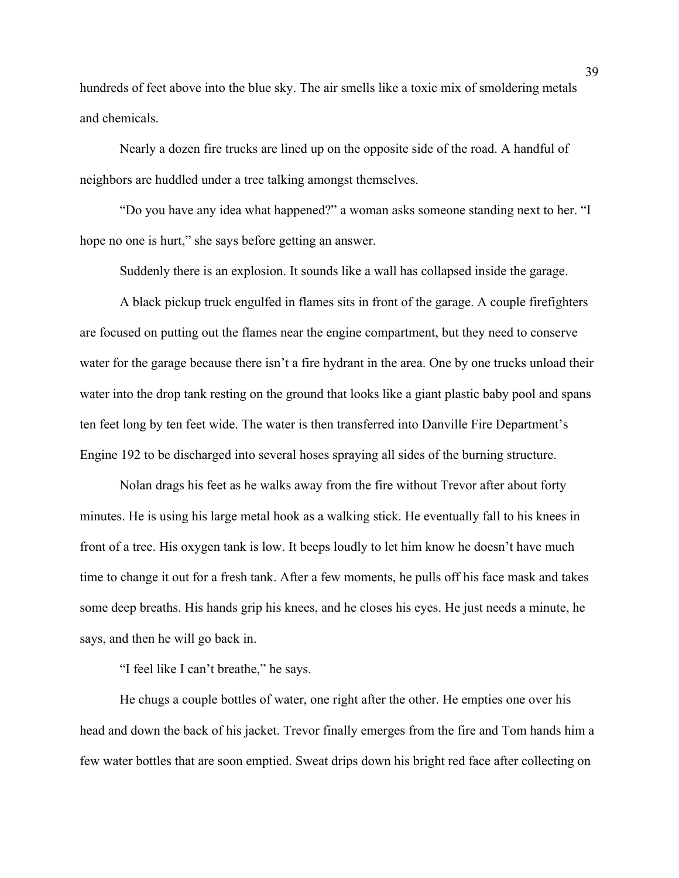hundreds of feet above into the blue sky. The air smells like a toxic mix of smoldering metals and chemicals.

Nearly a dozen fire trucks are lined up on the opposite side of the road. A handful of neighbors are huddled under a tree talking amongst themselves.

"Do you have any idea what happened?" a woman asks someone standing next to her. "I hope no one is hurt," she says before getting an answer.

Suddenly there is an explosion. It sounds like a wall has collapsed inside the garage.

A black pickup truck engulfed in flames sits in front of the garage. A couple firefighters are focused on putting out the flames near the engine compartment, but they need to conserve water for the garage because there isn't a fire hydrant in the area. One by one trucks unload their water into the drop tank resting on the ground that looks like a giant plastic baby pool and spans ten feet long by ten feet wide. The water is then transferred into Danville Fire Department's Engine 192 to be discharged into several hoses spraying all sides of the burning structure.

Nolan drags his feet as he walks away from the fire without Trevor after about forty minutes. He is using his large metal hook as a walking stick. He eventually fall to his knees in front of a tree. His oxygen tank is low. It beeps loudly to let him know he doesn't have much time to change it out for a fresh tank. After a few moments, he pulls off his face mask and takes some deep breaths. His hands grip his knees, and he closes his eyes. He just needs a minute, he says, and then he will go back in.

"I feel like I can't breathe," he says.

He chugs a couple bottles of water, one right after the other. He empties one over his head and down the back of his jacket. Trevor finally emerges from the fire and Tom hands him a few water bottles that are soon emptied. Sweat drips down his bright red face after collecting on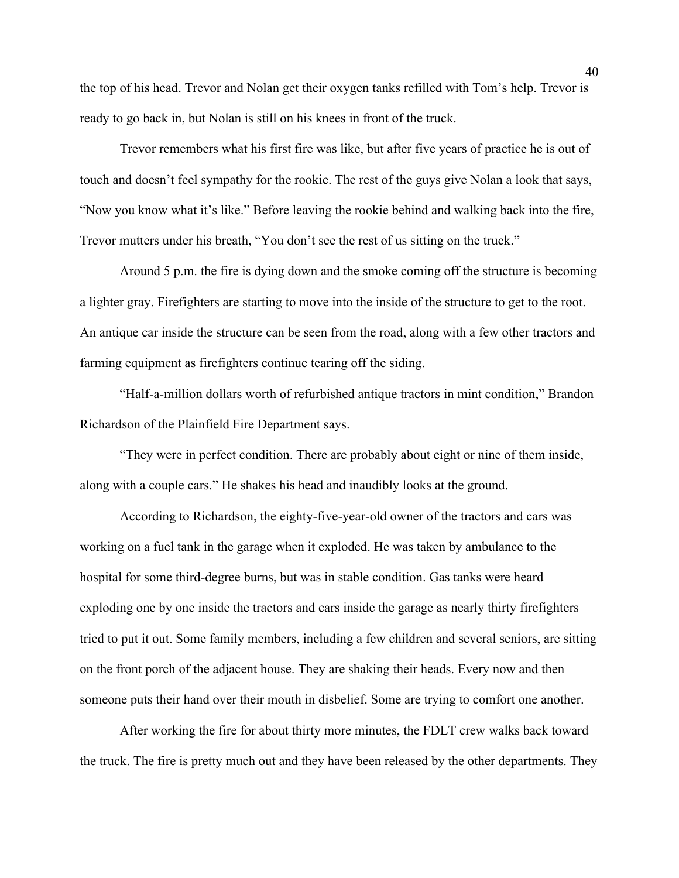the top of his head. Trevor and Nolan get their oxygen tanks refilled with Tom's help. Trevor is ready to go back in, but Nolan is still on his knees in front of the truck.

Trevor remembers what his first fire was like, but after five years of practice he is out of touch and doesn't feel sympathy for the rookie. The rest of the guys give Nolan a look that says, "Now you know what it's like." Before leaving the rookie behind and walking back into the fire, Trevor mutters under his breath, "You don't see the rest of us sitting on the truck."

Around 5 p.m. the fire is dying down and the smoke coming off the structure is becoming a lighter gray. Firefighters are starting to move into the inside of the structure to get to the root. An antique car inside the structure can be seen from the road, along with a few other tractors and farming equipment as firefighters continue tearing off the siding.

"Half-a-million dollars worth of refurbished antique tractors in mint condition," Brandon Richardson of the Plainfield Fire Department says.

"They were in perfect condition. There are probably about eight or nine of them inside, along with a couple cars." He shakes his head and inaudibly looks at the ground.

According to Richardson, the eighty-five-year-old owner of the tractors and cars was working on a fuel tank in the garage when it exploded. He was taken by ambulance to the hospital for some third-degree burns, but was in stable condition. Gas tanks were heard exploding one by one inside the tractors and cars inside the garage as nearly thirty firefighters tried to put it out. Some family members, including a few children and several seniors, are sitting on the front porch of the adjacent house. They are shaking their heads. Every now and then someone puts their hand over their mouth in disbelief. Some are trying to comfort one another.

After working the fire for about thirty more minutes, the FDLT crew walks back toward the truck. The fire is pretty much out and they have been released by the other departments. They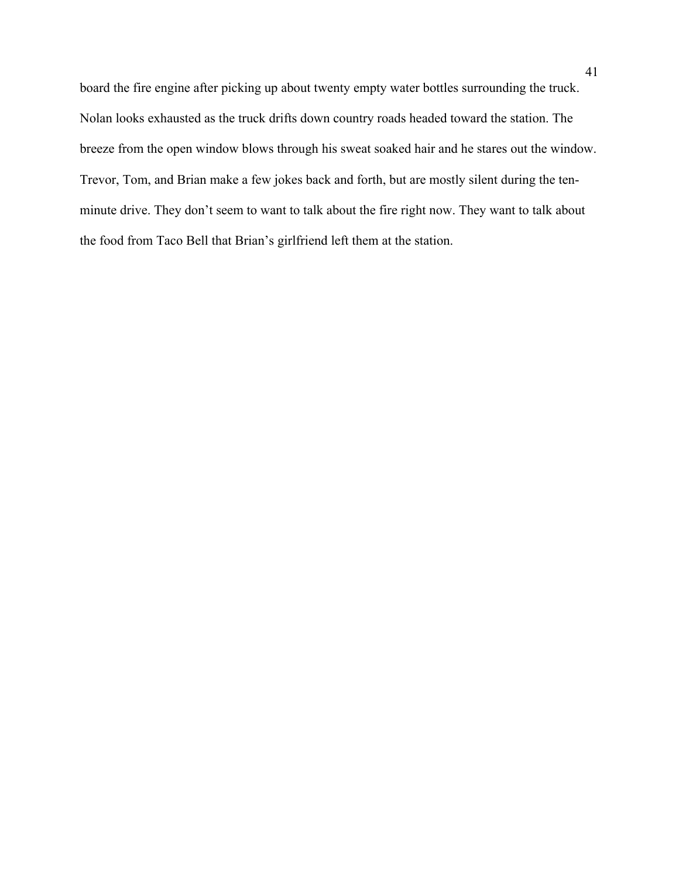board the fire engine after picking up about twenty empty water bottles surrounding the truck. Nolan looks exhausted as the truck drifts down country roads headed toward the station. The breeze from the open window blows through his sweat soaked hair and he stares out the window. Trevor, Tom, and Brian make a few jokes back and forth, but are mostly silent during the tenminute drive. They don't seem to want to talk about the fire right now. They want to talk about the food from Taco Bell that Brian's girlfriend left them at the station.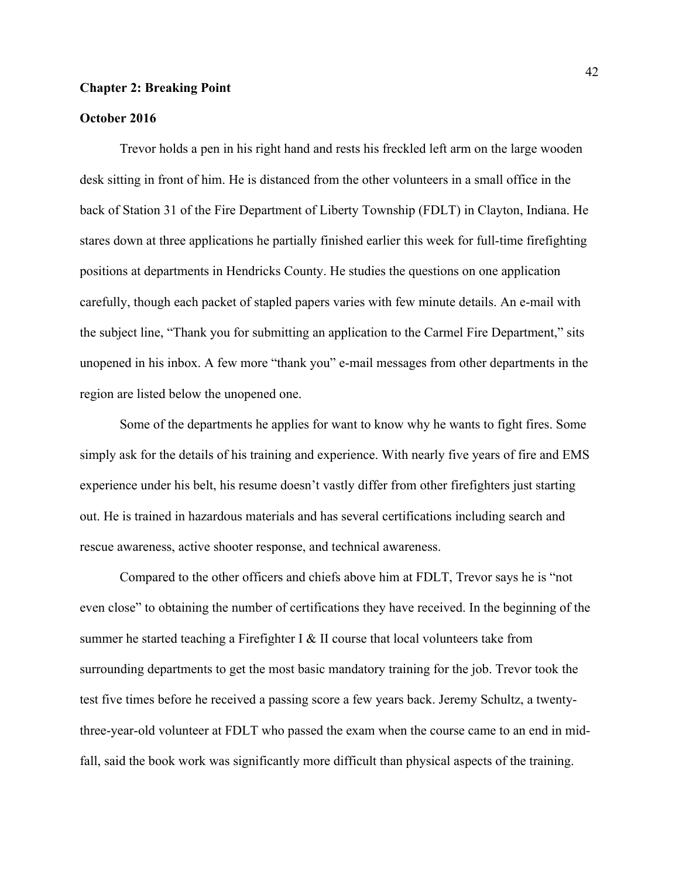#### **Chapter 2: Breaking Point**

## **October 2016**

Trevor holds a pen in his right hand and rests his freckled left arm on the large wooden desk sitting in front of him. He is distanced from the other volunteers in a small office in the back of Station 31 of the Fire Department of Liberty Township (FDLT) in Clayton, Indiana. He stares down at three applications he partially finished earlier this week for full-time firefighting positions at departments in Hendricks County. He studies the questions on one application carefully, though each packet of stapled papers varies with few minute details. An e-mail with the subject line, "Thank you for submitting an application to the Carmel Fire Department," sits unopened in his inbox. A few more "thank you" e-mail messages from other departments in the region are listed below the unopened one.

Some of the departments he applies for want to know why he wants to fight fires. Some simply ask for the details of his training and experience. With nearly five years of fire and EMS experience under his belt, his resume doesn't vastly differ from other firefighters just starting out. He is trained in hazardous materials and has several certifications including search and rescue awareness, active shooter response, and technical awareness.

Compared to the other officers and chiefs above him at FDLT, Trevor says he is "not even close" to obtaining the number of certifications they have received. In the beginning of the summer he started teaching a Firefighter I & II course that local volunteers take from surrounding departments to get the most basic mandatory training for the job. Trevor took the test five times before he received a passing score a few years back. Jeremy Schultz, a twentythree-year-old volunteer at FDLT who passed the exam when the course came to an end in midfall, said the book work was significantly more difficult than physical aspects of the training.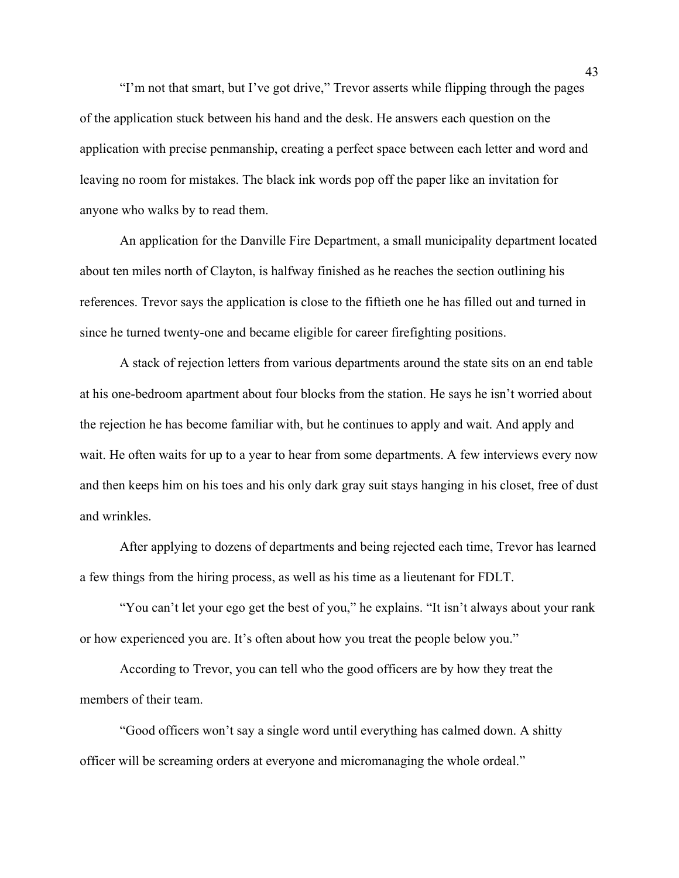"I'm not that smart, but I've got drive," Trevor asserts while flipping through the pages of the application stuck between his hand and the desk. He answers each question on the application with precise penmanship, creating a perfect space between each letter and word and leaving no room for mistakes. The black ink words pop off the paper like an invitation for anyone who walks by to read them.

An application for the Danville Fire Department, a small municipality department located about ten miles north of Clayton, is halfway finished as he reaches the section outlining his references. Trevor says the application is close to the fiftieth one he has filled out and turned in since he turned twenty-one and became eligible for career firefighting positions.

A stack of rejection letters from various departments around the state sits on an end table at his one-bedroom apartment about four blocks from the station. He says he isn't worried about the rejection he has become familiar with, but he continues to apply and wait. And apply and wait. He often waits for up to a year to hear from some departments. A few interviews every now and then keeps him on his toes and his only dark gray suit stays hanging in his closet, free of dust and wrinkles.

After applying to dozens of departments and being rejected each time, Trevor has learned a few things from the hiring process, as well as his time as a lieutenant for FDLT.

"You can't let your ego get the best of you," he explains. "It isn't always about your rank or how experienced you are. It's often about how you treat the people below you."

According to Trevor, you can tell who the good officers are by how they treat the members of their team.

"Good officers won't say a single word until everything has calmed down. A shitty officer will be screaming orders at everyone and micromanaging the whole ordeal."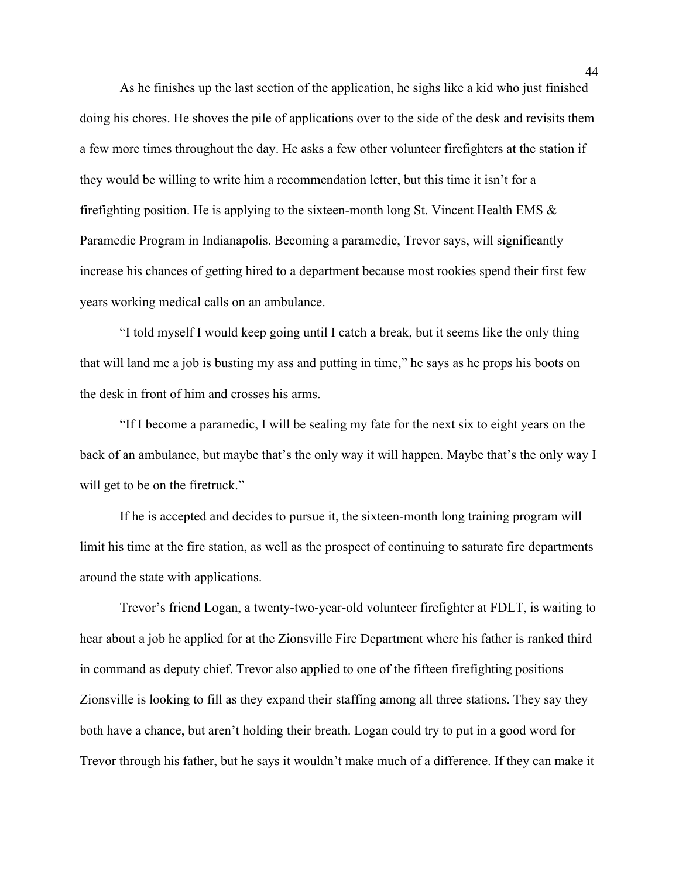As he finishes up the last section of the application, he sighs like a kid who just finished doing his chores. He shoves the pile of applications over to the side of the desk and revisits them a few more times throughout the day. He asks a few other volunteer firefighters at the station if they would be willing to write him a recommendation letter, but this time it isn't for a firefighting position. He is applying to the sixteen-month long St. Vincent Health EMS  $\&$ Paramedic Program in Indianapolis. Becoming a paramedic, Trevor says, will significantly increase his chances of getting hired to a department because most rookies spend their first few years working medical calls on an ambulance.

"I told myself I would keep going until I catch a break, but it seems like the only thing that will land me a job is busting my ass and putting in time," he says as he props his boots on the desk in front of him and crosses his arms.

"If I become a paramedic, I will be sealing my fate for the next six to eight years on the back of an ambulance, but maybe that's the only way it will happen. Maybe that's the only way I will get to be on the firetruck."

If he is accepted and decides to pursue it, the sixteen-month long training program will limit his time at the fire station, as well as the prospect of continuing to saturate fire departments around the state with applications.

Trevor's friend Logan, a twenty-two-year-old volunteer firefighter at FDLT, is waiting to hear about a job he applied for at the Zionsville Fire Department where his father is ranked third in command as deputy chief. Trevor also applied to one of the fifteen firefighting positions Zionsville is looking to fill as they expand their staffing among all three stations. They say they both have a chance, but aren't holding their breath. Logan could try to put in a good word for Trevor through his father, but he says it wouldn't make much of a difference. If they can make it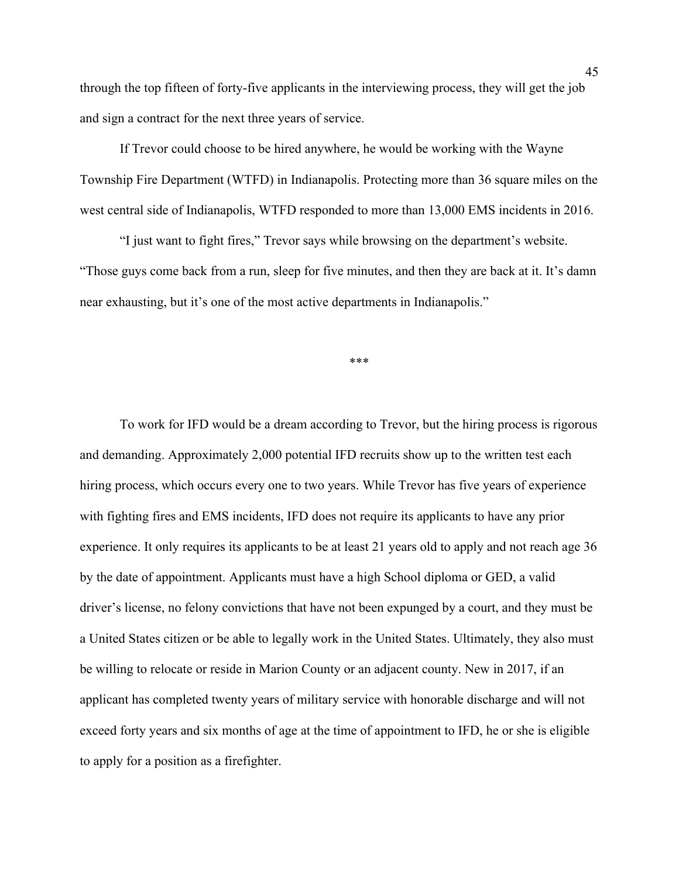through the top fifteen of forty-five applicants in the interviewing process, they will get the job and sign a contract for the next three years of service.

If Trevor could choose to be hired anywhere, he would be working with the Wayne Township Fire Department (WTFD) in Indianapolis. Protecting more than 36 square miles on the west central side of Indianapolis, WTFD responded to more than 13,000 EMS incidents in 2016.

"I just want to fight fires," Trevor says while browsing on the department's website. "Those guys come back from a run, sleep for five minutes, and then they are back at it. It's damn near exhausting, but it's one of the most active departments in Indianapolis."

\*\*\*

To work for IFD would be a dream according to Trevor, but the hiring process is rigorous and demanding. Approximately 2,000 potential IFD recruits show up to the written test each hiring process, which occurs every one to two years. While Trevor has five years of experience with fighting fires and EMS incidents, IFD does not require its applicants to have any prior experience. It only requires its applicants to be at least 21 years old to apply and not reach age 36 by the date of appointment. Applicants must have a high School diploma or GED, a valid driver's license, no felony convictions that have not been expunged by a court, and they must be a United States citizen or be able to legally work in the United States. Ultimately, they also must be willing to relocate or reside in Marion County or an adjacent county. New in 2017, if an applicant has completed twenty years of military service with honorable discharge and will not exceed forty years and six months of age at the time of appointment to IFD, he or she is eligible to apply for a position as a firefighter.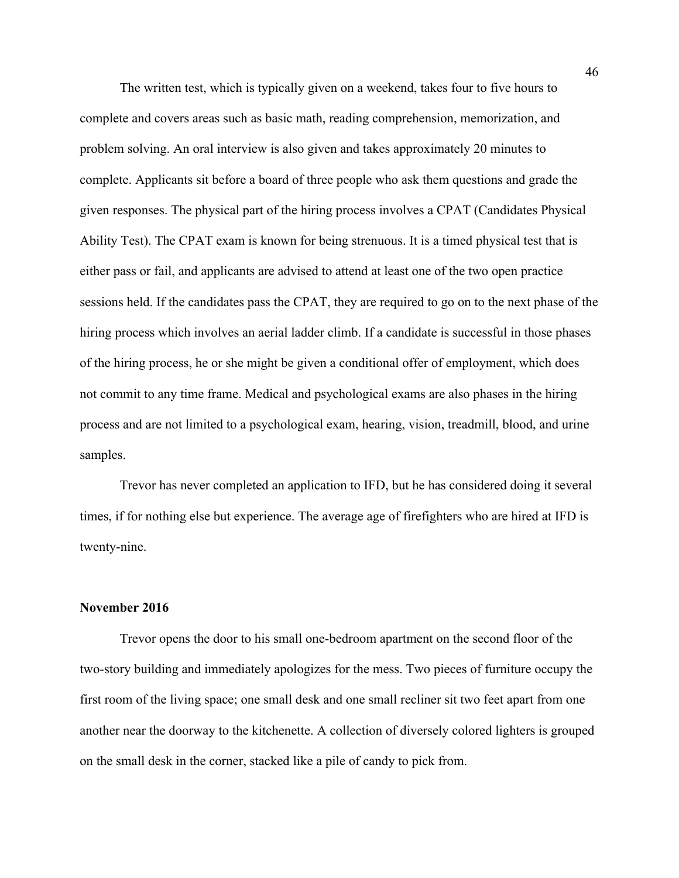The written test, which is typically given on a weekend, takes four to five hours to complete and covers areas such as basic math, reading comprehension, memorization, and problem solving. An oral interview is also given and takes approximately 20 minutes to complete. Applicants sit before a board of three people who ask them questions and grade the given responses. The physical part of the hiring process involves a CPAT (Candidates Physical Ability Test). The CPAT exam is known for being strenuous. It is a timed physical test that is either pass or fail, and applicants are advised to attend at least one of the two open practice sessions held. If the candidates pass the CPAT, they are required to go on to the next phase of the hiring process which involves an aerial ladder climb. If a candidate is successful in those phases of the hiring process, he or she might be given a conditional offer of employment, which does not commit to any time frame. Medical and psychological exams are also phases in the hiring process and are not limited to a psychological exam, hearing, vision, treadmill, blood, and urine samples.

Trevor has never completed an application to IFD, but he has considered doing it several times, if for nothing else but experience. The average age of firefighters who are hired at IFD is twenty-nine.

### **November 2016**

Trevor opens the door to his small one-bedroom apartment on the second floor of the two-story building and immediately apologizes for the mess. Two pieces of furniture occupy the first room of the living space; one small desk and one small recliner sit two feet apart from one another near the doorway to the kitchenette. A collection of diversely colored lighters is grouped on the small desk in the corner, stacked like a pile of candy to pick from.

46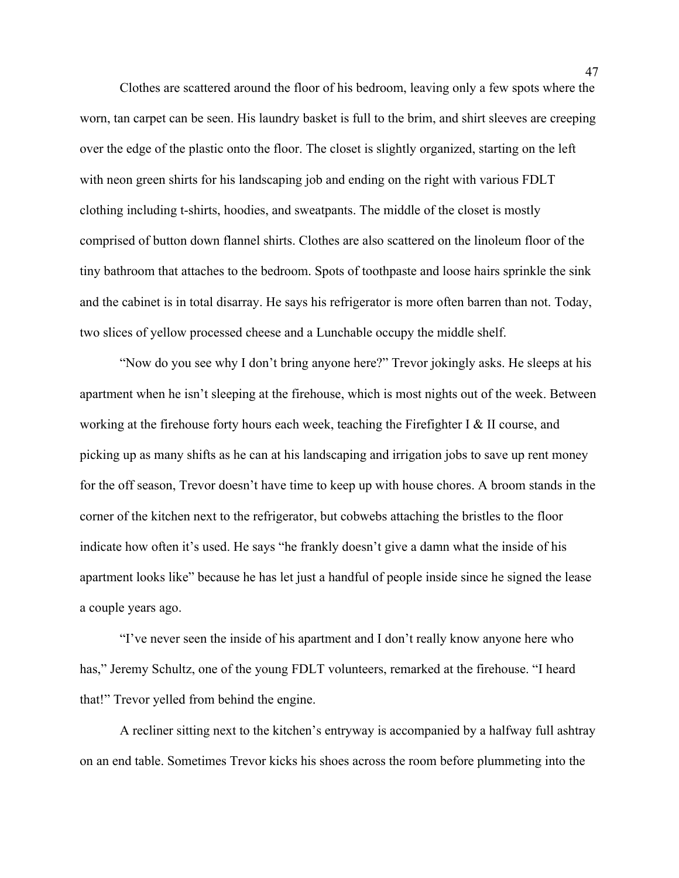Clothes are scattered around the floor of his bedroom, leaving only a few spots where the worn, tan carpet can be seen. His laundry basket is full to the brim, and shirt sleeves are creeping over the edge of the plastic onto the floor. The closet is slightly organized, starting on the left with neon green shirts for his landscaping job and ending on the right with various FDLT clothing including t-shirts, hoodies, and sweatpants. The middle of the closet is mostly comprised of button down flannel shirts. Clothes are also scattered on the linoleum floor of the tiny bathroom that attaches to the bedroom. Spots of toothpaste and loose hairs sprinkle the sink and the cabinet is in total disarray. He says his refrigerator is more often barren than not. Today, two slices of yellow processed cheese and a Lunchable occupy the middle shelf.

 "Now do you see why I don't bring anyone here?" Trevor jokingly asks. He sleeps at his apartment when he isn't sleeping at the firehouse, which is most nights out of the week. Between working at the firehouse forty hours each week, teaching the Firefighter I & II course, and picking up as many shifts as he can at his landscaping and irrigation jobs to save up rent money for the off season, Trevor doesn't have time to keep up with house chores. A broom stands in the corner of the kitchen next to the refrigerator, but cobwebs attaching the bristles to the floor indicate how often it's used. He says "he frankly doesn't give a damn what the inside of his apartment looks like" because he has let just a handful of people inside since he signed the lease a couple years ago.

"I've never seen the inside of his apartment and I don't really know anyone here who has," Jeremy Schultz, one of the young FDLT volunteers, remarked at the firehouse. "I heard that!" Trevor yelled from behind the engine.

A recliner sitting next to the kitchen's entryway is accompanied by a halfway full ashtray on an end table. Sometimes Trevor kicks his shoes across the room before plummeting into the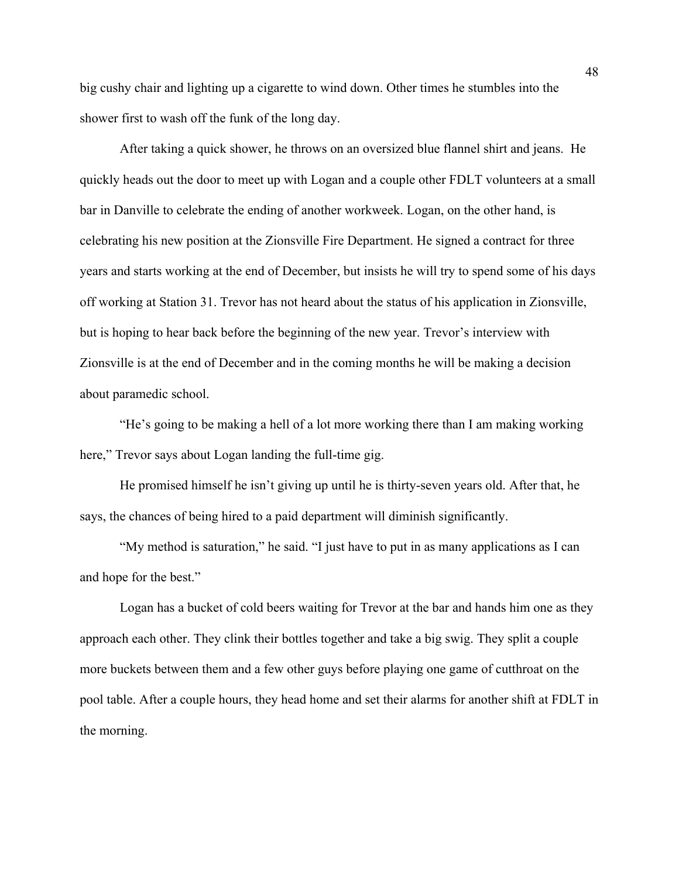big cushy chair and lighting up a cigarette to wind down. Other times he stumbles into the shower first to wash off the funk of the long day.

After taking a quick shower, he throws on an oversized blue flannel shirt and jeans. He quickly heads out the door to meet up with Logan and a couple other FDLT volunteers at a small bar in Danville to celebrate the ending of another workweek. Logan, on the other hand, is celebrating his new position at the Zionsville Fire Department. He signed a contract for three years and starts working at the end of December, but insists he will try to spend some of his days off working at Station 31. Trevor has not heard about the status of his application in Zionsville, but is hoping to hear back before the beginning of the new year. Trevor's interview with Zionsville is at the end of December and in the coming months he will be making a decision about paramedic school.

"He's going to be making a hell of a lot more working there than I am making working here," Trevor says about Logan landing the full-time gig.

He promised himself he isn't giving up until he is thirty-seven years old. After that, he says, the chances of being hired to a paid department will diminish significantly.

"My method is saturation," he said. "I just have to put in as many applications as I can and hope for the best."

Logan has a bucket of cold beers waiting for Trevor at the bar and hands him one as they approach each other. They clink their bottles together and take a big swig. They split a couple more buckets between them and a few other guys before playing one game of cutthroat on the pool table. After a couple hours, they head home and set their alarms for another shift at FDLT in the morning.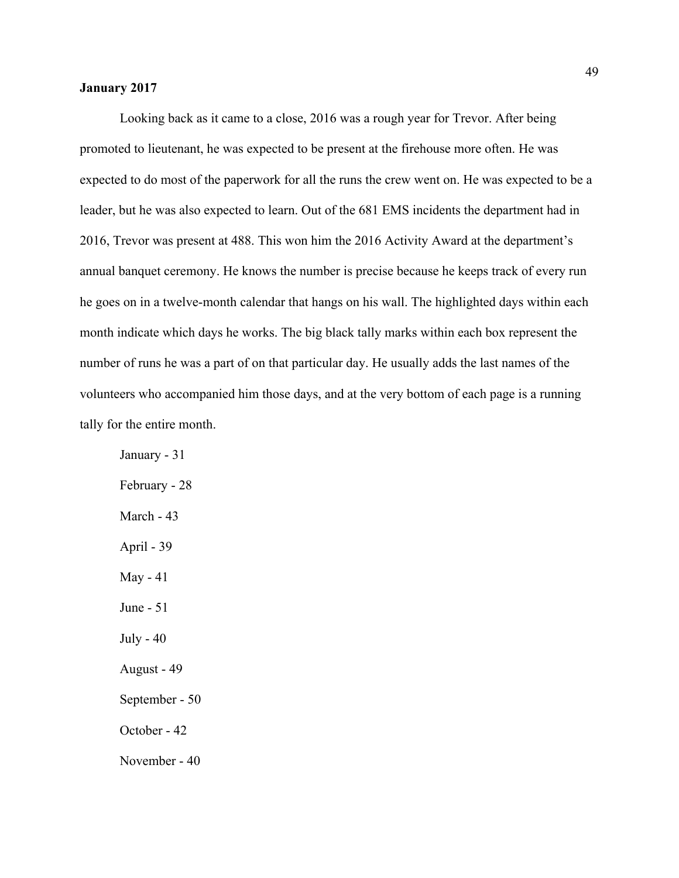### **January 2017**

Looking back as it came to a close, 2016 was a rough year for Trevor. After being promoted to lieutenant, he was expected to be present at the firehouse more often. He was expected to do most of the paperwork for all the runs the crew went on. He was expected to be a leader, but he was also expected to learn. Out of the 681 EMS incidents the department had in 2016, Trevor was present at 488. This won him the 2016 Activity Award at the department's annual banquet ceremony. He knows the number is precise because he keeps track of every run he goes on in a twelve-month calendar that hangs on his wall. The highlighted days within each month indicate which days he works. The big black tally marks within each box represent the number of runs he was a part of on that particular day. He usually adds the last names of the volunteers who accompanied him those days, and at the very bottom of each page is a running tally for the entire month.

January - 31 February - 28 March - 43 April - 39 May - 41 June - 51 July - 40 August - 49 September - 50 October - 42 November - 40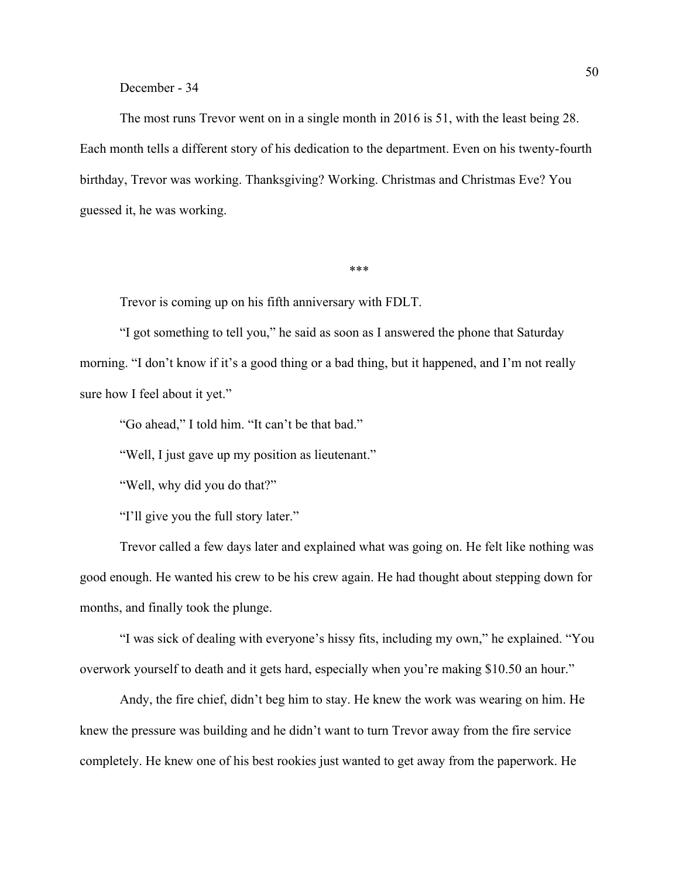December - 34

The most runs Trevor went on in a single month in 2016 is 51, with the least being 28. Each month tells a different story of his dedication to the department. Even on his twenty-fourth birthday, Trevor was working. Thanksgiving? Working. Christmas and Christmas Eve? You guessed it, he was working.

\*\*\*

Trevor is coming up on his fifth anniversary with FDLT.

"I got something to tell you," he said as soon as I answered the phone that Saturday morning. "I don't know if it's a good thing or a bad thing, but it happened, and I'm not really sure how I feel about it yet."

"Go ahead," I told him. "It can't be that bad."

"Well, I just gave up my position as lieutenant."

"Well, why did you do that?"

"I'll give you the full story later."

Trevor called a few days later and explained what was going on. He felt like nothing was good enough. He wanted his crew to be his crew again. He had thought about stepping down for months, and finally took the plunge.

"I was sick of dealing with everyone's hissy fits, including my own," he explained. "You overwork yourself to death and it gets hard, especially when you're making \$10.50 an hour."

Andy, the fire chief, didn't beg him to stay. He knew the work was wearing on him. He knew the pressure was building and he didn't want to turn Trevor away from the fire service completely. He knew one of his best rookies just wanted to get away from the paperwork. He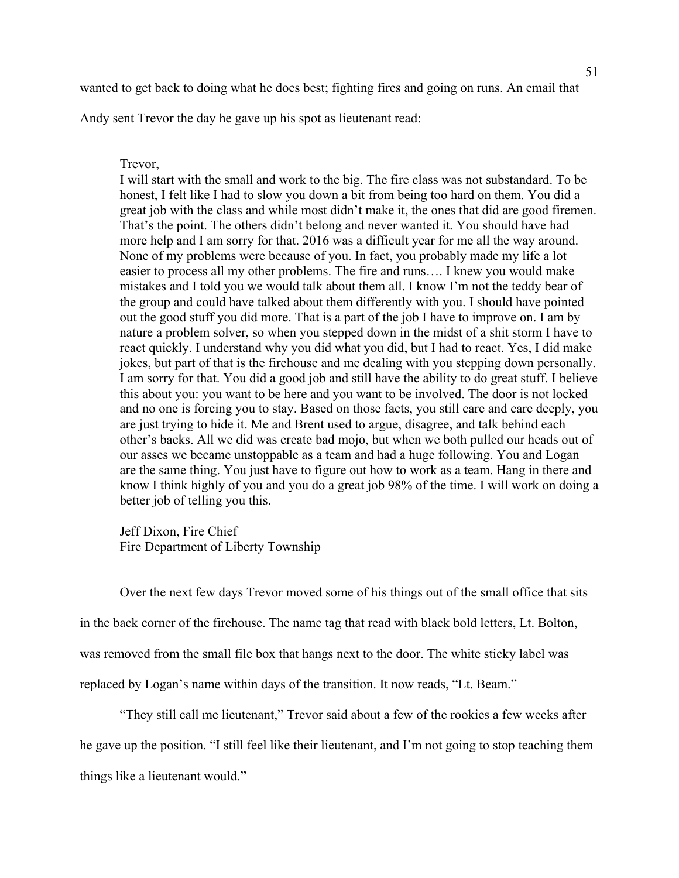wanted to get back to doing what he does best; fighting fires and going on runs. An email that

Andy sent Trevor the day he gave up his spot as lieutenant read:

Trevor,

I will start with the small and work to the big. The fire class was not substandard. To be honest, I felt like I had to slow you down a bit from being too hard on them. You did a great job with the class and while most didn't make it, the ones that did are good firemen. That's the point. The others didn't belong and never wanted it. You should have had more help and I am sorry for that. 2016 was a difficult year for me all the way around. None of my problems were because of you. In fact, you probably made my life a lot easier to process all my other problems. The fire and runs…. I knew you would make mistakes and I told you we would talk about them all. I know I'm not the teddy bear of the group and could have talked about them differently with you. I should have pointed out the good stuff you did more. That is a part of the job I have to improve on. I am by nature a problem solver, so when you stepped down in the midst of a shit storm I have to react quickly. I understand why you did what you did, but I had to react. Yes, I did make jokes, but part of that is the firehouse and me dealing with you stepping down personally. I am sorry for that. You did a good job and still have the ability to do great stuff. I believe this about you: you want to be here and you want to be involved. The door is not locked and no one is forcing you to stay. Based on those facts, you still care and care deeply, you are just trying to hide it. Me and Brent used to argue, disagree, and talk behind each other's backs. All we did was create bad mojo, but when we both pulled our heads out of our asses we became unstoppable as a team and had a huge following. You and Logan are the same thing. You just have to figure out how to work as a team. Hang in there and know I think highly of you and you do a great job 98% of the time. I will work on doing a better job of telling you this.

Jeff Dixon, Fire Chief Fire Department of Liberty Township

Over the next few days Trevor moved some of his things out of the small office that sits

in the back corner of the firehouse. The name tag that read with black bold letters, Lt. Bolton,

was removed from the small file box that hangs next to the door. The white sticky label was

replaced by Logan's name within days of the transition. It now reads, "Lt. Beam."

"They still call me lieutenant," Trevor said about a few of the rookies a few weeks after

he gave up the position. "I still feel like their lieutenant, and I'm not going to stop teaching them

things like a lieutenant would."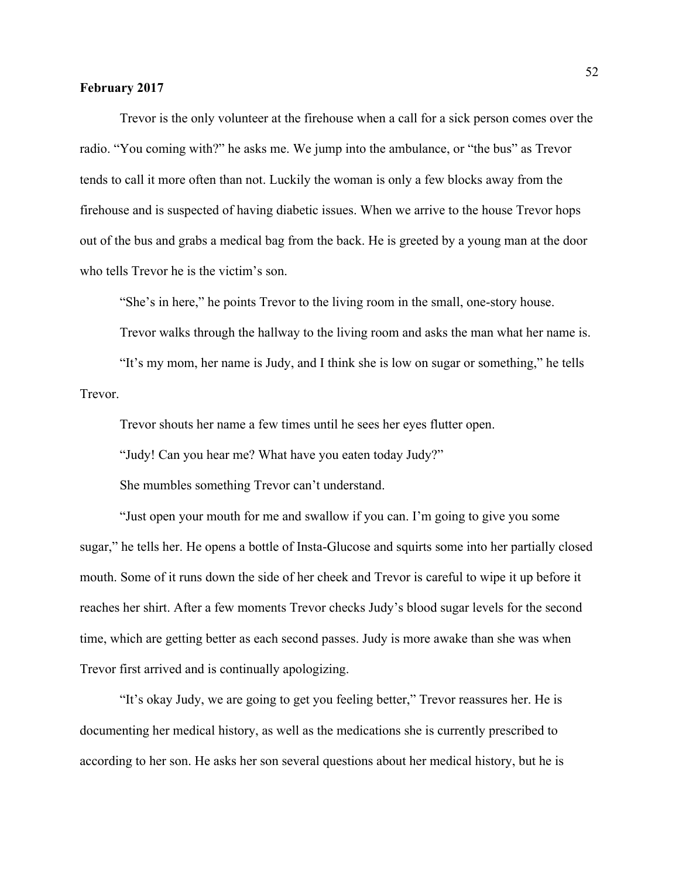### **February 2017**

Trevor is the only volunteer at the firehouse when a call for a sick person comes over the radio. "You coming with?" he asks me. We jump into the ambulance, or "the bus" as Trevor tends to call it more often than not. Luckily the woman is only a few blocks away from the firehouse and is suspected of having diabetic issues. When we arrive to the house Trevor hops out of the bus and grabs a medical bag from the back. He is greeted by a young man at the door who tells Trevor he is the victim's son.

"She's in here," he points Trevor to the living room in the small, one-story house.

Trevor walks through the hallway to the living room and asks the man what her name is.

"It's my mom, her name is Judy, and I think she is low on sugar or something," he tells Trevor.

Trevor shouts her name a few times until he sees her eyes flutter open.

"Judy! Can you hear me? What have you eaten today Judy?"

She mumbles something Trevor can't understand.

"Just open your mouth for me and swallow if you can. I'm going to give you some sugar," he tells her. He opens a bottle of Insta-Glucose and squirts some into her partially closed mouth. Some of it runs down the side of her cheek and Trevor is careful to wipe it up before it reaches her shirt. After a few moments Trevor checks Judy's blood sugar levels for the second time, which are getting better as each second passes. Judy is more awake than she was when Trevor first arrived and is continually apologizing.

"It's okay Judy, we are going to get you feeling better," Trevor reassures her. He is documenting her medical history, as well as the medications she is currently prescribed to according to her son. He asks her son several questions about her medical history, but he is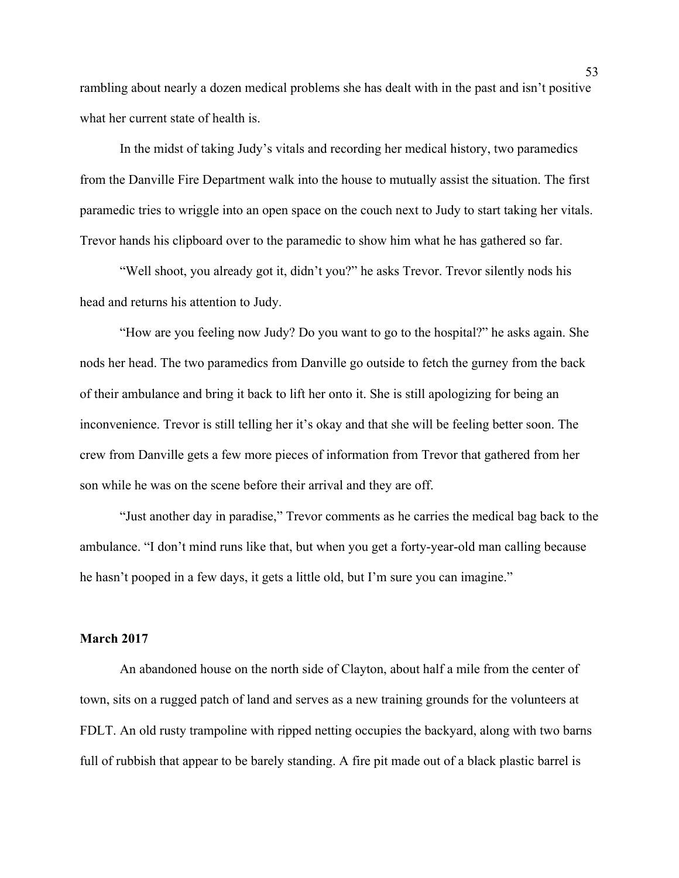rambling about nearly a dozen medical problems she has dealt with in the past and isn't positive what her current state of health is.

In the midst of taking Judy's vitals and recording her medical history, two paramedics from the Danville Fire Department walk into the house to mutually assist the situation. The first paramedic tries to wriggle into an open space on the couch next to Judy to start taking her vitals. Trevor hands his clipboard over to the paramedic to show him what he has gathered so far.

"Well shoot, you already got it, didn't you?" he asks Trevor. Trevor silently nods his head and returns his attention to Judy.

"How are you feeling now Judy? Do you want to go to the hospital?" he asks again. She nods her head. The two paramedics from Danville go outside to fetch the gurney from the back of their ambulance and bring it back to lift her onto it. She is still apologizing for being an inconvenience. Trevor is still telling her it's okay and that she will be feeling better soon. The crew from Danville gets a few more pieces of information from Trevor that gathered from her son while he was on the scene before their arrival and they are off.

"Just another day in paradise," Trevor comments as he carries the medical bag back to the ambulance. "I don't mind runs like that, but when you get a forty-year-old man calling because he hasn't pooped in a few days, it gets a little old, but I'm sure you can imagine."

### **March 2017**

An abandoned house on the north side of Clayton, about half a mile from the center of town, sits on a rugged patch of land and serves as a new training grounds for the volunteers at FDLT. An old rusty trampoline with ripped netting occupies the backyard, along with two barns full of rubbish that appear to be barely standing. A fire pit made out of a black plastic barrel is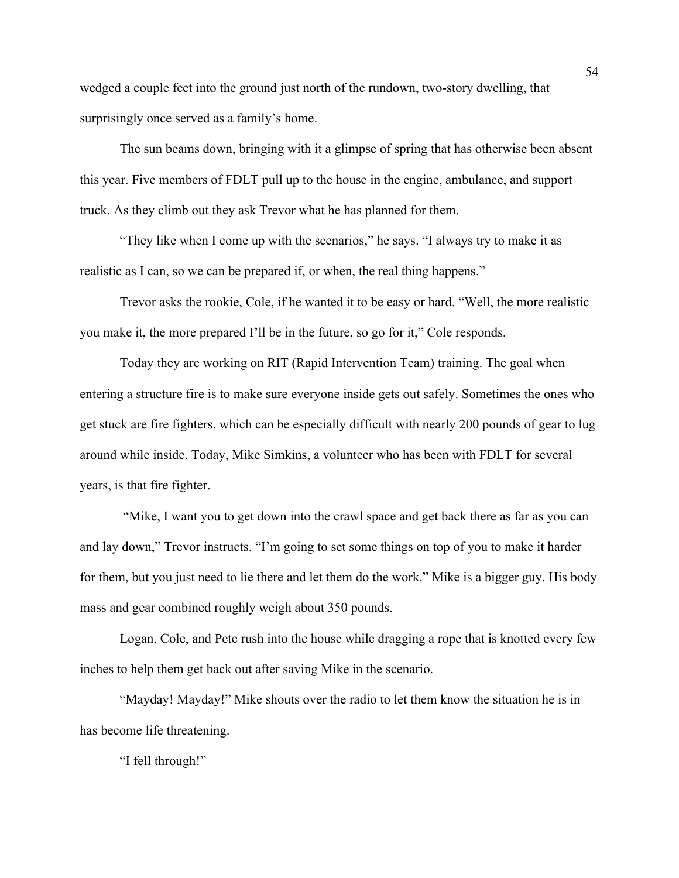wedged a couple feet into the ground just north of the rundown, two-story dwelling, that surprisingly once served as a family's home.

The sun beams down, bringing with it a glimpse of spring that has otherwise been absent this year. Five members of FDLT pull up to the house in the engine, ambulance, and support truck. As they climb out they ask Trevor what he has planned for them.

"They like when I come up with the scenarios," he says. "I always try to make it as realistic as I can, so we can be prepared if, or when, the real thing happens."

Trevor asks the rookie, Cole, if he wanted it to be easy or hard. "Well, the more realistic you make it, the more prepared I'll be in the future, so go for it," Cole responds.

Today they are working on RIT (Rapid Intervention Team) training. The goal when entering a structure fire is to make sure everyone inside gets out safely. Sometimes the ones who get stuck are fire fighters, which can be especially difficult with nearly 200 pounds of gear to lug around while inside. Today, Mike Simkins, a volunteer who has been with FDLT for several years, is that fire fighter.

"Mike, I want you to get down into the crawl space and get back there as far as you can and lay down," Trevor instructs. "I'm going to set some things on top of you to make it harder for them, but you just need to lie there and let them do the work." Mike is a bigger guy. His body mass and gear combined roughly weigh about 350 pounds.

Logan, Cole, and Pete rush into the house while dragging a rope that is knotted every few inches to help them get back out after saving Mike in the scenario.

"Mayday! Mayday!" Mike shouts over the radio to let them know the situation he is in has become life threatening.

"I fell through!"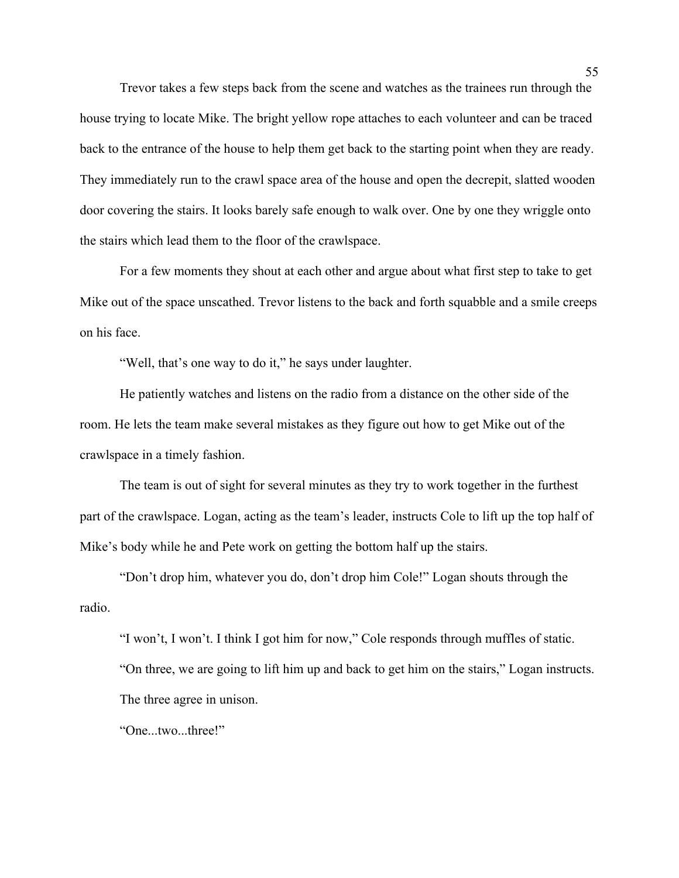Trevor takes a few steps back from the scene and watches as the trainees run through the house trying to locate Mike. The bright yellow rope attaches to each volunteer and can be traced back to the entrance of the house to help them get back to the starting point when they are ready. They immediately run to the crawl space area of the house and open the decrepit, slatted wooden door covering the stairs. It looks barely safe enough to walk over. One by one they wriggle onto the stairs which lead them to the floor of the crawlspace.

For a few moments they shout at each other and argue about what first step to take to get Mike out of the space unscathed. Trevor listens to the back and forth squabble and a smile creeps on his face.

"Well, that's one way to do it," he says under laughter.

He patiently watches and listens on the radio from a distance on the other side of the room. He lets the team make several mistakes as they figure out how to get Mike out of the crawlspace in a timely fashion.

The team is out of sight for several minutes as they try to work together in the furthest part of the crawlspace. Logan, acting as the team's leader, instructs Cole to lift up the top half of Mike's body while he and Pete work on getting the bottom half up the stairs.

"Don't drop him, whatever you do, don't drop him Cole!" Logan shouts through the radio.

"I won't, I won't. I think I got him for now," Cole responds through muffles of static. "On three, we are going to lift him up and back to get him on the stairs," Logan instructs. The three agree in unison.

"One...two...three!"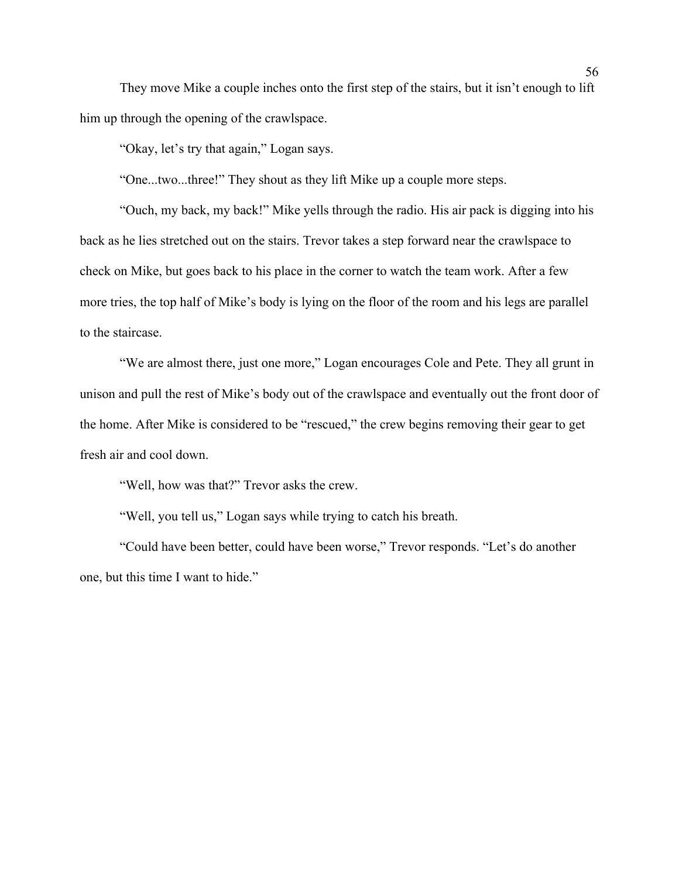They move Mike a couple inches onto the first step of the stairs, but it isn't enough to lift him up through the opening of the crawlspace.

"Okay, let's try that again," Logan says.

"One...two...three!" They shout as they lift Mike up a couple more steps.

"Ouch, my back, my back!" Mike yells through the radio. His air pack is digging into his back as he lies stretched out on the stairs. Trevor takes a step forward near the crawlspace to check on Mike, but goes back to his place in the corner to watch the team work. After a few more tries, the top half of Mike's body is lying on the floor of the room and his legs are parallel to the staircase.

"We are almost there, just one more," Logan encourages Cole and Pete. They all grunt in unison and pull the rest of Mike's body out of the crawlspace and eventually out the front door of the home. After Mike is considered to be "rescued," the crew begins removing their gear to get fresh air and cool down.

"Well, how was that?" Trevor asks the crew.

"Well, you tell us," Logan says while trying to catch his breath.

"Could have been better, could have been worse," Trevor responds. "Let's do another one, but this time I want to hide."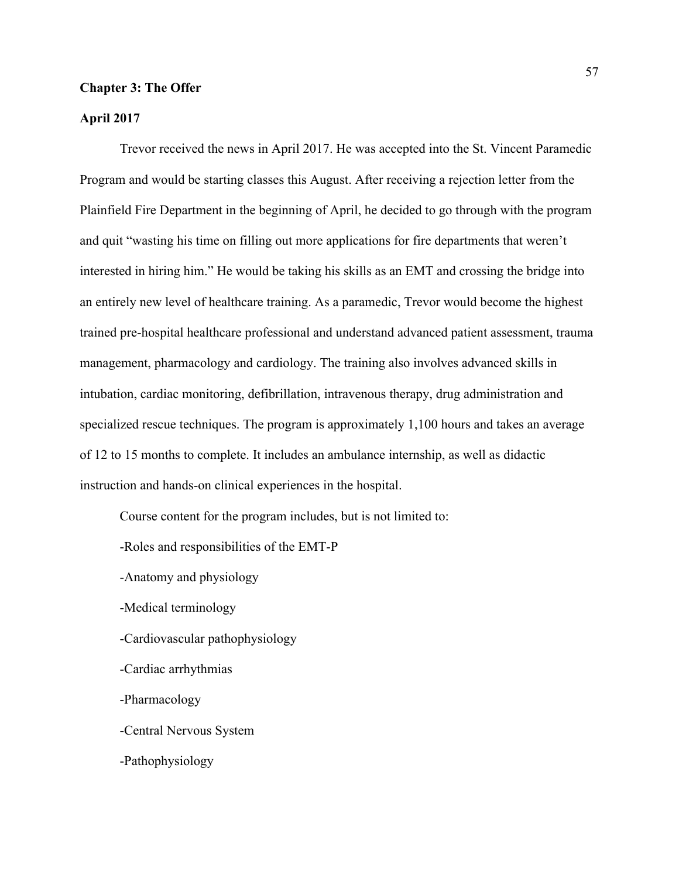## **Chapter 3: The Offer**

# **April 2017**

Trevor received the news in April 2017. He was accepted into the St. Vincent Paramedic Program and would be starting classes this August. After receiving a rejection letter from the Plainfield Fire Department in the beginning of April, he decided to go through with the program and quit "wasting his time on filling out more applications for fire departments that weren't interested in hiring him." He would be taking his skills as an EMT and crossing the bridge into an entirely new level of healthcare training. As a paramedic, Trevor would become the highest trained pre-hospital healthcare professional and understand advanced patient assessment, trauma management, pharmacology and cardiology. The training also involves advanced skills in intubation, cardiac monitoring, defibrillation, intravenous therapy, drug administration and specialized rescue techniques. The program is approximately 1,100 hours and takes an average of 12 to 15 months to complete. It includes an ambulance internship, as well as didactic instruction and hands-on clinical experiences in the hospital.

Course content for the program includes, but is not limited to:

-Roles and responsibilities of the EMT-P

-Anatomy and physiology

-Medical terminology

-Cardiovascular pathophysiology

-Cardiac arrhythmias

-Pharmacology

-Central Nervous System

-Pathophysiology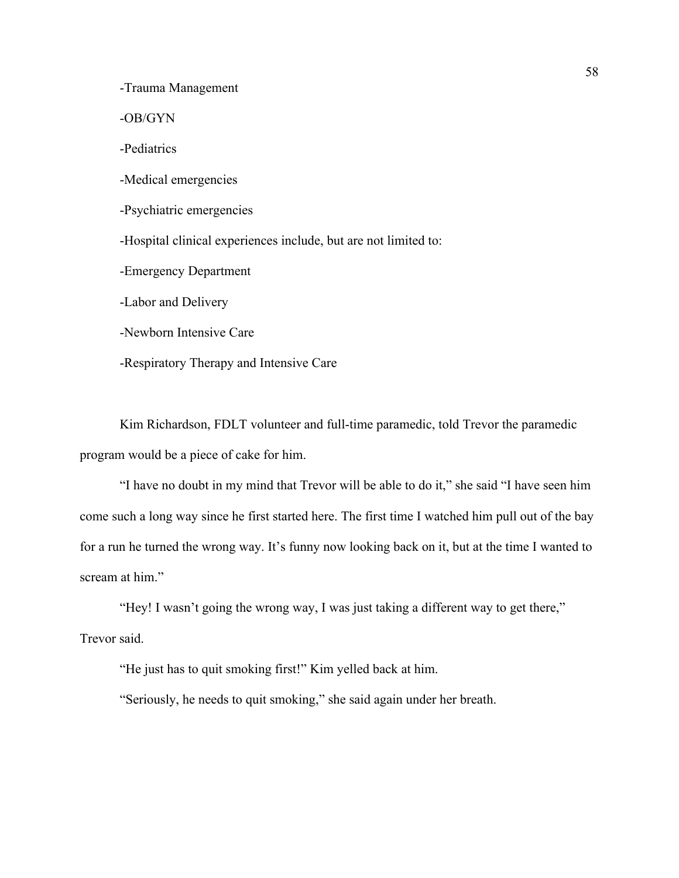-Trauma Management

-OB/GYN

-Pediatrics

-Medical emergencies

-Psychiatric emergencies

-Hospital clinical experiences include, but are not limited to:

-Emergency Department

-Labor and Delivery

-Newborn Intensive Care

-Respiratory Therapy and Intensive Care

Kim Richardson, FDLT volunteer and full-time paramedic, told Trevor the paramedic program would be a piece of cake for him.

"I have no doubt in my mind that Trevor will be able to do it," she said "I have seen him come such a long way since he first started here. The first time I watched him pull out of the bay for a run he turned the wrong way. It's funny now looking back on it, but at the time I wanted to scream at him."

"Hey! I wasn't going the wrong way, I was just taking a different way to get there," Trevor said.

"He just has to quit smoking first!" Kim yelled back at him.

"Seriously, he needs to quit smoking," she said again under her breath.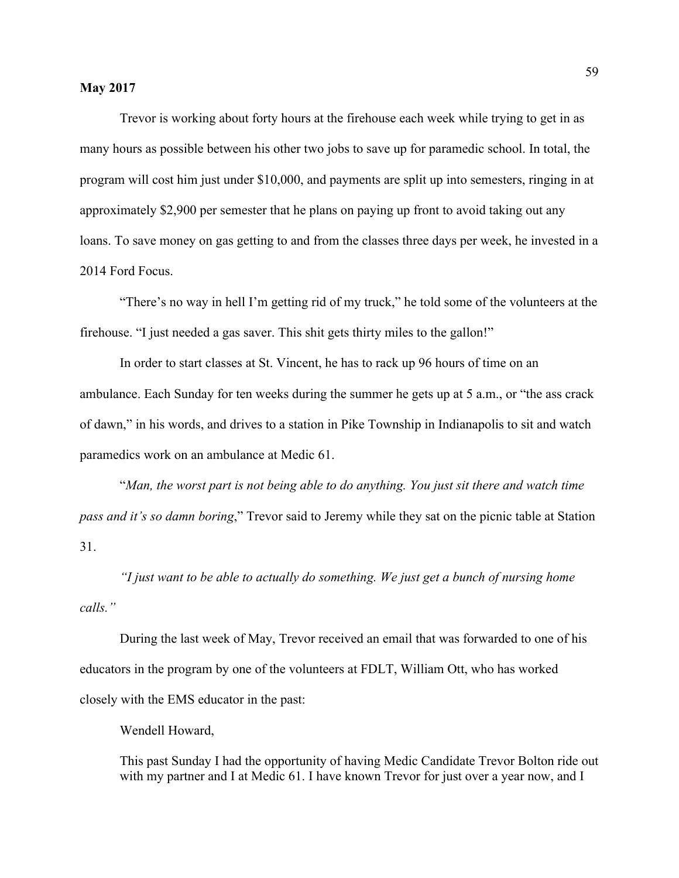Trevor is working about forty hours at the firehouse each week while trying to get in as many hours as possible between his other two jobs to save up for paramedic school. In total, the program will cost him just under \$10,000, and payments are split up into semesters, ringing in at approximately \$2,900 per semester that he plans on paying up front to avoid taking out any loans. To save money on gas getting to and from the classes three days per week, he invested in a 2014 Ford Focus.

"There's no way in hell I'm getting rid of my truck," he told some of the volunteers at the firehouse. "I just needed a gas saver. This shit gets thirty miles to the gallon!"

In order to start classes at St. Vincent, he has to rack up 96 hours of time on an ambulance. Each Sunday for ten weeks during the summer he gets up at 5 a.m., or "the ass crack of dawn," in his words, and drives to a station in Pike Township in Indianapolis to sit and watch paramedics work on an ambulance at Medic 61.

"*Man, the worst part is not being able to do anything. You just sit there and watch time pass and it's so damn boring*," Trevor said to Jeremy while they sat on the picnic table at Station 31.

*"I just want to be able to actually do something. We just get a bunch of nursing home calls."* 

During the last week of May, Trevor received an email that was forwarded to one of his educators in the program by one of the volunteers at FDLT, William Ott, who has worked closely with the EMS educator in the past:

Wendell Howard,

This past Sunday I had the opportunity of having Medic Candidate Trevor Bolton ride out with my partner and I at Medic 61. I have known Trevor for just over a year now, and I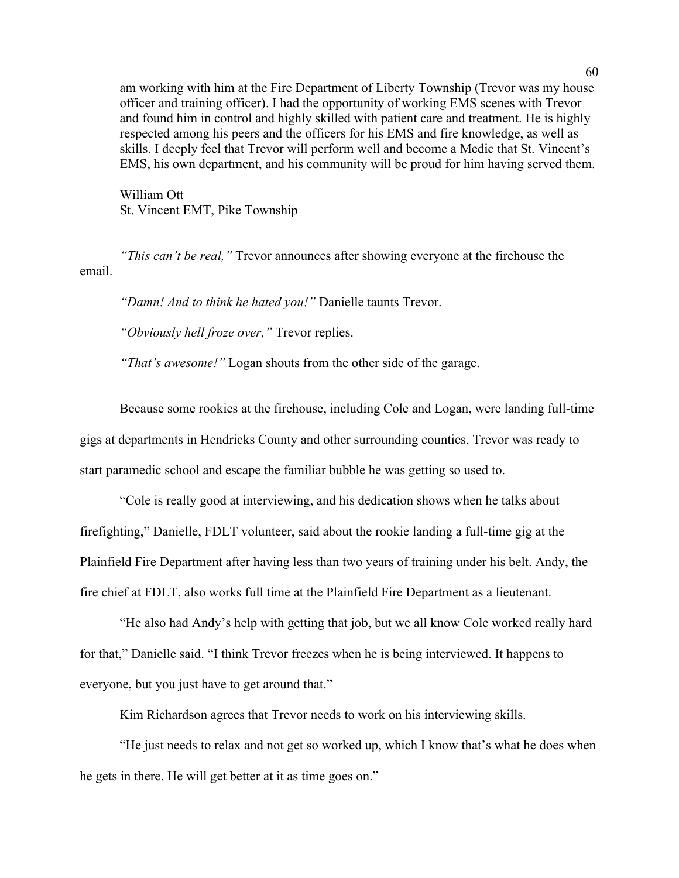am working with him at the Fire Department of Liberty Township (Trevor was my house officer and training officer). I had the opportunity of working EMS scenes with Trevor and found him in control and highly skilled with patient care and treatment. He is highly respected among his peers and the officers for his EMS and fire knowledge, as well as skills. I deeply feel that Trevor will perform well and become a Medic that St. Vincent's EMS, his own department, and his community will be proud for him having served them.

William Ott St. Vincent EMT, Pike Township

*"This can't be real,"* Trevor announces after showing everyone at the firehouse the email.

*"Damn! And to think he hated you!"* Danielle taunts Trevor.

*"Obviously hell froze over,"* Trevor replies.

*"That's awesome!"* Logan shouts from the other side of the garage.

Because some rookies at the firehouse, including Cole and Logan, were landing full-time gigs at departments in Hendricks County and other surrounding counties, Trevor was ready to start paramedic school and escape the familiar bubble he was getting so used to.

"Cole is really good at interviewing, and his dedication shows when he talks about firefighting," Danielle, FDLT volunteer, said about the rookie landing a full-time gig at the Plainfield Fire Department after having less than two years of training under his belt. Andy, the fire chief at FDLT, also works full time at the Plainfield Fire Department as a lieutenant.

"He also had Andy's help with getting that job, but we all know Cole worked really hard for that," Danielle said. "I think Trevor freezes when he is being interviewed. It happens to everyone, but you just have to get around that."

Kim Richardson agrees that Trevor needs to work on his interviewing skills.

"He just needs to relax and not get so worked up, which I know that's what he does when he gets in there. He will get better at it as time goes on."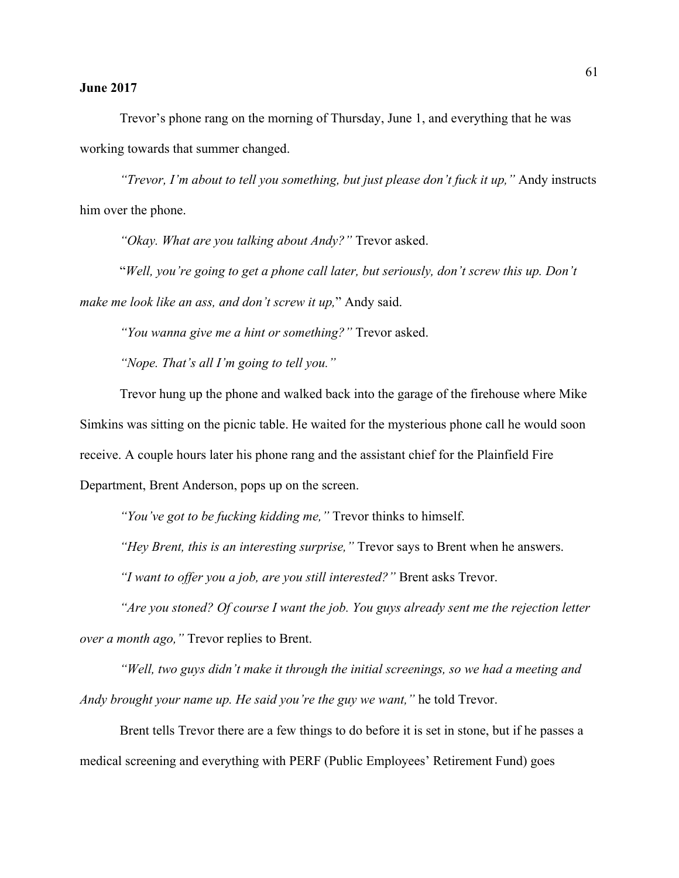# **June 2017**

Trevor's phone rang on the morning of Thursday, June 1, and everything that he was working towards that summer changed.

*"Trevor, I'm about to tell you something, but just please don't fuck it up,"* Andy instructs him over the phone.

*"Okay. What are you talking about Andy?"* Trevor asked.

"*Well, you're going to get a phone call later, but seriously, don't screw this up. Don't make me look like an ass, and don't screw it up,*" Andy said.

*"You wanna give me a hint or something?"* Trevor asked.

*"Nope. That's all I'm going to tell you."*

Trevor hung up the phone and walked back into the garage of the firehouse where Mike Simkins was sitting on the picnic table. He waited for the mysterious phone call he would soon receive. A couple hours later his phone rang and the assistant chief for the Plainfield Fire Department, Brent Anderson, pops up on the screen.

*"You've got to be fucking kidding me,"* Trevor thinks to himself.

*"Hey Brent, this is an interesting surprise,"* Trevor says to Brent when he answers.

*"I want to offer you a job, are you still interested?"* Brent asks Trevor.

*"Are you stoned? Of course I want the job. You guys already sent me the rejection letter over a month ago,"* Trevor replies to Brent.

*"Well, two guys didn't make it through the initial screenings, so we had a meeting and Andy brought your name up. He said you're the guy we want,"* he told Trevor.

Brent tells Trevor there are a few things to do before it is set in stone, but if he passes a medical screening and everything with PERF (Public Employees' Retirement Fund) goes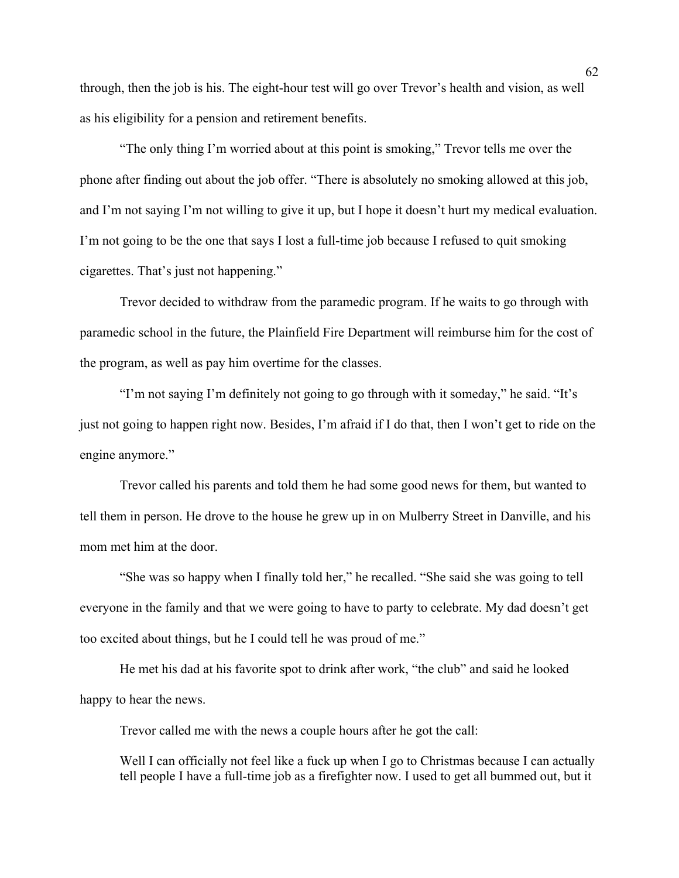through, then the job is his. The eight-hour test will go over Trevor's health and vision, as well as his eligibility for a pension and retirement benefits.

"The only thing I'm worried about at this point is smoking," Trevor tells me over the phone after finding out about the job offer. "There is absolutely no smoking allowed at this job, and I'm not saying I'm not willing to give it up, but I hope it doesn't hurt my medical evaluation. I'm not going to be the one that says I lost a full-time job because I refused to quit smoking cigarettes. That's just not happening."

Trevor decided to withdraw from the paramedic program. If he waits to go through with paramedic school in the future, the Plainfield Fire Department will reimburse him for the cost of the program, as well as pay him overtime for the classes.

"I'm not saying I'm definitely not going to go through with it someday," he said. "It's just not going to happen right now. Besides, I'm afraid if I do that, then I won't get to ride on the engine anymore."

Trevor called his parents and told them he had some good news for them, but wanted to tell them in person. He drove to the house he grew up in on Mulberry Street in Danville, and his mom met him at the door.

"She was so happy when I finally told her," he recalled. "She said she was going to tell everyone in the family and that we were going to have to party to celebrate. My dad doesn't get too excited about things, but he I could tell he was proud of me."

He met his dad at his favorite spot to drink after work, "the club" and said he looked happy to hear the news.

Trevor called me with the news a couple hours after he got the call:

Well I can officially not feel like a fuck up when I go to Christmas because I can actually tell people I have a full-time job as a firefighter now. I used to get all bummed out, but it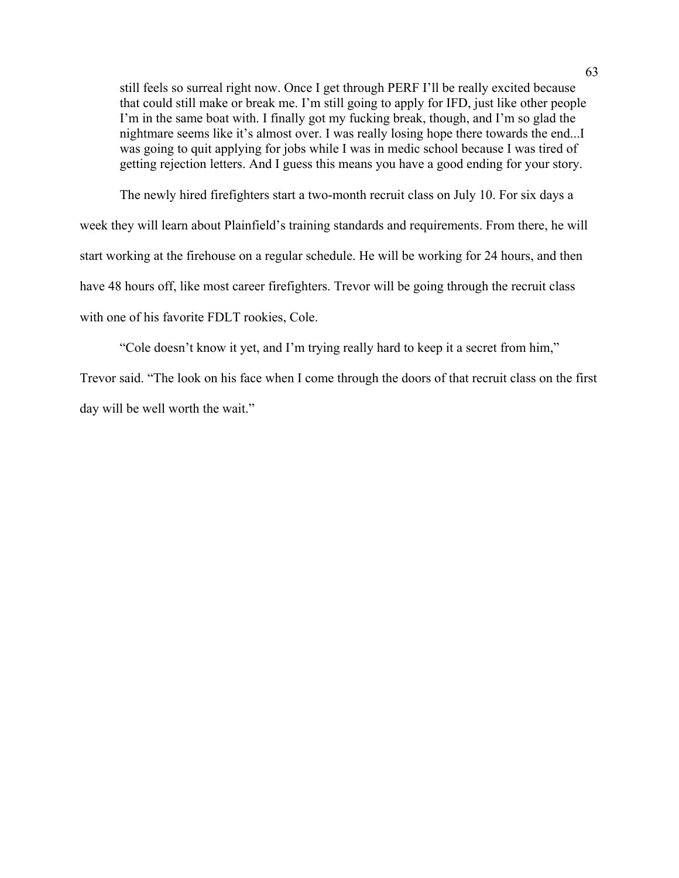still feels so surreal right now. Once I get through PERF I'll be really excited because that could still make or break me. I'm still going to apply for IFD, just like other people I'm in the same boat with. I finally got my fucking break, though, and I'm so glad the nightmare seems like it's almost over. I was really losing hope there towards the end...I was going to quit applying for jobs while I was in medic school because I was tired of getting rejection letters. And I guess this means you have a good ending for your story.

The newly hired firefighters start a two-month recruit class on July 10. For six days a week they will learn about Plainfield's training standards and requirements. From there, he will start working at the firehouse on a regular schedule. He will be working for 24 hours, and then have 48 hours off, like most career firefighters. Trevor will be going through the recruit class with one of his favorite FDLT rookies, Cole.

"Cole doesn't know it yet, and I'm trying really hard to keep it a secret from him,"

Trevor said. "The look on his face when I come through the doors of that recruit class on the first day will be well worth the wait."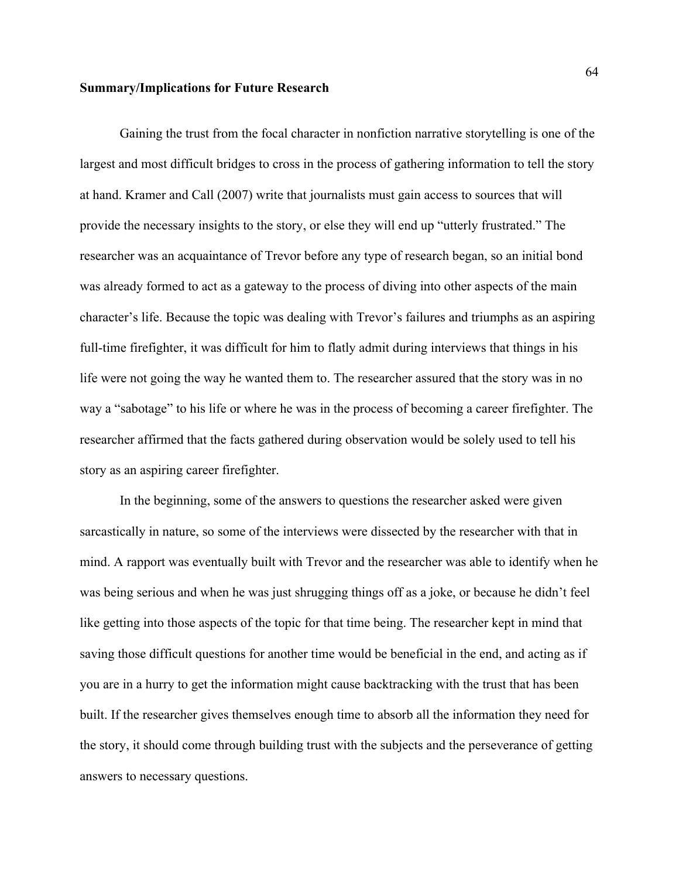### **Summary/Implications for Future Research**

Gaining the trust from the focal character in nonfiction narrative storytelling is one of the largest and most difficult bridges to cross in the process of gathering information to tell the story at hand. Kramer and Call (2007) write that journalists must gain access to sources that will provide the necessary insights to the story, or else they will end up "utterly frustrated." The researcher was an acquaintance of Trevor before any type of research began, so an initial bond was already formed to act as a gateway to the process of diving into other aspects of the main character's life. Because the topic was dealing with Trevor's failures and triumphs as an aspiring full-time firefighter, it was difficult for him to flatly admit during interviews that things in his life were not going the way he wanted them to. The researcher assured that the story was in no way a "sabotage" to his life or where he was in the process of becoming a career firefighter. The researcher affirmed that the facts gathered during observation would be solely used to tell his story as an aspiring career firefighter.

In the beginning, some of the answers to questions the researcher asked were given sarcastically in nature, so some of the interviews were dissected by the researcher with that in mind. A rapport was eventually built with Trevor and the researcher was able to identify when he was being serious and when he was just shrugging things off as a joke, or because he didn't feel like getting into those aspects of the topic for that time being. The researcher kept in mind that saving those difficult questions for another time would be beneficial in the end, and acting as if you are in a hurry to get the information might cause backtracking with the trust that has been built. If the researcher gives themselves enough time to absorb all the information they need for the story, it should come through building trust with the subjects and the perseverance of getting answers to necessary questions.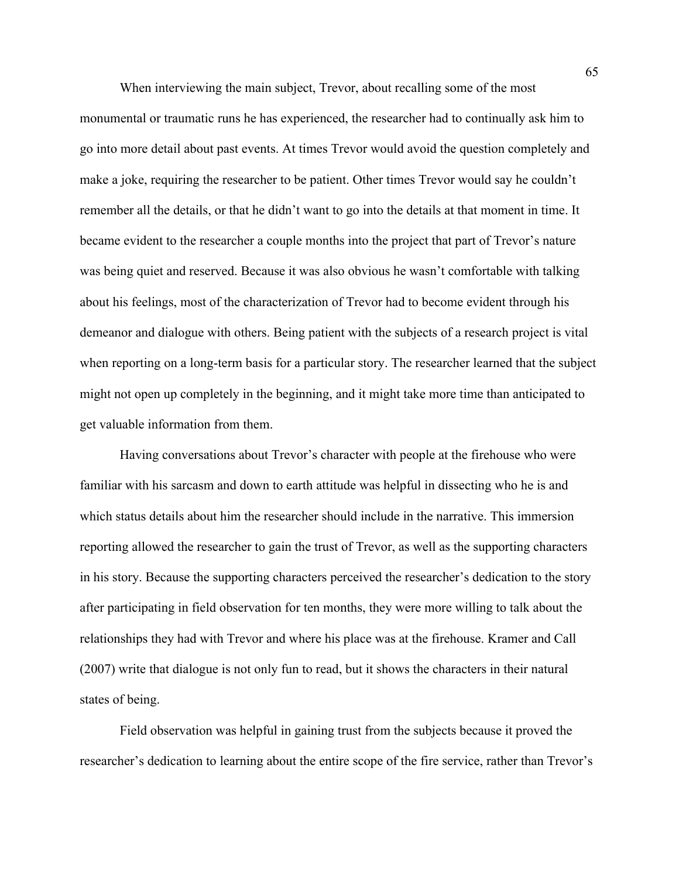When interviewing the main subject, Trevor, about recalling some of the most monumental or traumatic runs he has experienced, the researcher had to continually ask him to go into more detail about past events. At times Trevor would avoid the question completely and make a joke, requiring the researcher to be patient. Other times Trevor would say he couldn't remember all the details, or that he didn't want to go into the details at that moment in time. It became evident to the researcher a couple months into the project that part of Trevor's nature was being quiet and reserved. Because it was also obvious he wasn't comfortable with talking about his feelings, most of the characterization of Trevor had to become evident through his demeanor and dialogue with others. Being patient with the subjects of a research project is vital when reporting on a long-term basis for a particular story. The researcher learned that the subject might not open up completely in the beginning, and it might take more time than anticipated to get valuable information from them.

Having conversations about Trevor's character with people at the firehouse who were familiar with his sarcasm and down to earth attitude was helpful in dissecting who he is and which status details about him the researcher should include in the narrative. This immersion reporting allowed the researcher to gain the trust of Trevor, as well as the supporting characters in his story. Because the supporting characters perceived the researcher's dedication to the story after participating in field observation for ten months, they were more willing to talk about the relationships they had with Trevor and where his place was at the firehouse. Kramer and Call (2007) write that dialogue is not only fun to read, but it shows the characters in their natural states of being.

Field observation was helpful in gaining trust from the subjects because it proved the researcher's dedication to learning about the entire scope of the fire service, rather than Trevor's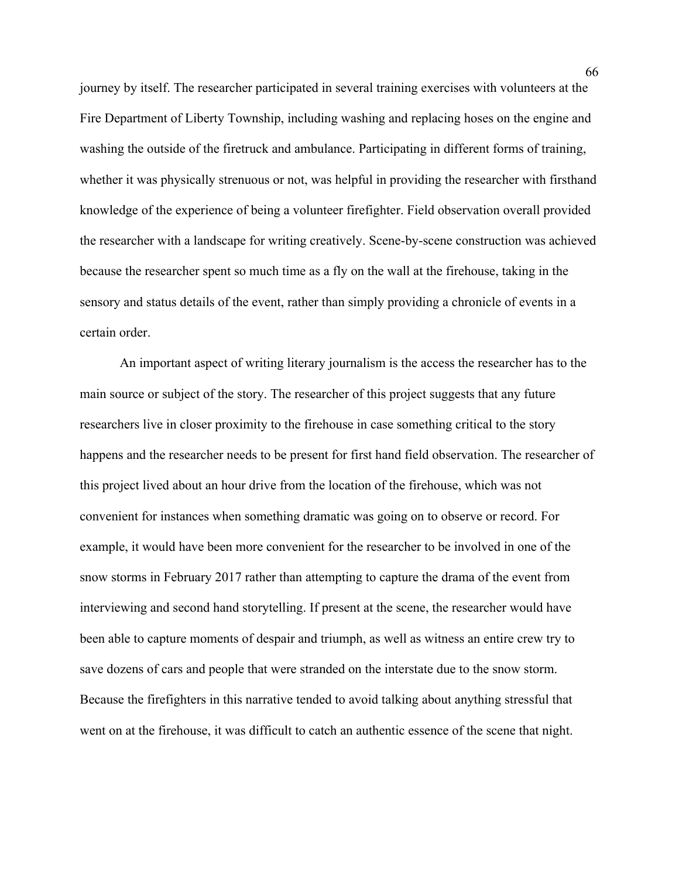journey by itself. The researcher participated in several training exercises with volunteers at the Fire Department of Liberty Township, including washing and replacing hoses on the engine and washing the outside of the firetruck and ambulance. Participating in different forms of training, whether it was physically strenuous or not, was helpful in providing the researcher with firsthand knowledge of the experience of being a volunteer firefighter. Field observation overall provided the researcher with a landscape for writing creatively. Scene-by-scene construction was achieved because the researcher spent so much time as a fly on the wall at the firehouse, taking in the sensory and status details of the event, rather than simply providing a chronicle of events in a certain order.

An important aspect of writing literary journalism is the access the researcher has to the main source or subject of the story. The researcher of this project suggests that any future researchers live in closer proximity to the firehouse in case something critical to the story happens and the researcher needs to be present for first hand field observation. The researcher of this project lived about an hour drive from the location of the firehouse, which was not convenient for instances when something dramatic was going on to observe or record. For example, it would have been more convenient for the researcher to be involved in one of the snow storms in February 2017 rather than attempting to capture the drama of the event from interviewing and second hand storytelling. If present at the scene, the researcher would have been able to capture moments of despair and triumph, as well as witness an entire crew try to save dozens of cars and people that were stranded on the interstate due to the snow storm. Because the firefighters in this narrative tended to avoid talking about anything stressful that went on at the firehouse, it was difficult to catch an authentic essence of the scene that night.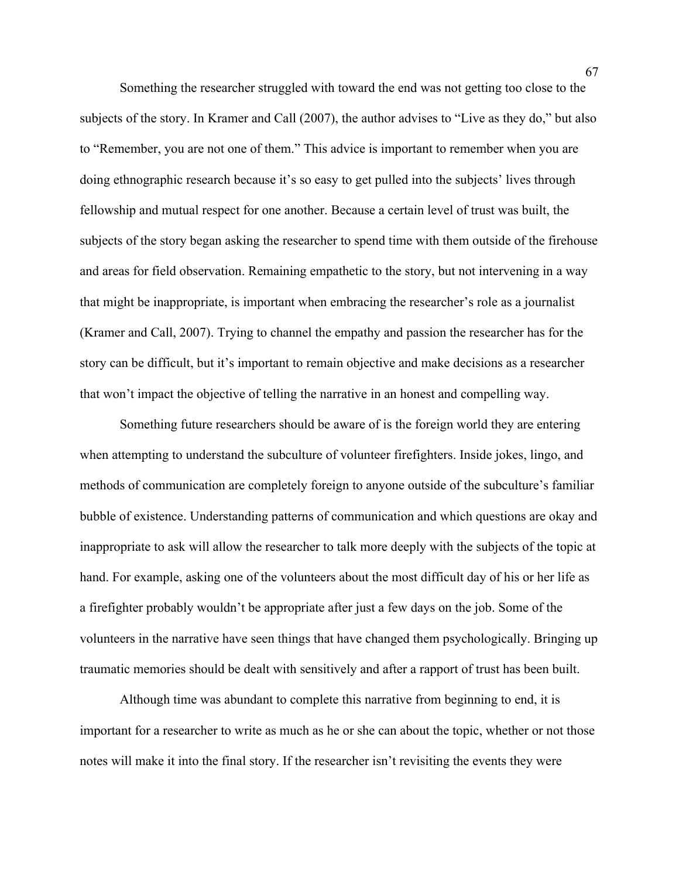Something the researcher struggled with toward the end was not getting too close to the subjects of the story. In Kramer and Call (2007), the author advises to "Live as they do," but also to "Remember, you are not one of them." This advice is important to remember when you are doing ethnographic research because it's so easy to get pulled into the subjects' lives through fellowship and mutual respect for one another. Because a certain level of trust was built, the subjects of the story began asking the researcher to spend time with them outside of the firehouse and areas for field observation. Remaining empathetic to the story, but not intervening in a way that might be inappropriate, is important when embracing the researcher's role as a journalist (Kramer and Call, 2007). Trying to channel the empathy and passion the researcher has for the story can be difficult, but it's important to remain objective and make decisions as a researcher that won't impact the objective of telling the narrative in an honest and compelling way.

Something future researchers should be aware of is the foreign world they are entering when attempting to understand the subculture of volunteer firefighters. Inside jokes, lingo, and methods of communication are completely foreign to anyone outside of the subculture's familiar bubble of existence. Understanding patterns of communication and which questions are okay and inappropriate to ask will allow the researcher to talk more deeply with the subjects of the topic at hand. For example, asking one of the volunteers about the most difficult day of his or her life as a firefighter probably wouldn't be appropriate after just a few days on the job. Some of the volunteers in the narrative have seen things that have changed them psychologically. Bringing up traumatic memories should be dealt with sensitively and after a rapport of trust has been built.

Although time was abundant to complete this narrative from beginning to end, it is important for a researcher to write as much as he or she can about the topic, whether or not those notes will make it into the final story. If the researcher isn't revisiting the events they were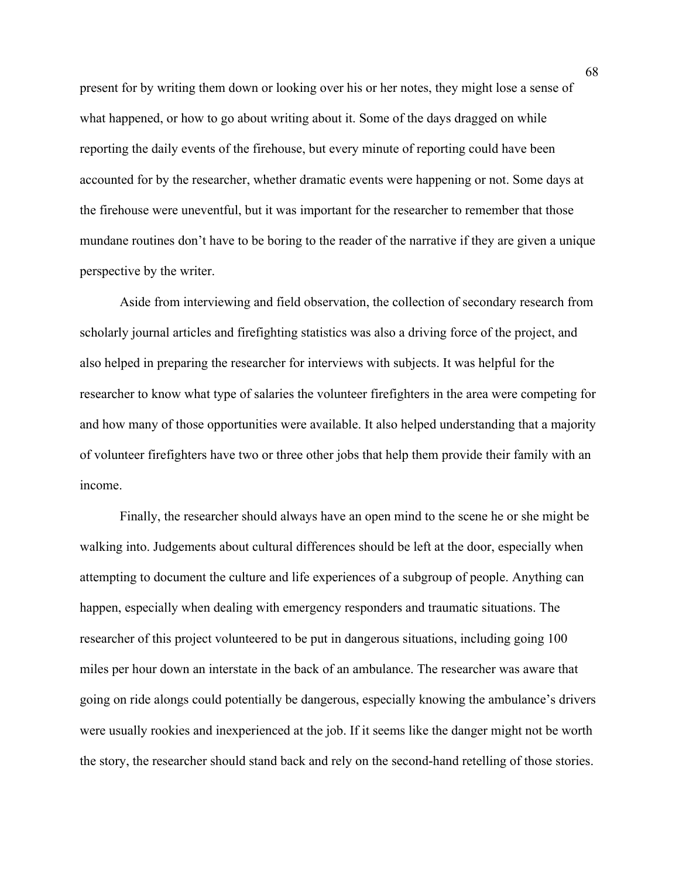present for by writing them down or looking over his or her notes, they might lose a sense of what happened, or how to go about writing about it. Some of the days dragged on while reporting the daily events of the firehouse, but every minute of reporting could have been accounted for by the researcher, whether dramatic events were happening or not. Some days at the firehouse were uneventful, but it was important for the researcher to remember that those mundane routines don't have to be boring to the reader of the narrative if they are given a unique perspective by the writer.

Aside from interviewing and field observation, the collection of secondary research from scholarly journal articles and firefighting statistics was also a driving force of the project, and also helped in preparing the researcher for interviews with subjects. It was helpful for the researcher to know what type of salaries the volunteer firefighters in the area were competing for and how many of those opportunities were available. It also helped understanding that a majority of volunteer firefighters have two or three other jobs that help them provide their family with an income.

Finally, the researcher should always have an open mind to the scene he or she might be walking into. Judgements about cultural differences should be left at the door, especially when attempting to document the culture and life experiences of a subgroup of people. Anything can happen, especially when dealing with emergency responders and traumatic situations. The researcher of this project volunteered to be put in dangerous situations, including going 100 miles per hour down an interstate in the back of an ambulance. The researcher was aware that going on ride alongs could potentially be dangerous, especially knowing the ambulance's drivers were usually rookies and inexperienced at the job. If it seems like the danger might not be worth the story, the researcher should stand back and rely on the second-hand retelling of those stories.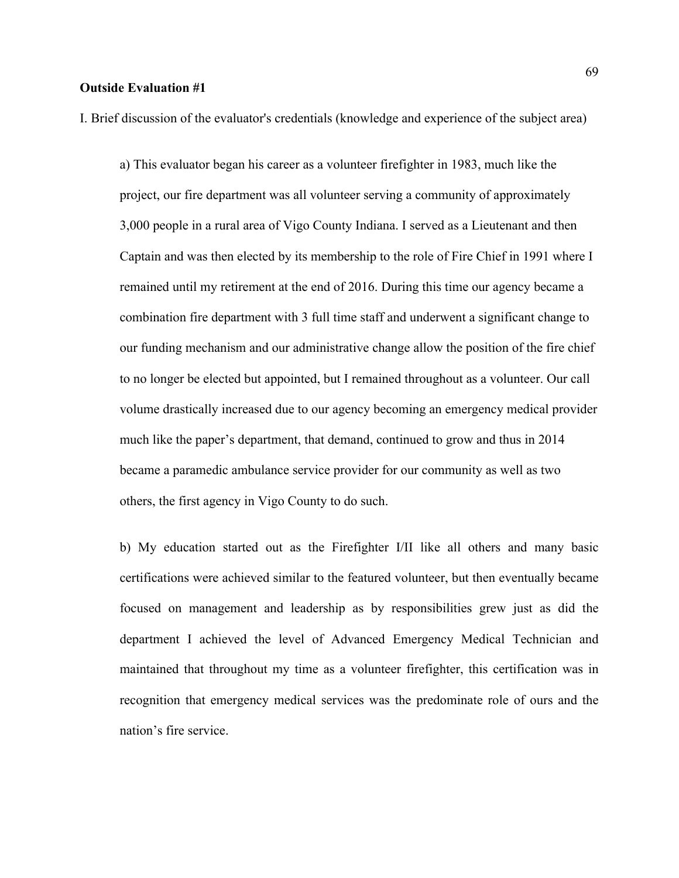## **Outside Evaluation #1**

I. Brief discussion of the evaluator's credentials (knowledge and experience of the subject area)

a) This evaluator began his career as a volunteer firefighter in 1983, much like the project, our fire department was all volunteer serving a community of approximately 3,000 people in a rural area of Vigo County Indiana. I served as a Lieutenant and then Captain and was then elected by its membership to the role of Fire Chief in 1991 where I remained until my retirement at the end of 2016. During this time our agency became a combination fire department with 3 full time staff and underwent a significant change to our funding mechanism and our administrative change allow the position of the fire chief to no longer be elected but appointed, but I remained throughout as a volunteer. Our call volume drastically increased due to our agency becoming an emergency medical provider much like the paper's department, that demand, continued to grow and thus in 2014 became a paramedic ambulance service provider for our community as well as two others, the first agency in Vigo County to do such.

b) My education started out as the Firefighter I/II like all others and many basic certifications were achieved similar to the featured volunteer, but then eventually became focused on management and leadership as by responsibilities grew just as did the department I achieved the level of Advanced Emergency Medical Technician and maintained that throughout my time as a volunteer firefighter, this certification was in recognition that emergency medical services was the predominate role of ours and the nation's fire service.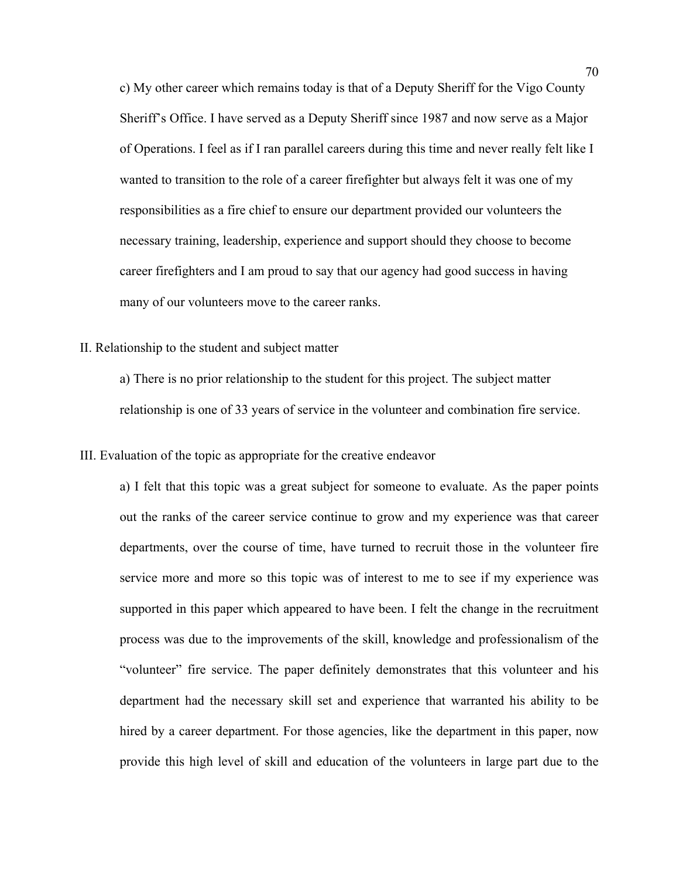c) My other career which remains today is that of a Deputy Sheriff for the Vigo County Sheriff's Office. I have served as a Deputy Sheriff since 1987 and now serve as a Major of Operations. I feel as if I ran parallel careers during this time and never really felt like I wanted to transition to the role of a career firefighter but always felt it was one of my responsibilities as a fire chief to ensure our department provided our volunteers the necessary training, leadership, experience and support should they choose to become career firefighters and I am proud to say that our agency had good success in having many of our volunteers move to the career ranks.

## II. Relationship to the student and subject matter

a) There is no prior relationship to the student for this project. The subject matter relationship is one of 33 years of service in the volunteer and combination fire service.

### III. Evaluation of the topic as appropriate for the creative endeavor

a) I felt that this topic was a great subject for someone to evaluate. As the paper points out the ranks of the career service continue to grow and my experience was that career departments, over the course of time, have turned to recruit those in the volunteer fire service more and more so this topic was of interest to me to see if my experience was supported in this paper which appeared to have been. I felt the change in the recruitment process was due to the improvements of the skill, knowledge and professionalism of the "volunteer" fire service. The paper definitely demonstrates that this volunteer and his department had the necessary skill set and experience that warranted his ability to be hired by a career department. For those agencies, like the department in this paper, now provide this high level of skill and education of the volunteers in large part due to the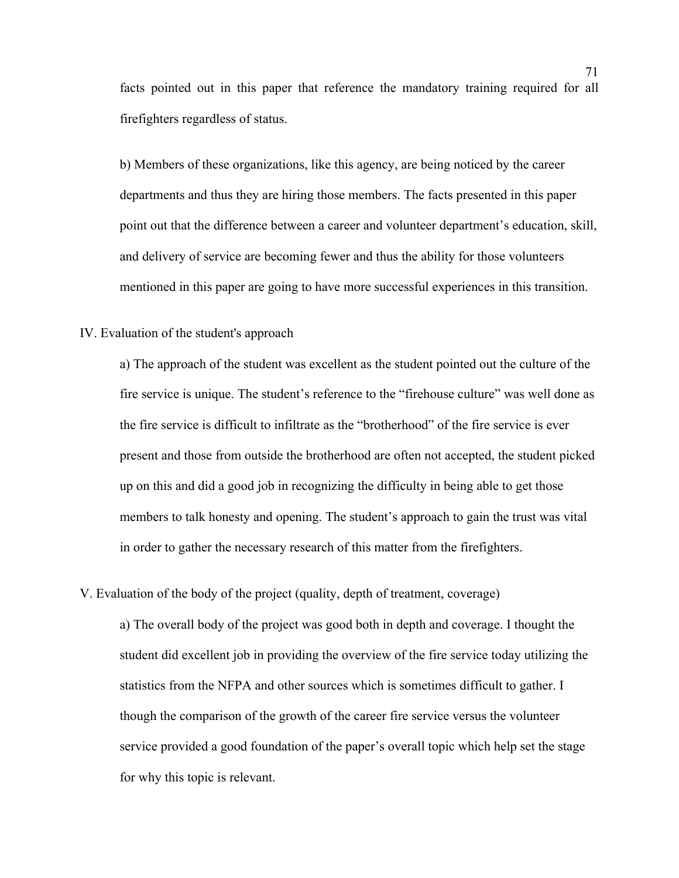facts pointed out in this paper that reference the mandatory training required for all firefighters regardless of status.

b) Members of these organizations, like this agency, are being noticed by the career departments and thus they are hiring those members. The facts presented in this paper point out that the difference between a career and volunteer department's education, skill, and delivery of service are becoming fewer and thus the ability for those volunteers mentioned in this paper are going to have more successful experiences in this transition.

## IV. Evaluation of the student's approach

a) The approach of the student was excellent as the student pointed out the culture of the fire service is unique. The student's reference to the "firehouse culture" was well done as the fire service is difficult to infiltrate as the "brotherhood" of the fire service is ever present and those from outside the brotherhood are often not accepted, the student picked up on this and did a good job in recognizing the difficulty in being able to get those members to talk honesty and opening. The student's approach to gain the trust was vital in order to gather the necessary research of this matter from the firefighters.

V. Evaluation of the body of the project (quality, depth of treatment, coverage)

a) The overall body of the project was good both in depth and coverage. I thought the student did excellent job in providing the overview of the fire service today utilizing the statistics from the NFPA and other sources which is sometimes difficult to gather. I though the comparison of the growth of the career fire service versus the volunteer service provided a good foundation of the paper's overall topic which help set the stage for why this topic is relevant.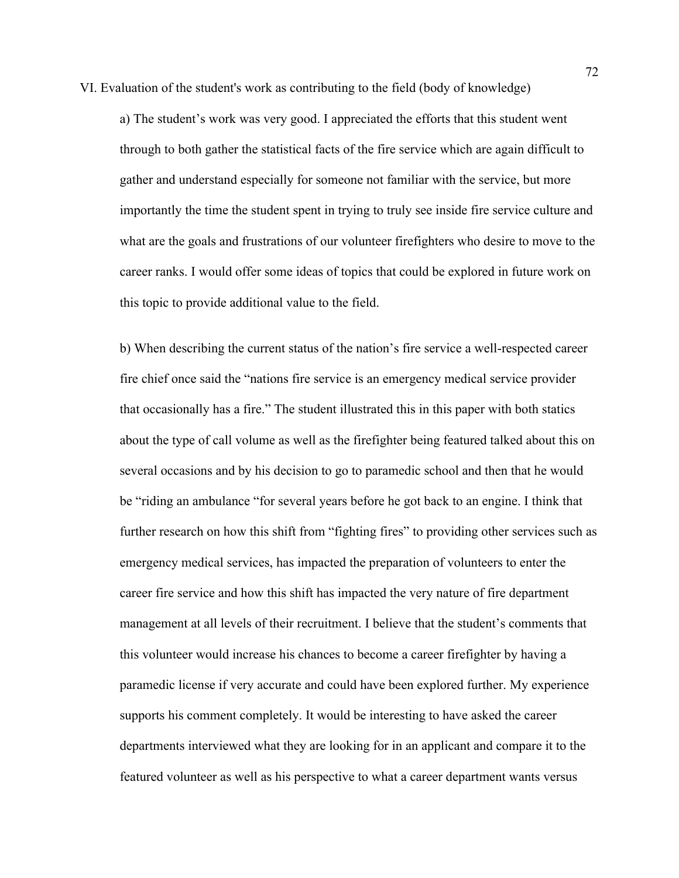VI. Evaluation of the student's work as contributing to the field (body of knowledge)

a) The student's work was very good. I appreciated the efforts that this student went through to both gather the statistical facts of the fire service which are again difficult to gather and understand especially for someone not familiar with the service, but more importantly the time the student spent in trying to truly see inside fire service culture and what are the goals and frustrations of our volunteer firefighters who desire to move to the career ranks. I would offer some ideas of topics that could be explored in future work on this topic to provide additional value to the field.

b) When describing the current status of the nation's fire service a well-respected career fire chief once said the "nations fire service is an emergency medical service provider that occasionally has a fire." The student illustrated this in this paper with both statics about the type of call volume as well as the firefighter being featured talked about this on several occasions and by his decision to go to paramedic school and then that he would be "riding an ambulance "for several years before he got back to an engine. I think that further research on how this shift from "fighting fires" to providing other services such as emergency medical services, has impacted the preparation of volunteers to enter the career fire service and how this shift has impacted the very nature of fire department management at all levels of their recruitment. I believe that the student's comments that this volunteer would increase his chances to become a career firefighter by having a paramedic license if very accurate and could have been explored further. My experience supports his comment completely. It would be interesting to have asked the career departments interviewed what they are looking for in an applicant and compare it to the featured volunteer as well as his perspective to what a career department wants versus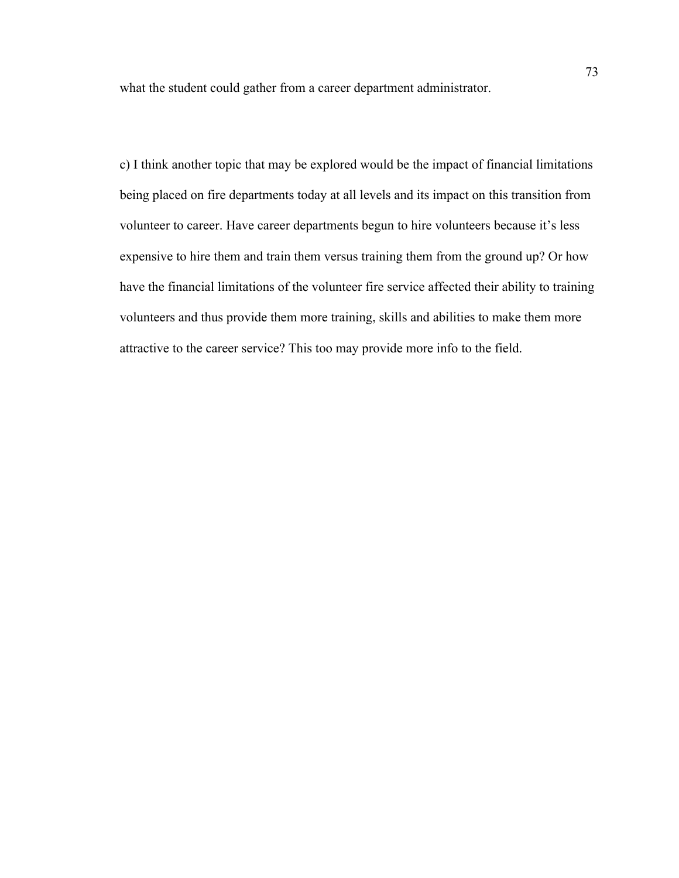what the student could gather from a career department administrator.

c) I think another topic that may be explored would be the impact of financial limitations being placed on fire departments today at all levels and its impact on this transition from volunteer to career. Have career departments begun to hire volunteers because it's less expensive to hire them and train them versus training them from the ground up? Or how have the financial limitations of the volunteer fire service affected their ability to training volunteers and thus provide them more training, skills and abilities to make them more attractive to the career service? This too may provide more info to the field.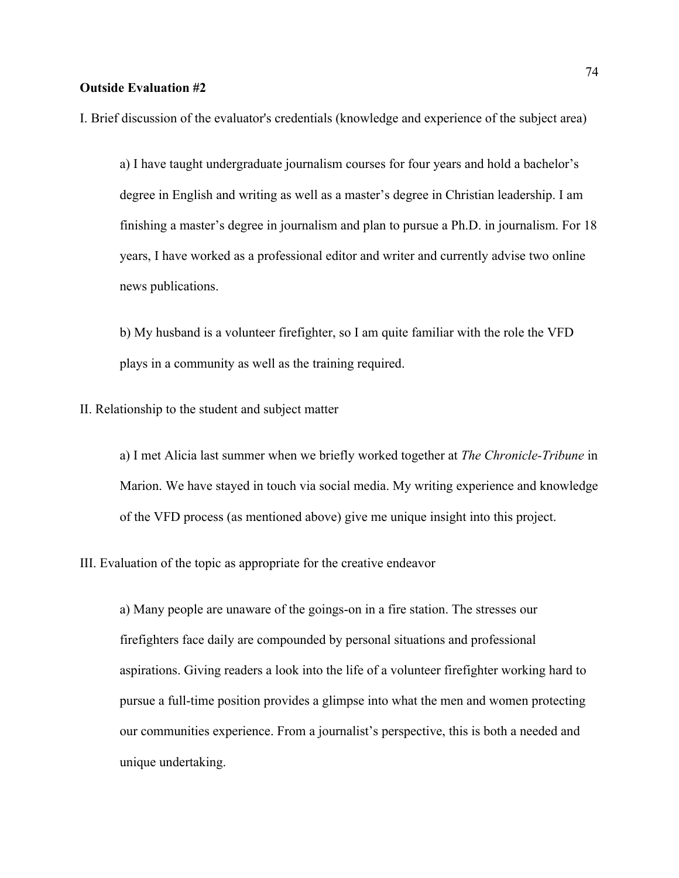## **Outside Evaluation #2**

I. Brief discussion of the evaluator's credentials (knowledge and experience of the subject area)

a) I have taught undergraduate journalism courses for four years and hold a bachelor's degree in English and writing as well as a master's degree in Christian leadership. I am finishing a master's degree in journalism and plan to pursue a Ph.D. in journalism. For 18 years, I have worked as a professional editor and writer and currently advise two online news publications.

b) My husband is a volunteer firefighter, so I am quite familiar with the role the VFD plays in a community as well as the training required.

II. Relationship to the student and subject matter

a) I met Alicia last summer when we briefly worked together at *The Chronicle-Tribune* in Marion. We have stayed in touch via social media. My writing experience and knowledge of the VFD process (as mentioned above) give me unique insight into this project.

III. Evaluation of the topic as appropriate for the creative endeavor

a) Many people are unaware of the goings-on in a fire station. The stresses our firefighters face daily are compounded by personal situations and professional aspirations. Giving readers a look into the life of a volunteer firefighter working hard to pursue a full-time position provides a glimpse into what the men and women protecting our communities experience. From a journalist's perspective, this is both a needed and unique undertaking.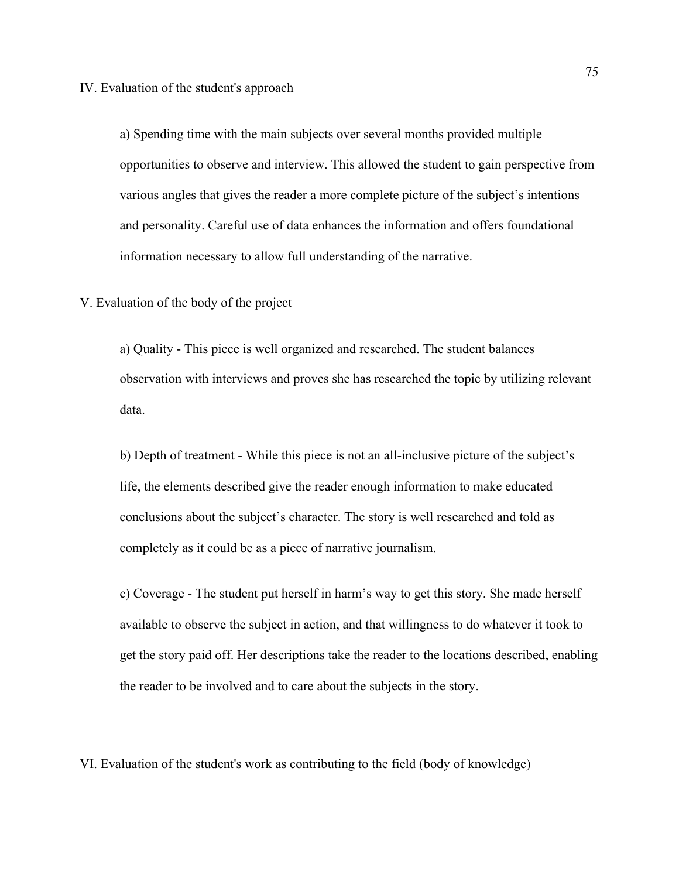IV. Evaluation of the student's approach

a) Spending time with the main subjects over several months provided multiple opportunities to observe and interview. This allowed the student to gain perspective from various angles that gives the reader a more complete picture of the subject's intentions and personality. Careful use of data enhances the information and offers foundational information necessary to allow full understanding of the narrative.

V. Evaluation of the body of the project

a) Quality - This piece is well organized and researched. The student balances observation with interviews and proves she has researched the topic by utilizing relevant data.

b) Depth of treatment - While this piece is not an all-inclusive picture of the subject's life, the elements described give the reader enough information to make educated conclusions about the subject's character. The story is well researched and told as completely as it could be as a piece of narrative journalism.

c) Coverage - The student put herself in harm's way to get this story. She made herself available to observe the subject in action, and that willingness to do whatever it took to get the story paid off. Her descriptions take the reader to the locations described, enabling the reader to be involved and to care about the subjects in the story.

VI. Evaluation of the student's work as contributing to the field (body of knowledge)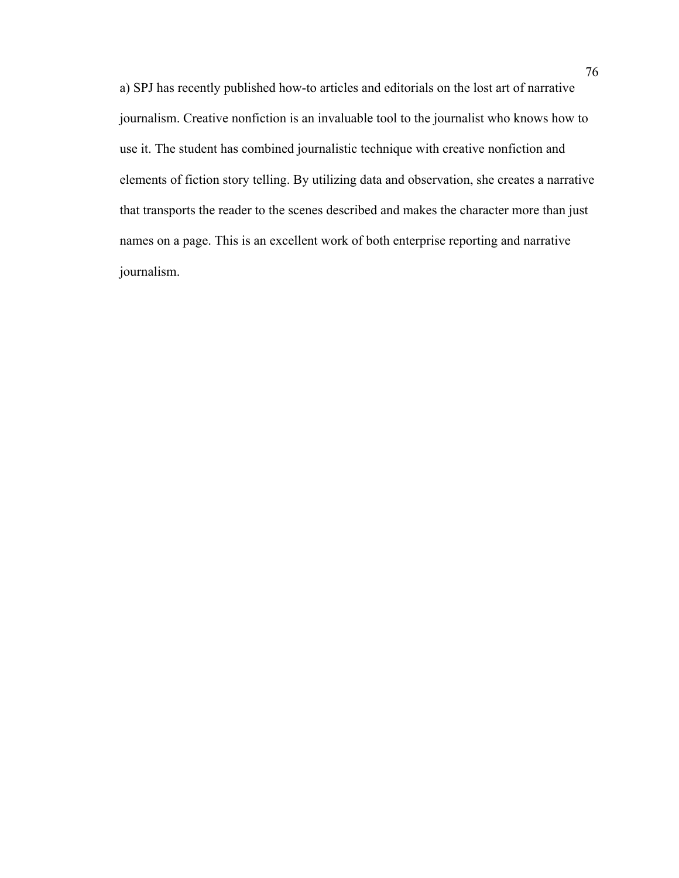a) SPJ has recently published how-to articles and editorials on the lost art of narrative journalism. Creative nonfiction is an invaluable tool to the journalist who knows how to use it. The student has combined journalistic technique with creative nonfiction and elements of fiction story telling. By utilizing data and observation, she creates a narrative that transports the reader to the scenes described and makes the character more than just names on a page. This is an excellent work of both enterprise reporting and narrative journalism.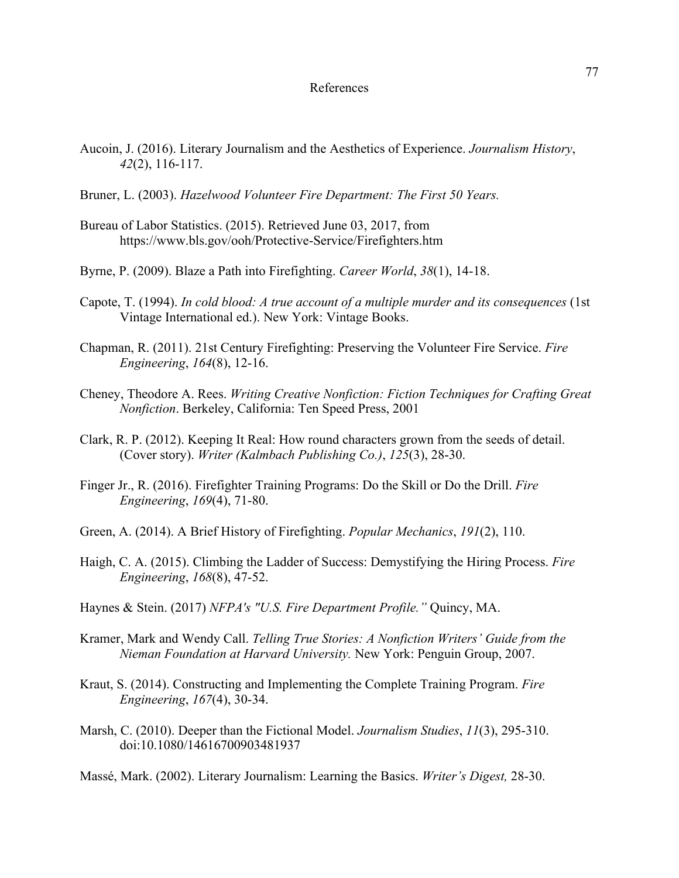## References

- Aucoin, J. (2016). Literary Journalism and the Aesthetics of Experience. *Journalism History*, *42*(2), 116-117.
- Bruner, L. (2003). *Hazelwood Volunteer Fire Department: The First 50 Years.*
- Bureau of Labor Statistics. (2015). Retrieved June 03, 2017, from https://www.bls.gov/ooh/Protective-Service/Firefighters.htm
- Byrne, P. (2009). Blaze a Path into Firefighting. *Career World*, *38*(1), 14-18.
- Capote, T. (1994). *In cold blood: A true account of a multiple murder and its consequences* (1st Vintage International ed.). New York: Vintage Books.
- Chapman, R. (2011). 21st Century Firefighting: Preserving the Volunteer Fire Service. *Fire Engineering*, *164*(8), 12-16.
- Cheney, Theodore A. Rees. *Writing Creative Nonfiction: Fiction Techniques for Crafting Great Nonfiction*. Berkeley, California: Ten Speed Press, 2001
- Clark, R. P. (2012). Keeping It Real: How round characters grown from the seeds of detail. (Cover story). *Writer (Kalmbach Publishing Co.)*, *125*(3), 28-30.
- Finger Jr., R. (2016). Firefighter Training Programs: Do the Skill or Do the Drill. *Fire Engineering*, *169*(4), 71-80.
- Green, A. (2014). A Brief History of Firefighting. *Popular Mechanics*, *191*(2), 110.
- Haigh, C. A. (2015). Climbing the Ladder of Success: Demystifying the Hiring Process. *Fire Engineering*, *168*(8), 47-52.
- Haynes & Stein. (2017) *NFPA's "U.S. Fire Department Profile."* Quincy, MA.
- Kramer, Mark and Wendy Call. *Telling True Stories: A Nonfiction Writers' Guide from the Nieman Foundation at Harvard University.* New York: Penguin Group, 2007.
- Kraut, S. (2014). Constructing and Implementing the Complete Training Program. *Fire Engineering*, *167*(4), 30-34.
- Marsh, C. (2010). Deeper than the Fictional Model. *Journalism Studies*, *11*(3), 295-310. doi:10.1080/14616700903481937
- Massé, Mark. (2002). Literary Journalism: Learning the Basics. *Writer's Digest,* 28-30.